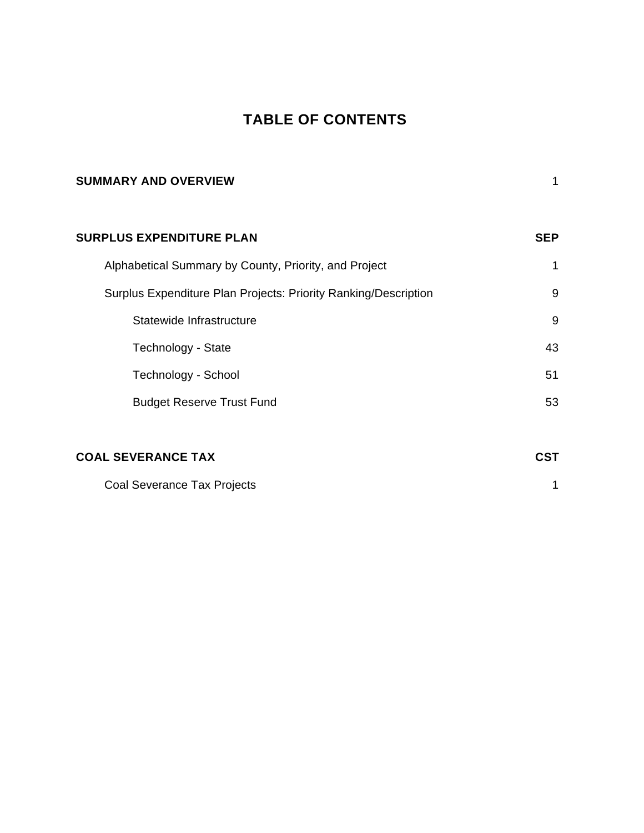### **TABLE OF CONTENTS**

| <b>SUMMARY AND OVERVIEW</b>                                     | 1          |
|-----------------------------------------------------------------|------------|
| <b>SURPLUS EXPENDITURE PLAN</b>                                 | <b>SEP</b> |
| Alphabetical Summary by County, Priority, and Project           | 1          |
| Surplus Expenditure Plan Projects: Priority Ranking/Description | 9          |
| Statewide Infrastructure                                        | 9          |
| Technology - State                                              | 43         |
| Technology - School                                             | 51         |
| <b>Budget Reserve Trust Fund</b>                                | 53         |
|                                                                 |            |
| <b>COAL SEVERANCE TAX</b>                                       | <b>CST</b> |
| Coal Severance Tax Projects                                     | 1          |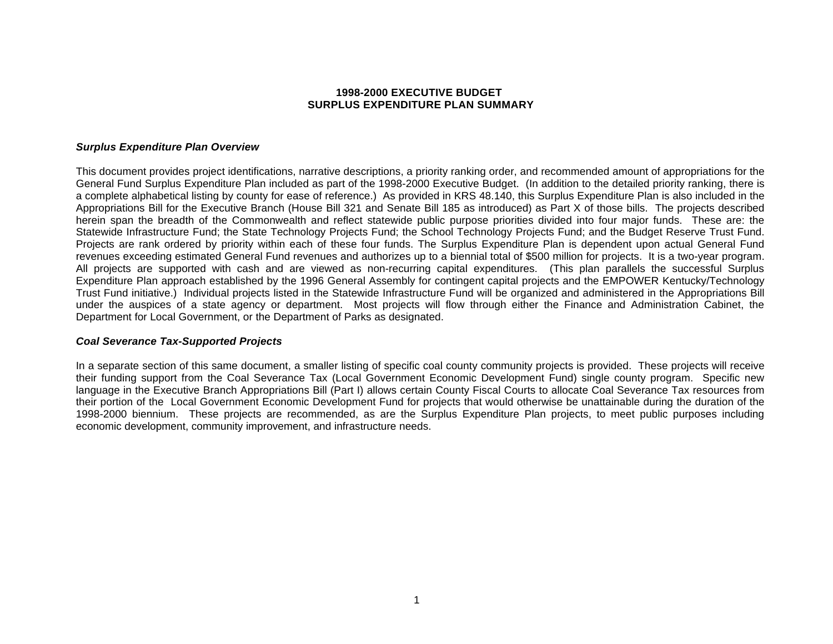#### **1998-2000 EXECUTIVE BUDGET SURPLUS EXPENDITURE PLAN SUMMARY**

#### *Surplus Expenditure Plan Overview*

This document provides project identifications, narrative descriptions, a priority ranking order, and recommended amount of appropriations for the General Fund Surplus Expenditure Plan included as part of the 1998-2000 Executive Budget. (In addition to the detailed priority ranking, there is a complete alphabetical listing by county for ease of reference.) As provided in KRS 48.140, this Surplus Expenditure Plan is also included in the Appropriations Bill for the Executive Branch (House Bill 321 and Senate Bill 185 as introduced) as Part X of those bills. The projects described herein span the breadth of the Commonwealth and reflect statewide public purpose priorities divided into four major funds. These are: the Statewide Infrastructure Fund; the State Technology Projects Fund; the School Technology Projects Fund; and the Budget Reserve Trust Fund. Projects are rank ordered by priority within each of these four funds. The Surplus Expenditure Plan is dependent upon actual General Fund revenues exceeding estimated General Fund revenues and authorizes up to a biennial total of \$500 million for projects. It is a two-year program. All projects are supported with cash and are viewed as non-recurring capital expenditures. (This plan parallels the successful Surplus Expenditure Plan approach established by the 1996 General Assembly for contingent capital projects and the EMPOWER Kentucky/Technology Trust Fund initiative.) Individual projects listed in the Statewide Infrastructure Fund will be organized and administered in the Appropriations Bill under the auspices of a state agency or department. Most projects will flow through either the Finance and Administration Cabinet, the Department for Local Government, or the Department of Parks as designated.

#### *Coal Severance Tax-Supported Projects*

In a separate section of this same document, a smaller listing of specific coal county community projects is provided. These projects will receive their funding support from the Coal Severance Tax (Local Government Economic Development Fund) single county program. Specific new language in the Executive Branch Appropriations Bill (Part I) allows certain County Fiscal Courts to allocate Coal Severance Tax resources from their portion of the Local Government Economic Development Fund for projects that would otherwise be unattainable during the duration of the 1998-2000 biennium. These projects are recommended, as are the Surplus Expenditure Plan projects, to meet public purposes including economic development, community improvement, and infrastructure needs.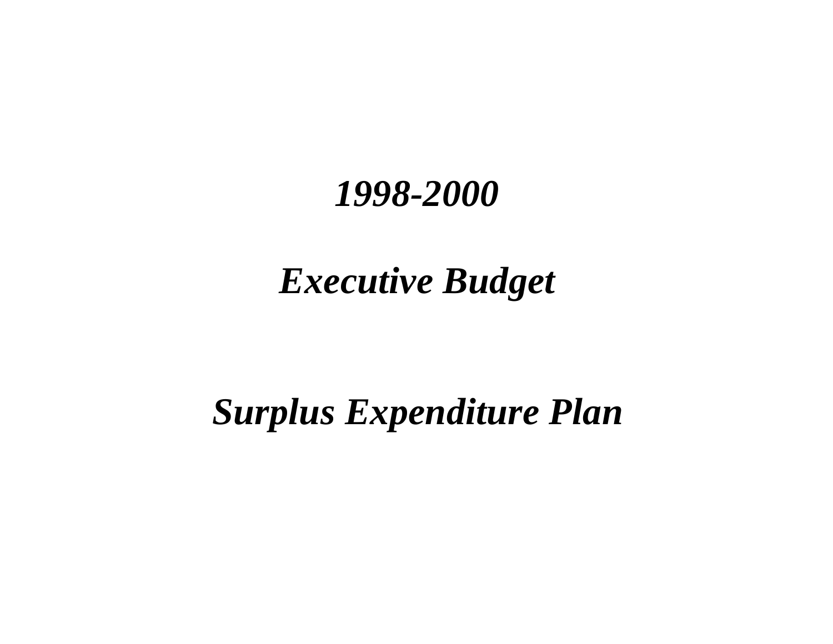# *Executive Budget*

# *Surplus Expenditure Plan*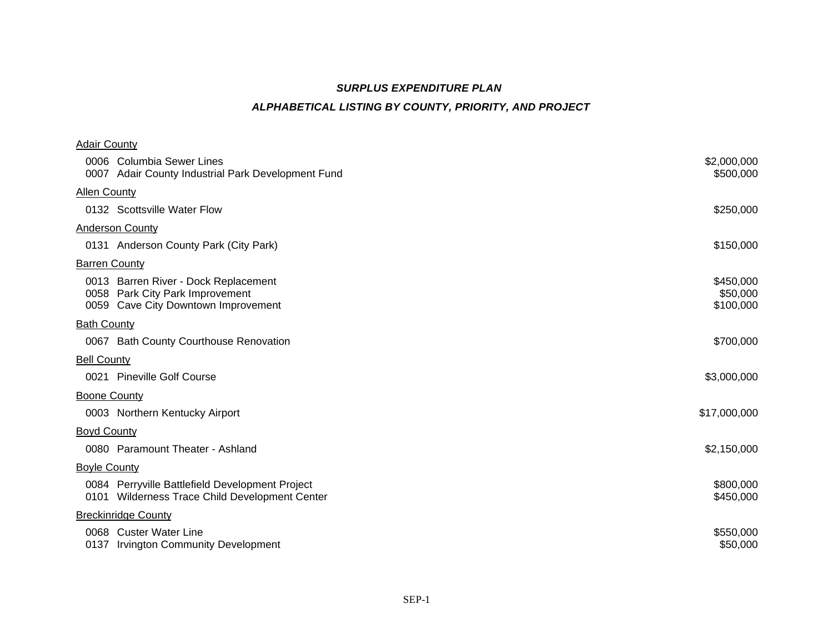## *SURPLUS EXPENDITURE PLAN*

### *ALPHABETICAL LISTING BY COUNTY, PRIORITY, AND PROJECT*

| <b>Adair County</b>  |                                                                                                           |                                    |
|----------------------|-----------------------------------------------------------------------------------------------------------|------------------------------------|
|                      | 0006 Columbia Sewer Lines<br>0007 Adair County Industrial Park Development Fund                           | \$2,000,000<br>\$500,000           |
| <b>Allen County</b>  |                                                                                                           |                                    |
|                      | 0132 Scottsville Water Flow                                                                               | \$250,000                          |
|                      | <b>Anderson County</b>                                                                                    |                                    |
|                      | 0131 Anderson County Park (City Park)                                                                     | \$150,000                          |
| <b>Barren County</b> |                                                                                                           |                                    |
| 0058                 | 0013 Barren River - Dock Replacement<br>Park City Park Improvement<br>0059 Cave City Downtown Improvement | \$450,000<br>\$50,000<br>\$100,000 |
| <b>Bath County</b>   |                                                                                                           |                                    |
|                      | 0067 Bath County Courthouse Renovation                                                                    | \$700,000                          |
| <b>Bell County</b>   |                                                                                                           |                                    |
|                      | 0021 Pineville Golf Course                                                                                | \$3,000,000                        |
| <b>Boone County</b>  |                                                                                                           |                                    |
|                      | 0003 Northern Kentucky Airport                                                                            | \$17,000,000                       |
| <b>Boyd County</b>   |                                                                                                           |                                    |
|                      | 0080 Paramount Theater - Ashland                                                                          | \$2,150,000                        |
| <b>Boyle County</b>  |                                                                                                           |                                    |
|                      | 0084 Perryville Battlefield Development Project<br>0101 Wilderness Trace Child Development Center         | \$800,000<br>\$450,000             |
|                      | <b>Breckinridge County</b>                                                                                |                                    |
|                      | 0068 Custer Water Line<br>0137 Irvington Community Development                                            | \$550,000<br>\$50,000              |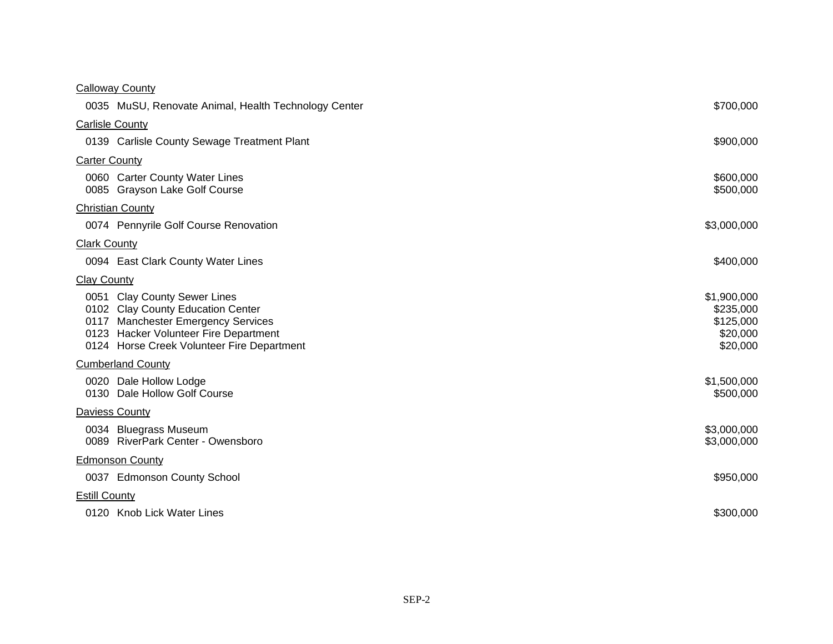| <b>Calloway County</b>                                                                                                                                                                         |                                                               |
|------------------------------------------------------------------------------------------------------------------------------------------------------------------------------------------------|---------------------------------------------------------------|
| 0035 MuSU, Renovate Animal, Health Technology Center                                                                                                                                           | \$700,000                                                     |
| <b>Carlisle County</b>                                                                                                                                                                         |                                                               |
| 0139 Carlisle County Sewage Treatment Plant                                                                                                                                                    | \$900,000                                                     |
| <b>Carter County</b>                                                                                                                                                                           |                                                               |
| 0060 Carter County Water Lines<br>0085 Grayson Lake Golf Course                                                                                                                                | \$600,000<br>\$500,000                                        |
| <b>Christian County</b>                                                                                                                                                                        |                                                               |
| 0074 Pennyrile Golf Course Renovation                                                                                                                                                          | \$3,000,000                                                   |
| <b>Clark County</b>                                                                                                                                                                            |                                                               |
| 0094 East Clark County Water Lines                                                                                                                                                             | \$400,000                                                     |
| <b>Clay County</b>                                                                                                                                                                             |                                                               |
| 0051 Clay County Sewer Lines<br>0102 Clay County Education Center<br>0117 Manchester Emergency Services<br>0123 Hacker Volunteer Fire Department<br>0124 Horse Creek Volunteer Fire Department | \$1,900,000<br>\$235,000<br>\$125,000<br>\$20,000<br>\$20,000 |
| <b>Cumberland County</b>                                                                                                                                                                       |                                                               |
| 0020 Dale Hollow Lodge<br>0130 Dale Hollow Golf Course                                                                                                                                         | \$1,500,000<br>\$500,000                                      |
| Daviess County                                                                                                                                                                                 |                                                               |
| 0034 Bluegrass Museum<br>0089 RiverPark Center - Owensboro                                                                                                                                     | \$3,000,000<br>\$3,000,000                                    |
| <b>Edmonson County</b>                                                                                                                                                                         |                                                               |
| 0037 Edmonson County School                                                                                                                                                                    | \$950,000                                                     |
| <b>Estill County</b>                                                                                                                                                                           |                                                               |
| 0120 Knob Lick Water Lines                                                                                                                                                                     | \$300,000                                                     |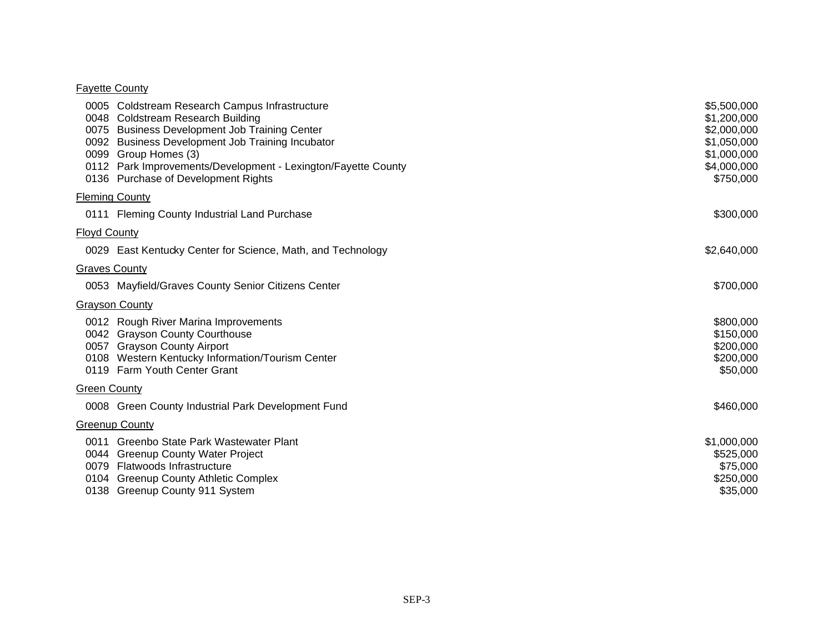#### Fayette County

|                      | 0005 Coldstream Research Campus Infrastructure<br>0048 Coldstream Research Building<br>0075 Business Development Job Training Center<br>0092 Business Development Job Training Incubator<br>0099 Group Homes (3)<br>0112 Park Improvements/Development - Lexington/Fayette County<br>0136 Purchase of Development Rights | \$5,500,000<br>\$1,200,000<br>\$2,000,000<br>\$1,050,000<br>\$1,000,000<br>\$4,000,000<br>\$750,000 |
|----------------------|--------------------------------------------------------------------------------------------------------------------------------------------------------------------------------------------------------------------------------------------------------------------------------------------------------------------------|-----------------------------------------------------------------------------------------------------|
|                      | <b>Fleming County</b>                                                                                                                                                                                                                                                                                                    |                                                                                                     |
|                      | 0111 Fleming County Industrial Land Purchase                                                                                                                                                                                                                                                                             | \$300,000                                                                                           |
| <b>Floyd County</b>  |                                                                                                                                                                                                                                                                                                                          |                                                                                                     |
|                      | 0029 East Kentucky Center for Science, Math, and Technology                                                                                                                                                                                                                                                              | \$2,640,000                                                                                         |
| <b>Graves County</b> |                                                                                                                                                                                                                                                                                                                          |                                                                                                     |
|                      | 0053 Mayfield/Graves County Senior Citizens Center                                                                                                                                                                                                                                                                       | \$700,000                                                                                           |
|                      | <b>Grayson County</b>                                                                                                                                                                                                                                                                                                    |                                                                                                     |
|                      | 0012 Rough River Marina Improvements<br>0042 Grayson County Courthouse<br>0057 Grayson County Airport<br>0108 Western Kentucky Information/Tourism Center<br>0119 Farm Youth Center Grant                                                                                                                                | \$800,000<br>\$150,000<br>\$200,000<br>\$200,000<br>\$50,000                                        |
| <b>Green County</b>  |                                                                                                                                                                                                                                                                                                                          |                                                                                                     |
|                      | 0008 Green County Industrial Park Development Fund                                                                                                                                                                                                                                                                       | \$460,000                                                                                           |
|                      | <b>Greenup County</b>                                                                                                                                                                                                                                                                                                    |                                                                                                     |
|                      | 0011 Greenbo State Park Wastewater Plant<br>0044 Greenup County Water Project<br>0079 Flatwoods Infrastructure<br>0104 Greenup County Athletic Complex<br>0138 Greenup County 911 System                                                                                                                                 | \$1,000,000<br>\$525,000<br>\$75,000<br>\$250,000<br>\$35,000                                       |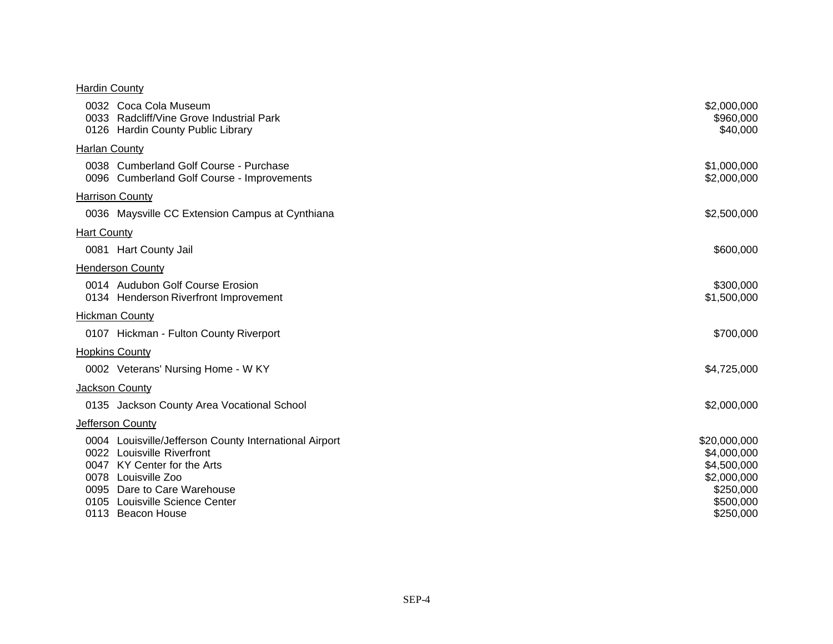#### **Hardin County**

|                      | 0032 Coca Cola Museum<br>0033 Radcliff/Vine Grove Industrial Park<br>0126 Hardin County Public Library                                                                    | \$2,000,000<br>\$960,000<br>\$40,000                      |
|----------------------|---------------------------------------------------------------------------------------------------------------------------------------------------------------------------|-----------------------------------------------------------|
| <b>Harlan County</b> |                                                                                                                                                                           |                                                           |
|                      | 0038 Cumberland Golf Course - Purchase<br>0096 Cumberland Golf Course - Improvements                                                                                      | \$1,000,000<br>\$2,000,000                                |
|                      | <b>Harrison County</b>                                                                                                                                                    |                                                           |
|                      | 0036 Maysville CC Extension Campus at Cynthiana                                                                                                                           | \$2,500,000                                               |
| <b>Hart County</b>   |                                                                                                                                                                           |                                                           |
|                      | 0081 Hart County Jail                                                                                                                                                     | \$600,000                                                 |
|                      | <b>Henderson County</b>                                                                                                                                                   |                                                           |
|                      | 0014 Audubon Golf Course Erosion<br>0134 Henderson Riverfront Improvement                                                                                                 | \$300,000<br>\$1,500,000                                  |
|                      | <b>Hickman County</b>                                                                                                                                                     |                                                           |
|                      | 0107 Hickman - Fulton County Riverport                                                                                                                                    | \$700,000                                                 |
|                      | <b>Hopkins County</b>                                                                                                                                                     |                                                           |
|                      | 0002 Veterans' Nursing Home - W KY                                                                                                                                        | \$4,725,000                                               |
|                      | <b>Jackson County</b>                                                                                                                                                     |                                                           |
|                      | 0135 Jackson County Area Vocational School                                                                                                                                | \$2,000,000                                               |
|                      | Jefferson County                                                                                                                                                          |                                                           |
|                      | 0004 Louisville/Jefferson County International Airport<br>0022 Louisville Riverfront<br>0047 KY Center for the Arts<br>0078 Louisville Zoo<br>0095 Dare to Care Warehouse | \$20,000,000<br>\$4,000,000<br>\$4,500,000<br>\$2,000,000 |
|                      | 0105 Louisville Science Center                                                                                                                                            | \$250,000<br>\$500,000                                    |
|                      | 0113 Beacon House                                                                                                                                                         | \$250,000                                                 |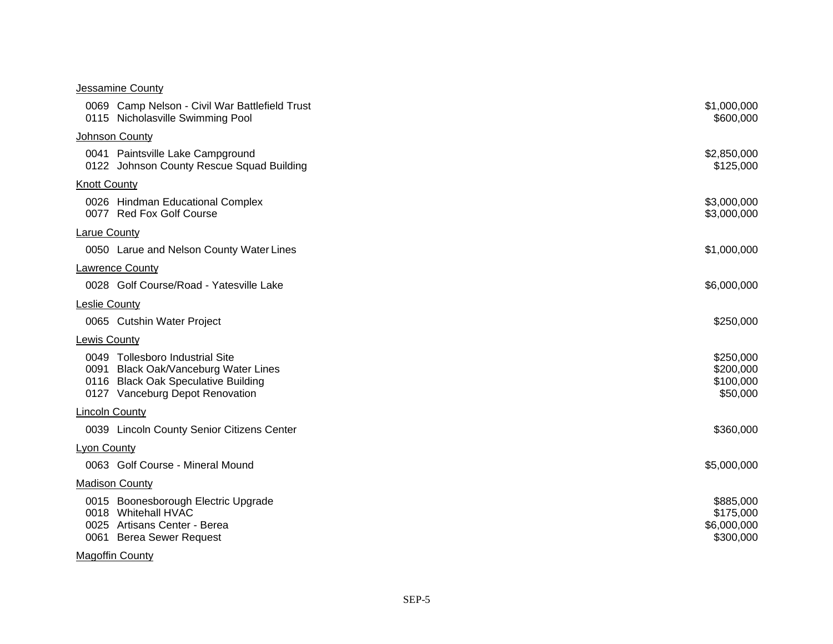| <b>Jessamine County</b>                                                                                                                           |                                                    |
|---------------------------------------------------------------------------------------------------------------------------------------------------|----------------------------------------------------|
| 0069 Camp Nelson - Civil War Battlefield Trust<br>0115 Nicholasville Swimming Pool                                                                | \$1,000,000<br>\$600,000                           |
| Johnson County                                                                                                                                    |                                                    |
| 0041 Paintsville Lake Campground<br>0122 Johnson County Rescue Squad Building                                                                     | \$2,850,000<br>\$125,000                           |
| <b>Knott County</b>                                                                                                                               |                                                    |
| 0026 Hindman Educational Complex<br>0077 Red Fox Golf Course                                                                                      | \$3,000,000<br>\$3,000,000                         |
| <b>Larue County</b>                                                                                                                               |                                                    |
| 0050 Larue and Nelson County Water Lines                                                                                                          | \$1,000,000                                        |
| <b>Lawrence County</b>                                                                                                                            |                                                    |
| 0028 Golf Course/Road - Yatesville Lake                                                                                                           | \$6,000,000                                        |
| <b>Leslie County</b>                                                                                                                              |                                                    |
| 0065 Cutshin Water Project                                                                                                                        | \$250,000                                          |
| Lewis County                                                                                                                                      |                                                    |
| 0049 Tollesboro Industrial Site<br>0091 Black Oak/Vanceburg Water Lines<br>0116 Black Oak Speculative Building<br>0127 Vanceburg Depot Renovation | \$250,000<br>\$200,000<br>\$100,000<br>\$50,000    |
| <b>Lincoln County</b>                                                                                                                             |                                                    |
| 0039 Lincoln County Senior Citizens Center                                                                                                        | \$360,000                                          |
| <b>Lyon County</b>                                                                                                                                |                                                    |
| 0063 Golf Course - Mineral Mound                                                                                                                  | \$5,000,000                                        |
| <b>Madison County</b>                                                                                                                             |                                                    |
| 0015 Boonesborough Electric Upgrade<br>0018 Whitehall HVAC<br>0025 Artisans Center - Berea<br>0061 Berea Sewer Request                            | \$885,000<br>\$175,000<br>\$6,000,000<br>\$300,000 |
| <b>Magoffin County</b>                                                                                                                            |                                                    |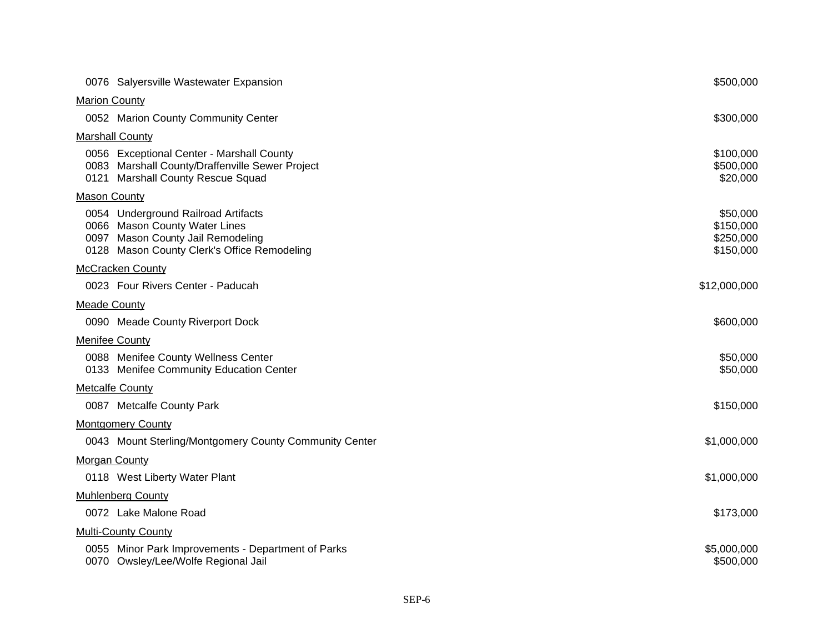|                       | 0076 Salyersville Wastewater Expansion                                                                                                                   | \$500,000                                       |
|-----------------------|----------------------------------------------------------------------------------------------------------------------------------------------------------|-------------------------------------------------|
| <b>Marion County</b>  |                                                                                                                                                          |                                                 |
|                       | 0052 Marion County Community Center                                                                                                                      | \$300,000                                       |
|                       | <b>Marshall County</b>                                                                                                                                   |                                                 |
|                       | 0056 Exceptional Center - Marshall County<br>0083 Marshall County/Draffenville Sewer Project<br>0121 Marshall County Rescue Squad                        | \$100,000<br>\$500,000<br>\$20,000              |
| <b>Mason County</b>   |                                                                                                                                                          |                                                 |
|                       | 0054 Underground Railroad Artifacts<br>0066 Mason County Water Lines<br>0097 Mason County Jail Remodeling<br>0128 Mason County Clerk's Office Remodeling | \$50,000<br>\$150,000<br>\$250,000<br>\$150,000 |
|                       | <b>McCracken County</b>                                                                                                                                  |                                                 |
|                       | 0023 Four Rivers Center - Paducah                                                                                                                        | \$12,000,000                                    |
| <b>Meade County</b>   |                                                                                                                                                          |                                                 |
|                       | 0090 Meade County Riverport Dock                                                                                                                         | \$600,000                                       |
| <b>Menifee County</b> |                                                                                                                                                          |                                                 |
|                       | 0088 Menifee County Wellness Center<br>0133 Menifee Community Education Center                                                                           | \$50,000<br>\$50,000                            |
|                       | <b>Metcalfe County</b>                                                                                                                                   |                                                 |
|                       | 0087 Metcalfe County Park                                                                                                                                | \$150,000                                       |
|                       | <b>Montgomery County</b>                                                                                                                                 |                                                 |
|                       | 0043 Mount Sterling/Montgomery County Community Center                                                                                                   | \$1,000,000                                     |
| <b>Morgan County</b>  |                                                                                                                                                          |                                                 |
|                       | 0118 West Liberty Water Plant                                                                                                                            | \$1,000,000                                     |
|                       | <b>Muhlenberg County</b>                                                                                                                                 |                                                 |
|                       | 0072 Lake Malone Road                                                                                                                                    | \$173,000                                       |
|                       | <b>Multi-County County</b>                                                                                                                               |                                                 |
|                       | 0055 Minor Park Improvements - Department of Parks<br>0070 Owsley/Lee/Wolfe Regional Jail                                                                | \$5,000,000<br>\$500,000                        |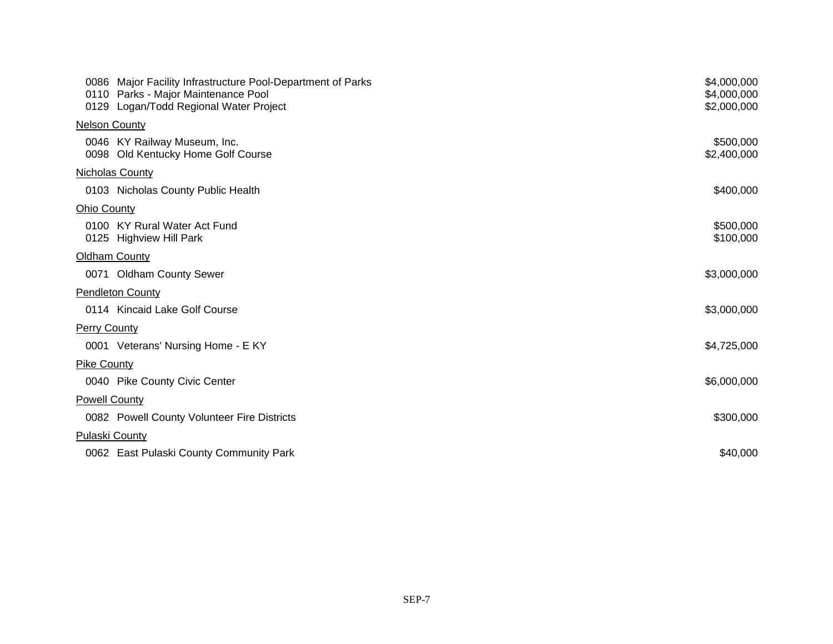|                        | 0086 Major Facility Infrastructure Pool-Department of Parks<br>0110 Parks - Major Maintenance Pool<br>0129 Logan/Todd Regional Water Project | \$4,000,000<br>\$4,000,000<br>\$2,000,000 |
|------------------------|----------------------------------------------------------------------------------------------------------------------------------------------|-------------------------------------------|
| <b>Nelson County</b>   |                                                                                                                                              |                                           |
|                        | 0046 KY Railway Museum, Inc.<br>0098 Old Kentucky Home Golf Course                                                                           | \$500,000<br>\$2,400,000                  |
| <b>Nicholas County</b> |                                                                                                                                              |                                           |
|                        | 0103 Nicholas County Public Health                                                                                                           | \$400,000                                 |
| <b>Ohio County</b>     |                                                                                                                                              |                                           |
|                        | 0100 KY Rural Water Act Fund<br>0125 Highview Hill Park                                                                                      | \$500,000<br>\$100,000                    |
| Oldham County          |                                                                                                                                              |                                           |
|                        | 0071 Oldham County Sewer                                                                                                                     | \$3,000,000                               |
|                        | <b>Pendleton County</b>                                                                                                                      |                                           |
|                        | 0114 Kincaid Lake Golf Course                                                                                                                | \$3,000,000                               |
| <b>Perry County</b>    |                                                                                                                                              |                                           |
|                        | 0001 Veterans' Nursing Home - E KY                                                                                                           | \$4,725,000                               |
| <b>Pike County</b>     |                                                                                                                                              |                                           |
|                        | 0040 Pike County Civic Center                                                                                                                | \$6,000,000                               |
| <b>Powell County</b>   |                                                                                                                                              |                                           |
|                        | 0082 Powell County Volunteer Fire Districts                                                                                                  | \$300,000                                 |
| <b>Pulaski County</b>  |                                                                                                                                              |                                           |
|                        | 0062 East Pulaski County Community Park                                                                                                      | \$40,000                                  |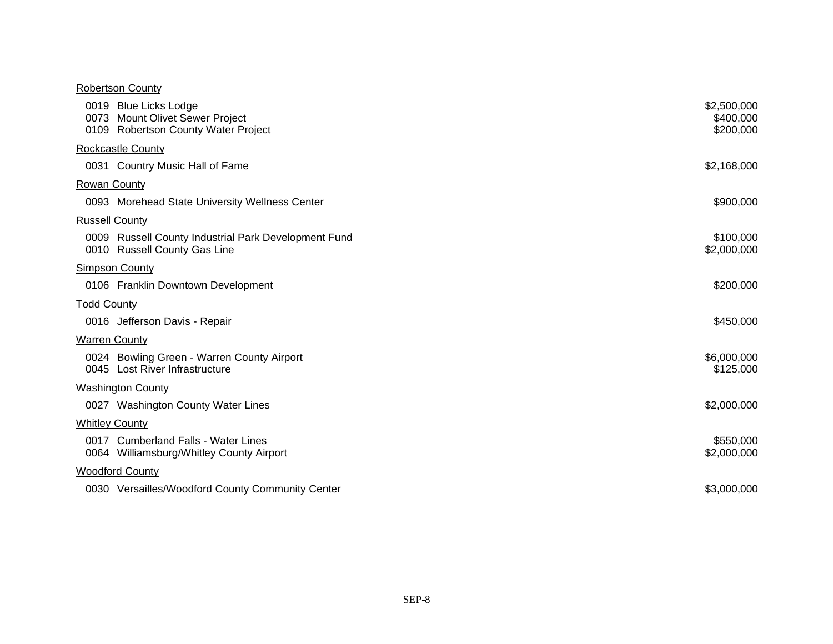#### Robertson County

|                       | 0019 Blue Licks Lodge<br>0073 Mount Olivet Sewer Project<br>0109 Robertson County Water Project | \$2,500,000<br>\$400,000<br>\$200,000 |
|-----------------------|-------------------------------------------------------------------------------------------------|---------------------------------------|
|                       | <b>Rockcastle County</b>                                                                        |                                       |
|                       | 0031 Country Music Hall of Fame                                                                 | \$2,168,000                           |
| <b>Rowan County</b>   |                                                                                                 |                                       |
|                       | 0093 Morehead State University Wellness Center                                                  | \$900,000                             |
| <b>Russell County</b> |                                                                                                 |                                       |
|                       | 0009 Russell County Industrial Park Development Fund<br>0010 Russell County Gas Line            | \$100,000<br>\$2,000,000              |
|                       | <b>Simpson County</b>                                                                           |                                       |
|                       | 0106 Franklin Downtown Development                                                              | \$200,000                             |
| <b>Todd County</b>    |                                                                                                 |                                       |
|                       | 0016 Jefferson Davis - Repair                                                                   | \$450,000                             |
| <b>Warren County</b>  |                                                                                                 |                                       |
|                       | 0024 Bowling Green - Warren County Airport<br>0045 Lost River Infrastructure                    | \$6,000,000<br>\$125,000              |
|                       | <b>Washington County</b>                                                                        |                                       |
|                       | 0027 Washington County Water Lines                                                              | \$2,000,000                           |
| <b>Whitley County</b> |                                                                                                 |                                       |
|                       | 0017 Cumberland Falls - Water Lines<br>0064 Williamsburg/Whitley County Airport                 | \$550,000<br>\$2,000,000              |
|                       | <b>Woodford County</b>                                                                          |                                       |
|                       | 0030 Versailles/Woodford County Community Center                                                | \$3,000,000                           |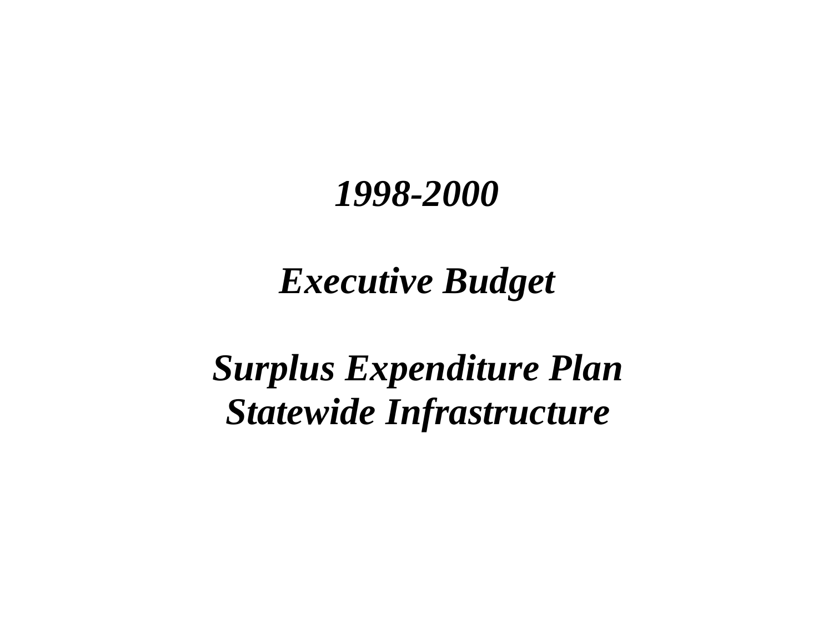# *Executive Budget*

# *Surplus Expenditure Plan Statewide Infrastructure*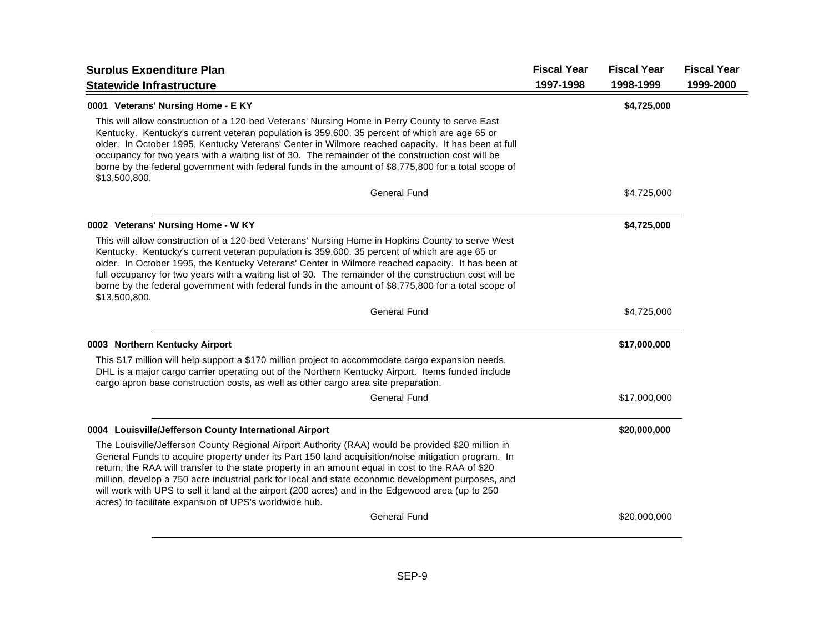| <b>Surplus Expenditure Plan</b>                                                                                                                                                                                                                                                                                                                                                                                                                                                                                                                                                    | <b>Fiscal Year</b> | <b>Fiscal Year</b> | <b>Fiscal Year</b> |
|------------------------------------------------------------------------------------------------------------------------------------------------------------------------------------------------------------------------------------------------------------------------------------------------------------------------------------------------------------------------------------------------------------------------------------------------------------------------------------------------------------------------------------------------------------------------------------|--------------------|--------------------|--------------------|
| <b>Statewide Infrastructure</b>                                                                                                                                                                                                                                                                                                                                                                                                                                                                                                                                                    | 1997-1998          | 1998-1999          | 1999-2000          |
| 0001 Veterans' Nursing Home - E KY                                                                                                                                                                                                                                                                                                                                                                                                                                                                                                                                                 |                    | \$4,725,000        |                    |
| This will allow construction of a 120-bed Veterans' Nursing Home in Perry County to serve East<br>Kentucky. Kentucky's current veteran population is 359,600, 35 percent of which are age 65 or<br>older. In October 1995, Kentucky Veterans' Center in Wilmore reached capacity. It has been at full<br>occupancy for two years with a waiting list of 30. The remainder of the construction cost will be<br>borne by the federal government with federal funds in the amount of \$8,775,800 for a total scope of<br>\$13,500,800.                                                |                    |                    |                    |
| <b>General Fund</b>                                                                                                                                                                                                                                                                                                                                                                                                                                                                                                                                                                |                    | \$4,725,000        |                    |
| 0002 Veterans' Nursing Home - W KY                                                                                                                                                                                                                                                                                                                                                                                                                                                                                                                                                 |                    | \$4,725,000        |                    |
| This will allow construction of a 120-bed Veterans' Nursing Home in Hopkins County to serve West<br>Kentucky. Kentucky's current veteran population is 359,600, 35 percent of which are age 65 or<br>older. In October 1995, the Kentucky Veterans' Center in Wilmore reached capacity. It has been at<br>full occupancy for two years with a waiting list of 30. The remainder of the construction cost will be<br>borne by the federal government with federal funds in the amount of \$8,775,800 for a total scope of<br>\$13,500,800.                                          |                    |                    |                    |
| <b>General Fund</b>                                                                                                                                                                                                                                                                                                                                                                                                                                                                                                                                                                |                    | \$4,725,000        |                    |
| 0003 Northern Kentucky Airport                                                                                                                                                                                                                                                                                                                                                                                                                                                                                                                                                     |                    | \$17,000,000       |                    |
| This \$17 million will help support a \$170 million project to accommodate cargo expansion needs.<br>DHL is a major cargo carrier operating out of the Northern Kentucky Airport. Items funded include<br>cargo apron base construction costs, as well as other cargo area site preparation.                                                                                                                                                                                                                                                                                       |                    |                    |                    |
| <b>General Fund</b>                                                                                                                                                                                                                                                                                                                                                                                                                                                                                                                                                                |                    | \$17,000,000       |                    |
| 0004 Louisville/Jefferson County International Airport                                                                                                                                                                                                                                                                                                                                                                                                                                                                                                                             |                    | \$20,000,000       |                    |
| The Louisville/Jefferson County Regional Airport Authority (RAA) would be provided \$20 million in<br>General Funds to acquire property under its Part 150 land acquisition/noise mitigation program. In<br>return, the RAA will transfer to the state property in an amount equal in cost to the RAA of \$20<br>million, develop a 750 acre industrial park for local and state economic development purposes, and<br>will work with UPS to sell it land at the airport (200 acres) and in the Edgewood area (up to 250<br>acres) to facilitate expansion of UPS's worldwide hub. |                    |                    |                    |
| <b>General Fund</b>                                                                                                                                                                                                                                                                                                                                                                                                                                                                                                                                                                |                    | \$20,000,000       |                    |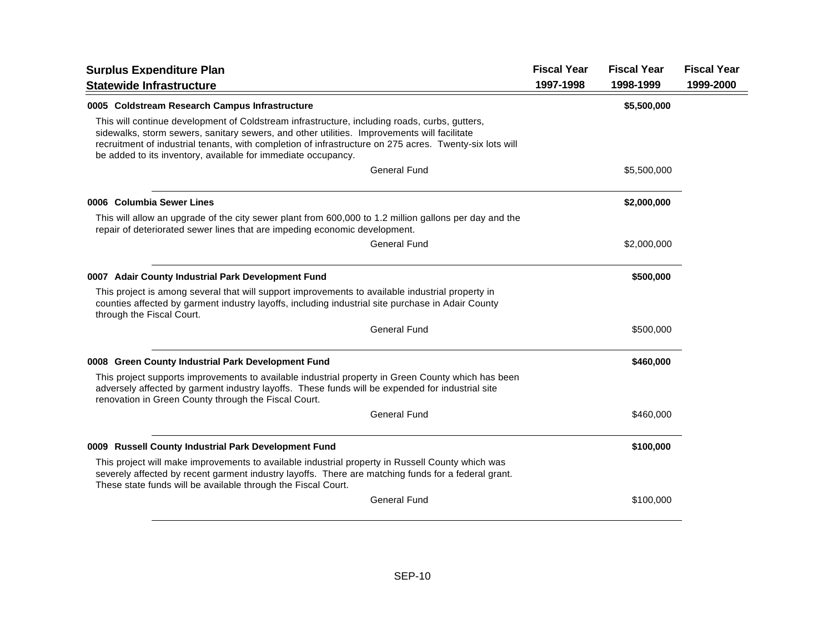| <b>Surplus Expenditure Plan</b>                                                                                                                                                                                                                                                                                                                                          | <b>Fiscal Year</b> | <b>Fiscal Year</b> | <b>Fiscal Year</b> |
|--------------------------------------------------------------------------------------------------------------------------------------------------------------------------------------------------------------------------------------------------------------------------------------------------------------------------------------------------------------------------|--------------------|--------------------|--------------------|
| <b>Statewide Infrastructure</b>                                                                                                                                                                                                                                                                                                                                          | 1997-1998          | 1998-1999          | 1999-2000          |
| 0005 Coldstream Research Campus Infrastructure                                                                                                                                                                                                                                                                                                                           |                    | \$5,500,000        |                    |
| This will continue development of Coldstream infrastructure, including roads, curbs, gutters,<br>sidewalks, storm sewers, sanitary sewers, and other utilities. Improvements will facilitate<br>recruitment of industrial tenants, with completion of infrastructure on 275 acres. Twenty-six lots will<br>be added to its inventory, available for immediate occupancy. |                    |                    |                    |
| <b>General Fund</b>                                                                                                                                                                                                                                                                                                                                                      |                    | \$5,500,000        |                    |
| 0006 Columbia Sewer Lines                                                                                                                                                                                                                                                                                                                                                |                    | \$2,000,000        |                    |
| This will allow an upgrade of the city sewer plant from 600,000 to 1.2 million gallons per day and the<br>repair of deteriorated sewer lines that are impeding economic development.                                                                                                                                                                                     |                    |                    |                    |
| <b>General Fund</b>                                                                                                                                                                                                                                                                                                                                                      |                    | \$2,000,000        |                    |
| 0007 Adair County Industrial Park Development Fund                                                                                                                                                                                                                                                                                                                       |                    | \$500,000          |                    |
| This project is among several that will support improvements to available industrial property in<br>counties affected by garment industry layoffs, including industrial site purchase in Adair County<br>through the Fiscal Court.                                                                                                                                       |                    |                    |                    |
| <b>General Fund</b>                                                                                                                                                                                                                                                                                                                                                      |                    | \$500,000          |                    |
| 0008 Green County Industrial Park Development Fund                                                                                                                                                                                                                                                                                                                       |                    | \$460,000          |                    |
| This project supports improvements to available industrial property in Green County which has been<br>adversely affected by garment industry layoffs. These funds will be expended for industrial site<br>renovation in Green County through the Fiscal Court.                                                                                                           |                    |                    |                    |
| <b>General Fund</b>                                                                                                                                                                                                                                                                                                                                                      |                    | \$460,000          |                    |
| 0009 Russell County Industrial Park Development Fund                                                                                                                                                                                                                                                                                                                     |                    | \$100,000          |                    |
| This project will make improvements to available industrial property in Russell County which was<br>severely affected by recent garment industry layoffs. There are matching funds for a federal grant.<br>These state funds will be available through the Fiscal Court.                                                                                                 |                    |                    |                    |
| <b>General Fund</b>                                                                                                                                                                                                                                                                                                                                                      |                    | \$100,000          |                    |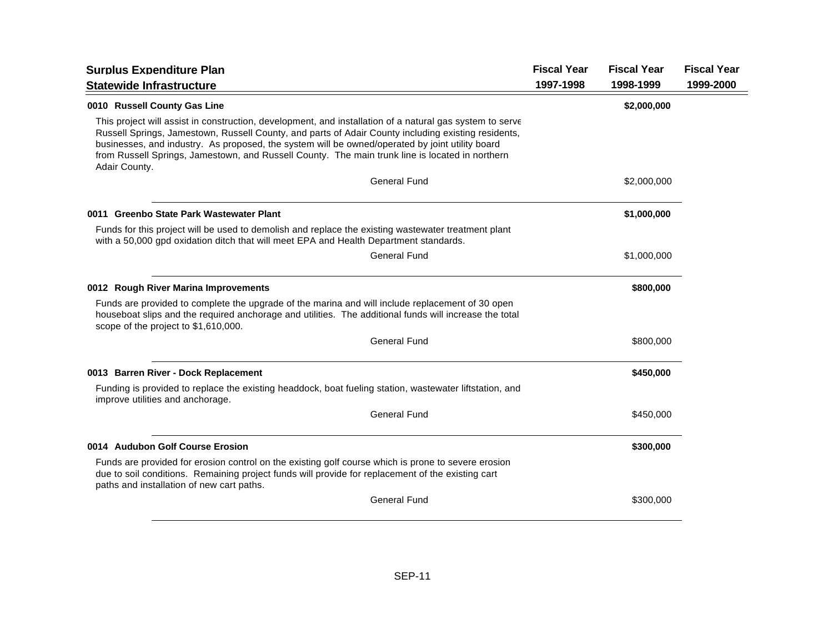| <b>Surplus Expenditure Plan</b>                                                                                                                                                                                                                                                                                                                                                                                                        | <b>Fiscal Year</b> | <b>Fiscal Year</b> | <b>Fiscal Year</b> |
|----------------------------------------------------------------------------------------------------------------------------------------------------------------------------------------------------------------------------------------------------------------------------------------------------------------------------------------------------------------------------------------------------------------------------------------|--------------------|--------------------|--------------------|
| <b>Statewide Infrastructure</b>                                                                                                                                                                                                                                                                                                                                                                                                        | 1997-1998          | 1998-1999          | 1999-2000          |
| 0010 Russell County Gas Line                                                                                                                                                                                                                                                                                                                                                                                                           |                    | \$2,000,000        |                    |
| This project will assist in construction, development, and installation of a natural gas system to serve<br>Russell Springs, Jamestown, Russell County, and parts of Adair County including existing residents,<br>businesses, and industry. As proposed, the system will be owned/operated by joint utility board<br>from Russell Springs, Jamestown, and Russell County. The main trunk line is located in northern<br>Adair County. |                    |                    |                    |
| <b>General Fund</b>                                                                                                                                                                                                                                                                                                                                                                                                                    |                    | \$2,000,000        |                    |
| 0011 Greenbo State Park Wastewater Plant                                                                                                                                                                                                                                                                                                                                                                                               |                    | \$1,000,000        |                    |
| Funds for this project will be used to demolish and replace the existing wastewater treatment plant<br>with a 50,000 gpd oxidation ditch that will meet EPA and Health Department standards.                                                                                                                                                                                                                                           |                    |                    |                    |
| <b>General Fund</b>                                                                                                                                                                                                                                                                                                                                                                                                                    |                    | \$1,000,000        |                    |
| 0012 Rough River Marina Improvements                                                                                                                                                                                                                                                                                                                                                                                                   |                    | \$800,000          |                    |
| Funds are provided to complete the upgrade of the marina and will include replacement of 30 open<br>houseboat slips and the required anchorage and utilities. The additional funds will increase the total<br>scope of the project to \$1,610,000.                                                                                                                                                                                     |                    |                    |                    |
| <b>General Fund</b>                                                                                                                                                                                                                                                                                                                                                                                                                    |                    | \$800,000          |                    |
| 0013 Barren River - Dock Replacement                                                                                                                                                                                                                                                                                                                                                                                                   |                    | \$450,000          |                    |
| Funding is provided to replace the existing headdock, boat fueling station, wastewater liftstation, and<br>improve utilities and anchorage.                                                                                                                                                                                                                                                                                            |                    |                    |                    |
| <b>General Fund</b>                                                                                                                                                                                                                                                                                                                                                                                                                    |                    | \$450,000          |                    |
| 0014 Audubon Golf Course Erosion                                                                                                                                                                                                                                                                                                                                                                                                       |                    | \$300,000          |                    |
| Funds are provided for erosion control on the existing golf course which is prone to severe erosion<br>due to soil conditions. Remaining project funds will provide for replacement of the existing cart<br>paths and installation of new cart paths.                                                                                                                                                                                  |                    |                    |                    |
| <b>General Fund</b>                                                                                                                                                                                                                                                                                                                                                                                                                    |                    | \$300,000          |                    |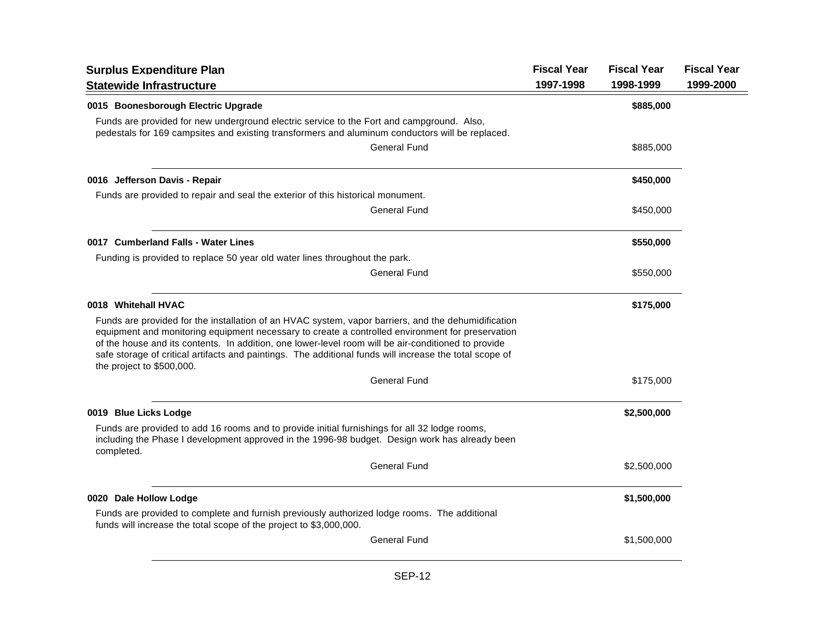| <b>Surplus Expenditure Plan</b><br><b>Statewide Infrastructure</b>                                                                                                                                                                                                                                                                                                                                                                                     | <b>Fiscal Year</b><br>1997-1998 | <b>Fiscal Year</b><br>1998-1999 | <b>Fiscal Year</b><br>1999-2000 |
|--------------------------------------------------------------------------------------------------------------------------------------------------------------------------------------------------------------------------------------------------------------------------------------------------------------------------------------------------------------------------------------------------------------------------------------------------------|---------------------------------|---------------------------------|---------------------------------|
| 0015 Boonesborough Electric Upgrade                                                                                                                                                                                                                                                                                                                                                                                                                    |                                 | \$885,000                       |                                 |
| Funds are provided for new underground electric service to the Fort and campground. Also,<br>pedestals for 169 campsites and existing transformers and aluminum conductors will be replaced.                                                                                                                                                                                                                                                           |                                 |                                 |                                 |
| <b>General Fund</b>                                                                                                                                                                                                                                                                                                                                                                                                                                    |                                 | \$885,000                       |                                 |
| 0016 Jefferson Davis - Repair                                                                                                                                                                                                                                                                                                                                                                                                                          |                                 | \$450,000                       |                                 |
| Funds are provided to repair and seal the exterior of this historical monument.                                                                                                                                                                                                                                                                                                                                                                        |                                 |                                 |                                 |
| General Fund                                                                                                                                                                                                                                                                                                                                                                                                                                           |                                 | \$450,000                       |                                 |
| 0017 Cumberland Falls - Water Lines                                                                                                                                                                                                                                                                                                                                                                                                                    |                                 | \$550,000                       |                                 |
| Funding is provided to replace 50 year old water lines throughout the park.                                                                                                                                                                                                                                                                                                                                                                            |                                 |                                 |                                 |
| <b>General Fund</b>                                                                                                                                                                                                                                                                                                                                                                                                                                    |                                 | \$550,000                       |                                 |
| 0018 Whitehall HVAC                                                                                                                                                                                                                                                                                                                                                                                                                                    |                                 | \$175,000                       |                                 |
| Funds are provided for the installation of an HVAC system, vapor barriers, and the dehumidification<br>equipment and monitoring equipment necessary to create a controlled environment for preservation<br>of the house and its contents. In addition, one lower-level room will be air-conditioned to provide<br>safe storage of critical artifacts and paintings. The additional funds will increase the total scope of<br>the project to \$500,000. |                                 |                                 |                                 |
| <b>General Fund</b>                                                                                                                                                                                                                                                                                                                                                                                                                                    |                                 | \$175,000                       |                                 |
| 0019 Blue Licks Lodge                                                                                                                                                                                                                                                                                                                                                                                                                                  |                                 | \$2,500,000                     |                                 |
| Funds are provided to add 16 rooms and to provide initial furnishings for all 32 lodge rooms,<br>including the Phase I development approved in the 1996-98 budget. Design work has already been<br>completed.                                                                                                                                                                                                                                          |                                 |                                 |                                 |
| <b>General Fund</b>                                                                                                                                                                                                                                                                                                                                                                                                                                    |                                 | \$2,500,000                     |                                 |
| 0020 Dale Hollow Lodge                                                                                                                                                                                                                                                                                                                                                                                                                                 |                                 | \$1,500,000                     |                                 |
| Funds are provided to complete and furnish previously authorized lodge rooms. The additional<br>funds will increase the total scope of the project to \$3,000,000.                                                                                                                                                                                                                                                                                     |                                 |                                 |                                 |
| <b>General Fund</b>                                                                                                                                                                                                                                                                                                                                                                                                                                    |                                 | \$1,500,000                     |                                 |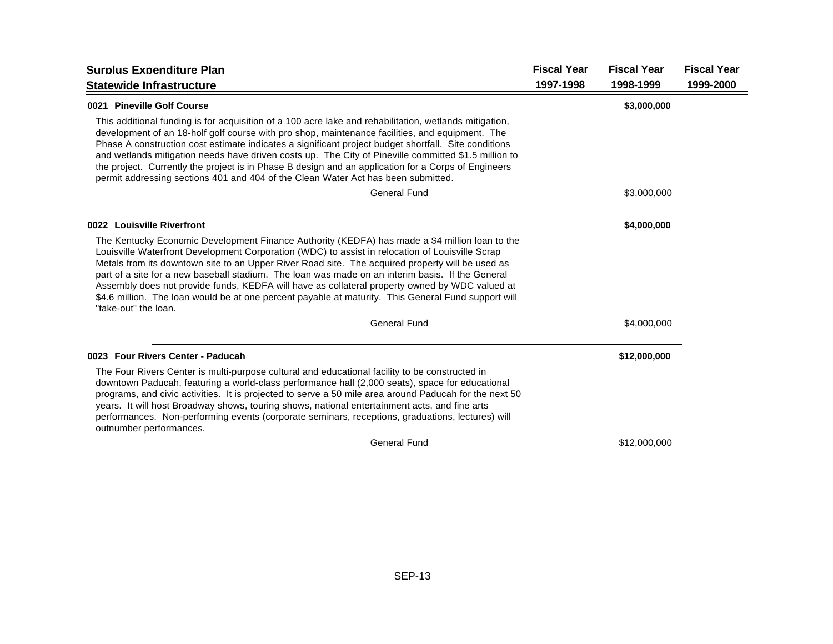| <b>Surplus Expenditure Plan</b>                                                                                                                                                                                                                                                                                                                                                                                                                                                                                                                                                                                                            | <b>Fiscal Year</b> | <b>Fiscal Year</b> | <b>Fiscal Year</b> |
|--------------------------------------------------------------------------------------------------------------------------------------------------------------------------------------------------------------------------------------------------------------------------------------------------------------------------------------------------------------------------------------------------------------------------------------------------------------------------------------------------------------------------------------------------------------------------------------------------------------------------------------------|--------------------|--------------------|--------------------|
| <b>Statewide Infrastructure</b>                                                                                                                                                                                                                                                                                                                                                                                                                                                                                                                                                                                                            | 1997-1998          | 1998-1999          | 1999-2000          |
| 0021 Pineville Golf Course                                                                                                                                                                                                                                                                                                                                                                                                                                                                                                                                                                                                                 |                    | \$3,000,000        |                    |
| This additional funding is for acquisition of a 100 acre lake and rehabilitation, wetlands mitigation,<br>development of an 18-holf golf course with pro shop, maintenance facilities, and equipment. The<br>Phase A construction cost estimate indicates a significant project budget shortfall. Site conditions<br>and wetlands mitigation needs have driven costs up. The City of Pineville committed \$1.5 million to<br>the project. Currently the project is in Phase B design and an application for a Corps of Engineers<br>permit addressing sections 401 and 404 of the Clean Water Act has been submitted.                      |                    |                    |                    |
| <b>General Fund</b>                                                                                                                                                                                                                                                                                                                                                                                                                                                                                                                                                                                                                        |                    | \$3,000,000        |                    |
| 0022 Louisville Riverfront                                                                                                                                                                                                                                                                                                                                                                                                                                                                                                                                                                                                                 |                    | \$4,000,000        |                    |
| The Kentucky Economic Development Finance Authority (KEDFA) has made a \$4 million loan to the<br>Louisville Waterfront Development Corporation (WDC) to assist in relocation of Louisville Scrap<br>Metals from its downtown site to an Upper River Road site. The acquired property will be used as<br>part of a site for a new baseball stadium. The loan was made on an interim basis. If the General<br>Assembly does not provide funds, KEDFA will have as collateral property owned by WDC valued at<br>\$4.6 million. The loan would be at one percent payable at maturity. This General Fund support will<br>"take-out" the loan. |                    |                    |                    |
| <b>General Fund</b>                                                                                                                                                                                                                                                                                                                                                                                                                                                                                                                                                                                                                        |                    | \$4,000,000        |                    |
| 0023 Four Rivers Center - Paducah                                                                                                                                                                                                                                                                                                                                                                                                                                                                                                                                                                                                          |                    | \$12,000,000       |                    |
| The Four Rivers Center is multi-purpose cultural and educational facility to be constructed in<br>downtown Paducah, featuring a world-class performance hall (2,000 seats), space for educational<br>programs, and civic activities. It is projected to serve a 50 mile area around Paducah for the next 50<br>years. It will host Broadway shows, touring shows, national entertainment acts, and fine arts<br>performances. Non-performing events (corporate seminars, receptions, graduations, lectures) will<br>outnumber performances.                                                                                                |                    |                    |                    |
| <b>General Fund</b>                                                                                                                                                                                                                                                                                                                                                                                                                                                                                                                                                                                                                        |                    | \$12,000,000       |                    |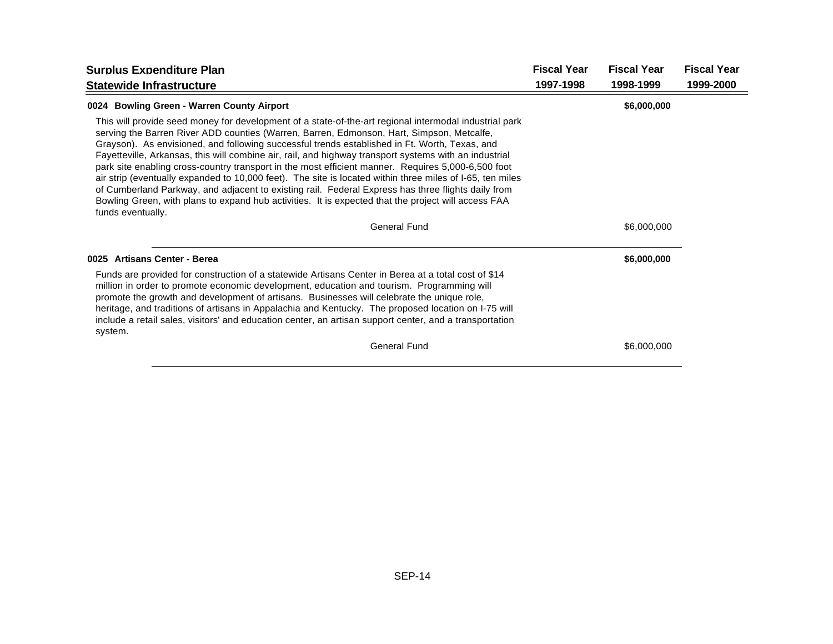| <b>Surplus Expenditure Plan</b>                                                                                                                                                                                                                                                                                                                                                                                                                                                                                                                                                                                                                                                                                                                                                                                                                                    | <b>Fiscal Year</b> | <b>Fiscal Year</b> | <b>Fiscal Year</b> |
|--------------------------------------------------------------------------------------------------------------------------------------------------------------------------------------------------------------------------------------------------------------------------------------------------------------------------------------------------------------------------------------------------------------------------------------------------------------------------------------------------------------------------------------------------------------------------------------------------------------------------------------------------------------------------------------------------------------------------------------------------------------------------------------------------------------------------------------------------------------------|--------------------|--------------------|--------------------|
| <b>Statewide Infrastructure</b>                                                                                                                                                                                                                                                                                                                                                                                                                                                                                                                                                                                                                                                                                                                                                                                                                                    | 1997-1998          | 1998-1999          | 1999-2000          |
| 0024 Bowling Green - Warren County Airport                                                                                                                                                                                                                                                                                                                                                                                                                                                                                                                                                                                                                                                                                                                                                                                                                         |                    | \$6,000,000        |                    |
| This will provide seed money for development of a state-of-the-art regional intermodal industrial park<br>serving the Barren River ADD counties (Warren, Barren, Edmonson, Hart, Simpson, Metcalfe,<br>Grayson). As envisioned, and following successful trends established in Ft. Worth, Texas, and<br>Fayetteville, Arkansas, this will combine air, rail, and highway transport systems with an industrial<br>park site enabling cross-country transport in the most efficient manner. Requires 5,000-6,500 foot<br>air strip (eventually expanded to 10,000 feet). The site is located within three miles of I-65, ten miles<br>of Cumberland Parkway, and adjacent to existing rail. Federal Express has three flights daily from<br>Bowling Green, with plans to expand hub activities. It is expected that the project will access FAA<br>funds eventually. |                    |                    |                    |
| <b>General Fund</b>                                                                                                                                                                                                                                                                                                                                                                                                                                                                                                                                                                                                                                                                                                                                                                                                                                                |                    | \$6,000,000        |                    |
| 0025 Artisans Center - Berea                                                                                                                                                                                                                                                                                                                                                                                                                                                                                                                                                                                                                                                                                                                                                                                                                                       |                    | \$6,000,000        |                    |
| Funds are provided for construction of a statewide Artisans Center in Berea at a total cost of \$14<br>million in order to promote economic development, education and tourism. Programming will<br>promote the growth and development of artisans. Businesses will celebrate the unique role,<br>heritage, and traditions of artisans in Appalachia and Kentucky. The proposed location on I-75 will<br>include a retail sales, visitors' and education center, an artisan support center, and a transportation<br>system.                                                                                                                                                                                                                                                                                                                                        |                    |                    |                    |
| <b>General Fund</b>                                                                                                                                                                                                                                                                                                                                                                                                                                                                                                                                                                                                                                                                                                                                                                                                                                                |                    | \$6,000,000        |                    |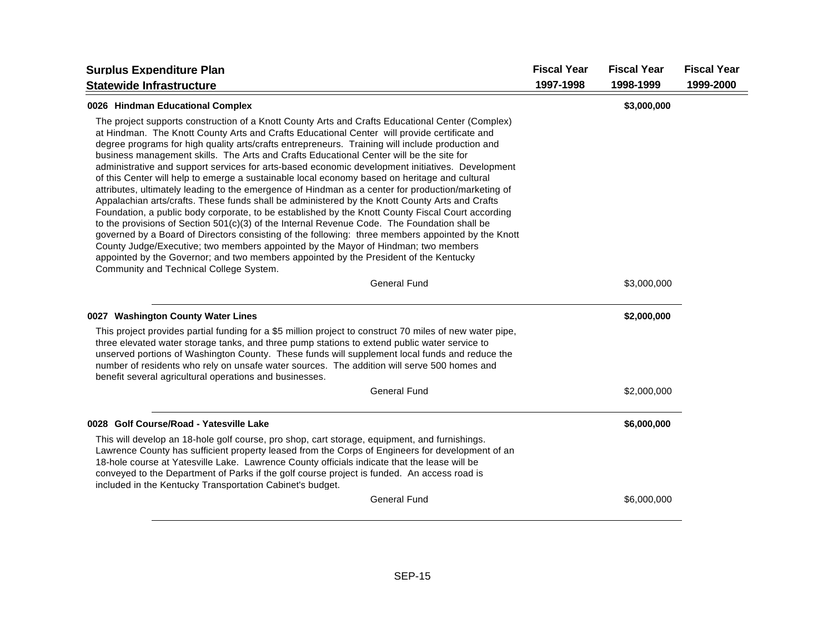| <b>Surplus Expenditure Plan</b>                                                                                                                                                                                                                                                                                                                                                                                                                                                                                                                                                                                                                                                                                                                                                                                                                                                                                                                                                                                                                                                                                                                                                                                                                                                                                                                     | <b>Fiscal Year</b> | <b>Fiscal Year</b> | <b>Fiscal Year</b> |
|-----------------------------------------------------------------------------------------------------------------------------------------------------------------------------------------------------------------------------------------------------------------------------------------------------------------------------------------------------------------------------------------------------------------------------------------------------------------------------------------------------------------------------------------------------------------------------------------------------------------------------------------------------------------------------------------------------------------------------------------------------------------------------------------------------------------------------------------------------------------------------------------------------------------------------------------------------------------------------------------------------------------------------------------------------------------------------------------------------------------------------------------------------------------------------------------------------------------------------------------------------------------------------------------------------------------------------------------------------|--------------------|--------------------|--------------------|
| <b>Statewide Infrastructure</b>                                                                                                                                                                                                                                                                                                                                                                                                                                                                                                                                                                                                                                                                                                                                                                                                                                                                                                                                                                                                                                                                                                                                                                                                                                                                                                                     | 1997-1998          | 1998-1999          | 1999-2000          |
| 0026 Hindman Educational Complex                                                                                                                                                                                                                                                                                                                                                                                                                                                                                                                                                                                                                                                                                                                                                                                                                                                                                                                                                                                                                                                                                                                                                                                                                                                                                                                    |                    | \$3,000,000        |                    |
| The project supports construction of a Knott County Arts and Crafts Educational Center (Complex)<br>at Hindman. The Knott County Arts and Crafts Educational Center will provide certificate and<br>degree programs for high quality arts/crafts entrepreneurs. Training will include production and<br>business management skills. The Arts and Crafts Educational Center will be the site for<br>administrative and support services for arts-based economic development initiatives. Development<br>of this Center will help to emerge a sustainable local economy based on heritage and cultural<br>attributes, ultimately leading to the emergence of Hindman as a center for production/marketing of<br>Appalachian arts/crafts. These funds shall be administered by the Knott County Arts and Crafts<br>Foundation, a public body corporate, to be established by the Knott County Fiscal Court according<br>to the provisions of Section $501(c)(3)$ of the Internal Revenue Code. The Foundation shall be<br>governed by a Board of Directors consisting of the following: three members appointed by the Knott<br>County Judge/Executive; two members appointed by the Mayor of Hindman; two members<br>appointed by the Governor; and two members appointed by the President of the Kentucky<br>Community and Technical College System. |                    |                    |                    |
| <b>General Fund</b>                                                                                                                                                                                                                                                                                                                                                                                                                                                                                                                                                                                                                                                                                                                                                                                                                                                                                                                                                                                                                                                                                                                                                                                                                                                                                                                                 |                    | \$3,000,000        |                    |
| 0027 Washington County Water Lines                                                                                                                                                                                                                                                                                                                                                                                                                                                                                                                                                                                                                                                                                                                                                                                                                                                                                                                                                                                                                                                                                                                                                                                                                                                                                                                  |                    | \$2,000,000        |                    |
| This project provides partial funding for a \$5 million project to construct 70 miles of new water pipe,<br>three elevated water storage tanks, and three pump stations to extend public water service to<br>unserved portions of Washington County. These funds will supplement local funds and reduce the<br>number of residents who rely on unsafe water sources. The addition will serve 500 homes and<br>benefit several agricultural operations and businesses.                                                                                                                                                                                                                                                                                                                                                                                                                                                                                                                                                                                                                                                                                                                                                                                                                                                                               |                    |                    |                    |
| <b>General Fund</b>                                                                                                                                                                                                                                                                                                                                                                                                                                                                                                                                                                                                                                                                                                                                                                                                                                                                                                                                                                                                                                                                                                                                                                                                                                                                                                                                 |                    | \$2,000,000        |                    |
| 0028 Golf Course/Road - Yatesville Lake                                                                                                                                                                                                                                                                                                                                                                                                                                                                                                                                                                                                                                                                                                                                                                                                                                                                                                                                                                                                                                                                                                                                                                                                                                                                                                             |                    | \$6,000,000        |                    |
| This will develop an 18-hole golf course, pro shop, cart storage, equipment, and furnishings.<br>Lawrence County has sufficient property leased from the Corps of Engineers for development of an<br>18-hole course at Yatesville Lake. Lawrence County officials indicate that the lease will be<br>conveyed to the Department of Parks if the golf course project is funded. An access road is<br>included in the Kentucky Transportation Cabinet's budget.                                                                                                                                                                                                                                                                                                                                                                                                                                                                                                                                                                                                                                                                                                                                                                                                                                                                                       |                    |                    |                    |
| <b>General Fund</b>                                                                                                                                                                                                                                                                                                                                                                                                                                                                                                                                                                                                                                                                                                                                                                                                                                                                                                                                                                                                                                                                                                                                                                                                                                                                                                                                 |                    | \$6,000,000        |                    |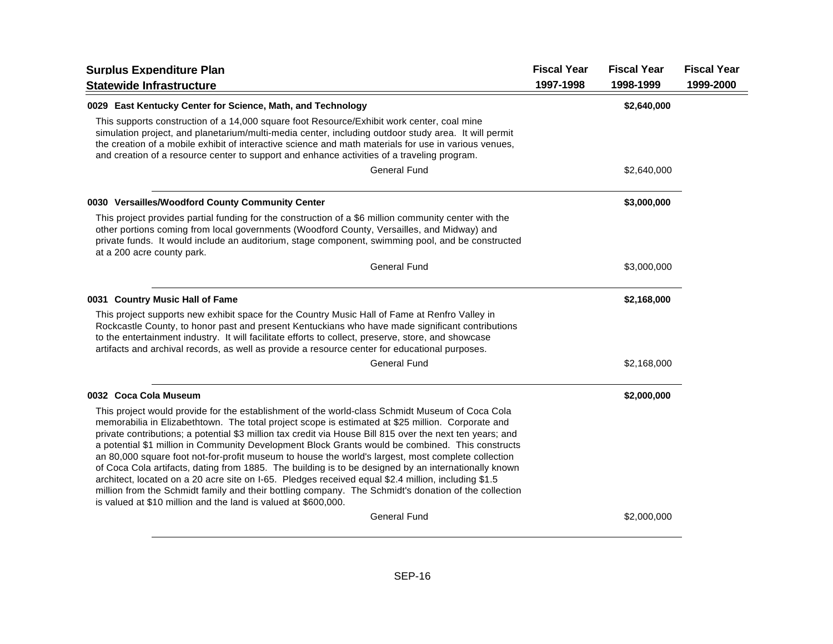| <b>Surplus Expenditure Plan</b><br><b>Statewide Infrastructure</b>                                                                                                                                                                                                                                                                                                                                                                                                                                                                                                                                                                                                                                                                                                                                                                                                                                                   | <b>Fiscal Year</b><br>1997-1998 | <b>Fiscal Year</b><br>1998-1999 | <b>Fiscal Year</b><br>1999-2000 |
|----------------------------------------------------------------------------------------------------------------------------------------------------------------------------------------------------------------------------------------------------------------------------------------------------------------------------------------------------------------------------------------------------------------------------------------------------------------------------------------------------------------------------------------------------------------------------------------------------------------------------------------------------------------------------------------------------------------------------------------------------------------------------------------------------------------------------------------------------------------------------------------------------------------------|---------------------------------|---------------------------------|---------------------------------|
| 0029 East Kentucky Center for Science, Math, and Technology                                                                                                                                                                                                                                                                                                                                                                                                                                                                                                                                                                                                                                                                                                                                                                                                                                                          |                                 | \$2,640,000                     |                                 |
| This supports construction of a 14,000 square foot Resource/Exhibit work center, coal mine<br>simulation project, and planetarium/multi-media center, including outdoor study area. It will permit<br>the creation of a mobile exhibit of interactive science and math materials for use in various venues,<br>and creation of a resource center to support and enhance activities of a traveling program.                                                                                                                                                                                                                                                                                                                                                                                                                                                                                                           |                                 |                                 |                                 |
| <b>General Fund</b>                                                                                                                                                                                                                                                                                                                                                                                                                                                                                                                                                                                                                                                                                                                                                                                                                                                                                                  |                                 | \$2,640,000                     |                                 |
| 0030 Versailles/Woodford County Community Center                                                                                                                                                                                                                                                                                                                                                                                                                                                                                                                                                                                                                                                                                                                                                                                                                                                                     |                                 | \$3,000,000                     |                                 |
| This project provides partial funding for the construction of a \$6 million community center with the<br>other portions coming from local governments (Woodford County, Versailles, and Midway) and<br>private funds. It would include an auditorium, stage component, swimming pool, and be constructed<br>at a 200 acre county park.                                                                                                                                                                                                                                                                                                                                                                                                                                                                                                                                                                               |                                 |                                 |                                 |
| <b>General Fund</b>                                                                                                                                                                                                                                                                                                                                                                                                                                                                                                                                                                                                                                                                                                                                                                                                                                                                                                  |                                 | \$3,000,000                     |                                 |
| 0031 Country Music Hall of Fame                                                                                                                                                                                                                                                                                                                                                                                                                                                                                                                                                                                                                                                                                                                                                                                                                                                                                      |                                 | \$2,168,000                     |                                 |
| This project supports new exhibit space for the Country Music Hall of Fame at Renfro Valley in<br>Rockcastle County, to honor past and present Kentuckians who have made significant contributions<br>to the entertainment industry. It will facilitate efforts to collect, preserve, store, and showcase<br>artifacts and archival records, as well as provide a resource center for educational purposes.                                                                                                                                                                                                                                                                                                                                                                                                                                                                                                          |                                 |                                 |                                 |
| <b>General Fund</b>                                                                                                                                                                                                                                                                                                                                                                                                                                                                                                                                                                                                                                                                                                                                                                                                                                                                                                  |                                 | \$2,168,000                     |                                 |
| 0032 Coca Cola Museum                                                                                                                                                                                                                                                                                                                                                                                                                                                                                                                                                                                                                                                                                                                                                                                                                                                                                                |                                 | \$2,000,000                     |                                 |
| This project would provide for the establishment of the world-class Schmidt Museum of Coca Cola<br>memorabilia in Elizabethtown. The total project scope is estimated at \$25 million. Corporate and<br>private contributions; a potential \$3 million tax credit via House Bill 815 over the next ten years; and<br>a potential \$1 million in Community Development Block Grants would be combined. This constructs<br>an 80,000 square foot not-for-profit museum to house the world's largest, most complete collection<br>of Coca Cola artifacts, dating from 1885. The building is to be designed by an internationally known<br>architect, located on a 20 acre site on I-65. Pledges received equal \$2.4 million, including \$1.5<br>million from the Schmidt family and their bottling company. The Schmidt's donation of the collection<br>is valued at \$10 million and the land is valued at \$600,000. |                                 |                                 |                                 |
| <b>General Fund</b>                                                                                                                                                                                                                                                                                                                                                                                                                                                                                                                                                                                                                                                                                                                                                                                                                                                                                                  |                                 | \$2,000,000                     |                                 |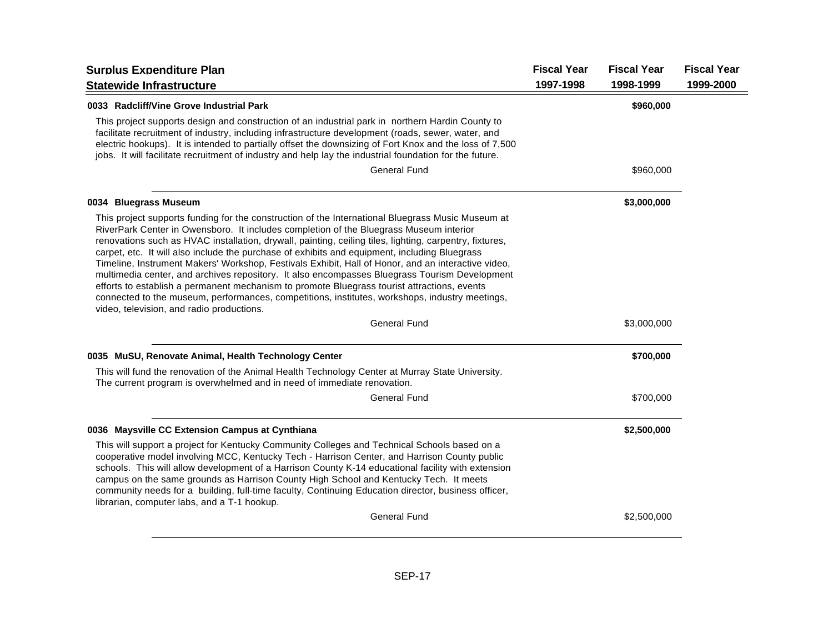| <b>Surplus Expenditure Plan</b>                                                                                                                                                                                                                                                                                                                                                                                                                                                                                                                                                                                                                                                                                                                                                                                                                              | <b>Fiscal Year</b> | <b>Fiscal Year</b> | <b>Fiscal Year</b> |
|--------------------------------------------------------------------------------------------------------------------------------------------------------------------------------------------------------------------------------------------------------------------------------------------------------------------------------------------------------------------------------------------------------------------------------------------------------------------------------------------------------------------------------------------------------------------------------------------------------------------------------------------------------------------------------------------------------------------------------------------------------------------------------------------------------------------------------------------------------------|--------------------|--------------------|--------------------|
| <b>Statewide Infrastructure</b>                                                                                                                                                                                                                                                                                                                                                                                                                                                                                                                                                                                                                                                                                                                                                                                                                              | 1997-1998          | 1998-1999          | 1999-2000          |
| 0033 Radcliff/Vine Grove Industrial Park                                                                                                                                                                                                                                                                                                                                                                                                                                                                                                                                                                                                                                                                                                                                                                                                                     |                    | \$960,000          |                    |
| This project supports design and construction of an industrial park in northern Hardin County to<br>facilitate recruitment of industry, including infrastructure development (roads, sewer, water, and<br>electric hookups). It is intended to partially offset the downsizing of Fort Knox and the loss of 7,500<br>jobs. It will facilitate recruitment of industry and help lay the industrial foundation for the future.                                                                                                                                                                                                                                                                                                                                                                                                                                 |                    |                    |                    |
| <b>General Fund</b>                                                                                                                                                                                                                                                                                                                                                                                                                                                                                                                                                                                                                                                                                                                                                                                                                                          |                    | \$960,000          |                    |
| 0034 Bluegrass Museum                                                                                                                                                                                                                                                                                                                                                                                                                                                                                                                                                                                                                                                                                                                                                                                                                                        |                    | \$3,000,000        |                    |
| This project supports funding for the construction of the International Bluegrass Music Museum at<br>RiverPark Center in Owensboro. It includes completion of the Bluegrass Museum interior<br>renovations such as HVAC installation, drywall, painting, ceiling tiles, lighting, carpentry, fixtures,<br>carpet, etc. It will also include the purchase of exhibits and equipment, including Bluegrass<br>Timeline, Instrument Makers' Workshop, Festivals Exhibit, Hall of Honor, and an interactive video,<br>multimedia center, and archives repository. It also encompasses Bluegrass Tourism Development<br>efforts to establish a permanent mechanism to promote Bluegrass tourist attractions, events<br>connected to the museum, performances, competitions, institutes, workshops, industry meetings,<br>video, television, and radio productions. |                    |                    |                    |
| <b>General Fund</b>                                                                                                                                                                                                                                                                                                                                                                                                                                                                                                                                                                                                                                                                                                                                                                                                                                          |                    | \$3,000,000        |                    |
| 0035 MuSU, Renovate Animal, Health Technology Center                                                                                                                                                                                                                                                                                                                                                                                                                                                                                                                                                                                                                                                                                                                                                                                                         |                    | \$700,000          |                    |
| This will fund the renovation of the Animal Health Technology Center at Murray State University.<br>The current program is overwhelmed and in need of immediate renovation.                                                                                                                                                                                                                                                                                                                                                                                                                                                                                                                                                                                                                                                                                  |                    |                    |                    |
| <b>General Fund</b>                                                                                                                                                                                                                                                                                                                                                                                                                                                                                                                                                                                                                                                                                                                                                                                                                                          |                    | \$700,000          |                    |
| 0036 Maysville CC Extension Campus at Cynthiana                                                                                                                                                                                                                                                                                                                                                                                                                                                                                                                                                                                                                                                                                                                                                                                                              |                    | \$2,500,000        |                    |
| This will support a project for Kentucky Community Colleges and Technical Schools based on a<br>cooperative model involving MCC, Kentucky Tech - Harrison Center, and Harrison County public<br>schools. This will allow development of a Harrison County K-14 educational facility with extension<br>campus on the same grounds as Harrison County High School and Kentucky Tech. It meets<br>community needs for a building, full-time faculty, Continuing Education director, business officer,<br>librarian, computer labs, and a T-1 hookup.                                                                                                                                                                                                                                                                                                            |                    |                    |                    |
| <b>General Fund</b>                                                                                                                                                                                                                                                                                                                                                                                                                                                                                                                                                                                                                                                                                                                                                                                                                                          |                    | \$2,500,000        |                    |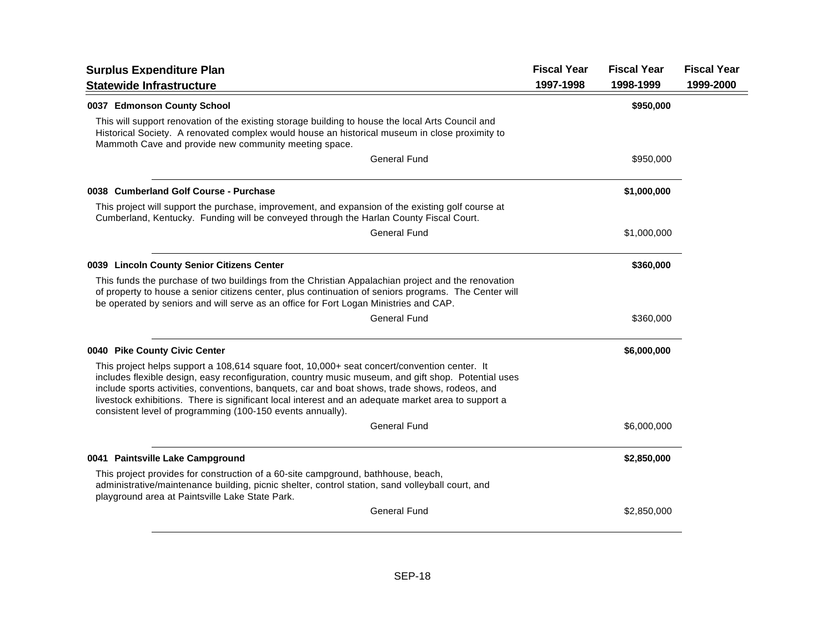| <b>Surplus Expenditure Plan</b>                                                                                                                                                                                                                                                                                                                                                                                                                                            | <b>Fiscal Year</b> | <b>Fiscal Year</b> | <b>Fiscal Year</b> |
|----------------------------------------------------------------------------------------------------------------------------------------------------------------------------------------------------------------------------------------------------------------------------------------------------------------------------------------------------------------------------------------------------------------------------------------------------------------------------|--------------------|--------------------|--------------------|
| <b>Statewide Infrastructure</b>                                                                                                                                                                                                                                                                                                                                                                                                                                            | 1997-1998          | 1998-1999          | 1999-2000          |
| 0037 Edmonson County School                                                                                                                                                                                                                                                                                                                                                                                                                                                |                    | \$950,000          |                    |
| This will support renovation of the existing storage building to house the local Arts Council and<br>Historical Society. A renovated complex would house an historical museum in close proximity to<br>Mammoth Cave and provide new community meeting space.                                                                                                                                                                                                               |                    |                    |                    |
| General Fund                                                                                                                                                                                                                                                                                                                                                                                                                                                               |                    | \$950,000          |                    |
| 0038 Cumberland Golf Course - Purchase                                                                                                                                                                                                                                                                                                                                                                                                                                     |                    | \$1,000,000        |                    |
| This project will support the purchase, improvement, and expansion of the existing golf course at<br>Cumberland, Kentucky. Funding will be conveyed through the Harlan County Fiscal Court.                                                                                                                                                                                                                                                                                |                    |                    |                    |
| General Fund                                                                                                                                                                                                                                                                                                                                                                                                                                                               |                    | \$1,000,000        |                    |
| 0039 Lincoln County Senior Citizens Center                                                                                                                                                                                                                                                                                                                                                                                                                                 |                    | \$360,000          |                    |
| This funds the purchase of two buildings from the Christian Appalachian project and the renovation<br>of property to house a senior citizens center, plus continuation of seniors programs. The Center will<br>be operated by seniors and will serve as an office for Fort Logan Ministries and CAP.                                                                                                                                                                       |                    |                    |                    |
| <b>General Fund</b>                                                                                                                                                                                                                                                                                                                                                                                                                                                        |                    | \$360,000          |                    |
| 0040 Pike County Civic Center                                                                                                                                                                                                                                                                                                                                                                                                                                              |                    | \$6,000,000        |                    |
| This project helps support a 108,614 square foot, 10,000+ seat concert/convention center. It<br>includes flexible design, easy reconfiguration, country music museum, and gift shop. Potential uses<br>include sports activities, conventions, banquets, car and boat shows, trade shows, rodeos, and<br>livestock exhibitions. There is significant local interest and an adequate market area to support a<br>consistent level of programming (100-150 events annually). |                    |                    |                    |
| <b>General Fund</b>                                                                                                                                                                                                                                                                                                                                                                                                                                                        |                    | \$6,000,000        |                    |
| 0041 Paintsville Lake Campground                                                                                                                                                                                                                                                                                                                                                                                                                                           |                    | \$2,850,000        |                    |
| This project provides for construction of a 60-site campground, bathhouse, beach,<br>administrative/maintenance building, picnic shelter, control station, sand volleyball court, and<br>playground area at Paintsville Lake State Park.                                                                                                                                                                                                                                   |                    |                    |                    |
| <b>General Fund</b>                                                                                                                                                                                                                                                                                                                                                                                                                                                        |                    | \$2,850,000        |                    |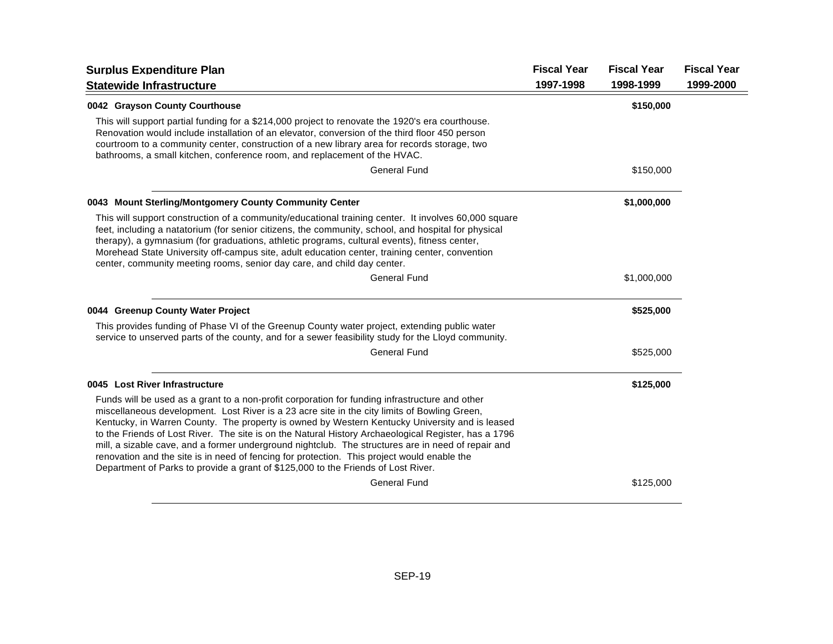| <b>Surplus Expenditure Plan</b>                                                                                                                                                                                                                                                                                                                                                                                                                                                                                                                                                                                                                                                                    | <b>Fiscal Year</b> | <b>Fiscal Year</b> | <b>Fiscal Year</b> |
|----------------------------------------------------------------------------------------------------------------------------------------------------------------------------------------------------------------------------------------------------------------------------------------------------------------------------------------------------------------------------------------------------------------------------------------------------------------------------------------------------------------------------------------------------------------------------------------------------------------------------------------------------------------------------------------------------|--------------------|--------------------|--------------------|
| <b>Statewide Infrastructure</b>                                                                                                                                                                                                                                                                                                                                                                                                                                                                                                                                                                                                                                                                    | 1997-1998          | 1998-1999          | 1999-2000          |
| 0042 Grayson County Courthouse                                                                                                                                                                                                                                                                                                                                                                                                                                                                                                                                                                                                                                                                     |                    | \$150,000          |                    |
| This will support partial funding for a \$214,000 project to renovate the 1920's era courthouse.<br>Renovation would include installation of an elevator, conversion of the third floor 450 person<br>courtroom to a community center, construction of a new library area for records storage, two<br>bathrooms, a small kitchen, conference room, and replacement of the HVAC.                                                                                                                                                                                                                                                                                                                    |                    |                    |                    |
| <b>General Fund</b>                                                                                                                                                                                                                                                                                                                                                                                                                                                                                                                                                                                                                                                                                |                    | \$150,000          |                    |
| 0043 Mount Sterling/Montgomery County Community Center                                                                                                                                                                                                                                                                                                                                                                                                                                                                                                                                                                                                                                             |                    | \$1,000,000        |                    |
| This will support construction of a community/educational training center. It involves 60,000 square<br>feet, including a natatorium (for senior citizens, the community, school, and hospital for physical<br>therapy), a gymnasium (for graduations, athletic programs, cultural events), fitness center,<br>Morehead State University off-campus site, adult education center, training center, convention<br>center, community meeting rooms, senior day care, and child day center.                                                                                                                                                                                                           |                    |                    |                    |
| <b>General Fund</b>                                                                                                                                                                                                                                                                                                                                                                                                                                                                                                                                                                                                                                                                                |                    | \$1,000,000        |                    |
| 0044 Greenup County Water Project                                                                                                                                                                                                                                                                                                                                                                                                                                                                                                                                                                                                                                                                  |                    | \$525,000          |                    |
| This provides funding of Phase VI of the Greenup County water project, extending public water<br>service to unserved parts of the county, and for a sewer feasibility study for the Lloyd community.                                                                                                                                                                                                                                                                                                                                                                                                                                                                                               |                    |                    |                    |
| <b>General Fund</b>                                                                                                                                                                                                                                                                                                                                                                                                                                                                                                                                                                                                                                                                                |                    | \$525,000          |                    |
| 0045 Lost River Infrastructure                                                                                                                                                                                                                                                                                                                                                                                                                                                                                                                                                                                                                                                                     |                    | \$125,000          |                    |
| Funds will be used as a grant to a non-profit corporation for funding infrastructure and other<br>miscellaneous development. Lost River is a 23 acre site in the city limits of Bowling Green,<br>Kentucky, in Warren County. The property is owned by Western Kentucky University and is leased<br>to the Friends of Lost River. The site is on the Natural History Archaeological Register, has a 1796<br>mill, a sizable cave, and a former underground nightclub. The structures are in need of repair and<br>renovation and the site is in need of fencing for protection. This project would enable the<br>Department of Parks to provide a grant of \$125,000 to the Friends of Lost River. |                    |                    |                    |
| <b>General Fund</b>                                                                                                                                                                                                                                                                                                                                                                                                                                                                                                                                                                                                                                                                                |                    | \$125,000          |                    |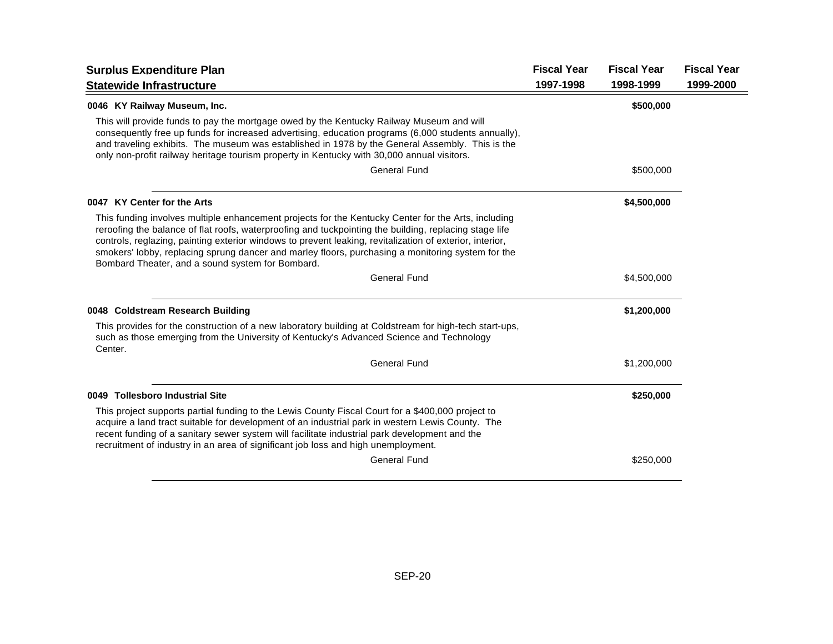| <b>Surplus Expenditure Plan</b>                                                                                                                                                                                                                                                                                                                                                                                                                                                    | <b>Fiscal Year</b> | <b>Fiscal Year</b> | <b>Fiscal Year</b> |
|------------------------------------------------------------------------------------------------------------------------------------------------------------------------------------------------------------------------------------------------------------------------------------------------------------------------------------------------------------------------------------------------------------------------------------------------------------------------------------|--------------------|--------------------|--------------------|
| <b>Statewide Infrastructure</b>                                                                                                                                                                                                                                                                                                                                                                                                                                                    | 1997-1998          | 1998-1999          | 1999-2000          |
| 0046 KY Railway Museum, Inc.                                                                                                                                                                                                                                                                                                                                                                                                                                                       |                    | \$500,000          |                    |
| This will provide funds to pay the mortgage owed by the Kentucky Railway Museum and will<br>consequently free up funds for increased advertising, education programs (6,000 students annually),<br>and traveling exhibits. The museum was established in 1978 by the General Assembly. This is the<br>only non-profit railway heritage tourism property in Kentucky with 30,000 annual visitors.                                                                                   |                    |                    |                    |
| <b>General Fund</b>                                                                                                                                                                                                                                                                                                                                                                                                                                                                |                    | \$500,000          |                    |
| 0047 KY Center for the Arts                                                                                                                                                                                                                                                                                                                                                                                                                                                        |                    | \$4,500,000        |                    |
| This funding involves multiple enhancement projects for the Kentucky Center for the Arts, including<br>reroofing the balance of flat roofs, waterproofing and tuckpointing the building, replacing stage life<br>controls, reglazing, painting exterior windows to prevent leaking, revitalization of exterior, interior,<br>smokers' lobby, replacing sprung dancer and marley floors, purchasing a monitoring system for the<br>Bombard Theater, and a sound system for Bombard. |                    |                    |                    |
| <b>General Fund</b>                                                                                                                                                                                                                                                                                                                                                                                                                                                                |                    | \$4,500,000        |                    |
| 0048 Coldstream Research Building                                                                                                                                                                                                                                                                                                                                                                                                                                                  |                    | \$1,200,000        |                    |
| This provides for the construction of a new laboratory building at Coldstream for high-tech start-ups,<br>such as those emerging from the University of Kentucky's Advanced Science and Technology<br>Center.                                                                                                                                                                                                                                                                      |                    |                    |                    |
| <b>General Fund</b>                                                                                                                                                                                                                                                                                                                                                                                                                                                                |                    | \$1,200,000        |                    |
| 0049 Tollesboro Industrial Site                                                                                                                                                                                                                                                                                                                                                                                                                                                    |                    | \$250,000          |                    |
| This project supports partial funding to the Lewis County Fiscal Court for a \$400,000 project to<br>acquire a land tract suitable for development of an industrial park in western Lewis County. The<br>recent funding of a sanitary sewer system will facilitate industrial park development and the<br>recruitment of industry in an area of significant job loss and high unemployment.                                                                                        |                    |                    |                    |
| <b>General Fund</b>                                                                                                                                                                                                                                                                                                                                                                                                                                                                |                    | \$250,000          |                    |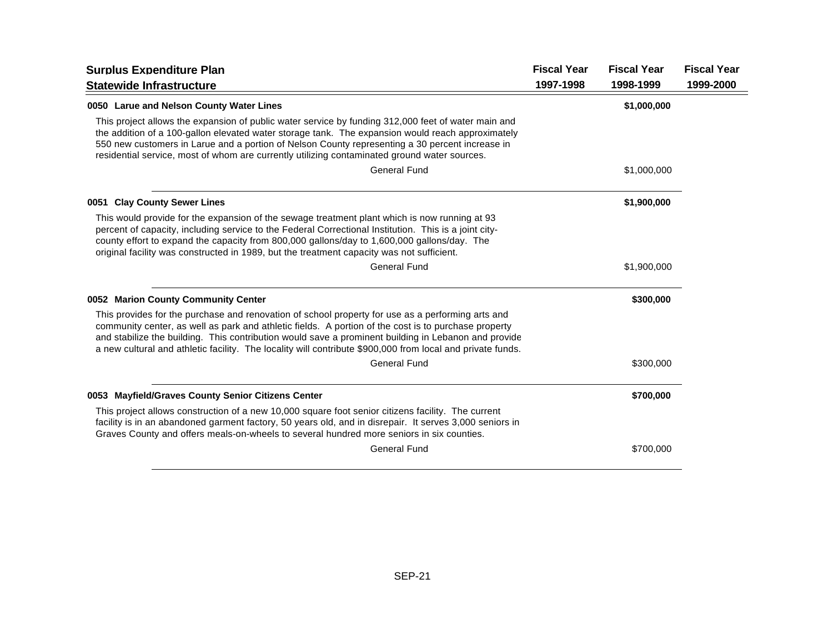| <b>Surplus Expenditure Plan</b>                                                                                                                                                                                                                                                                                                                                                                                                 | <b>Fiscal Year</b> | <b>Fiscal Year</b> | <b>Fiscal Year</b> |
|---------------------------------------------------------------------------------------------------------------------------------------------------------------------------------------------------------------------------------------------------------------------------------------------------------------------------------------------------------------------------------------------------------------------------------|--------------------|--------------------|--------------------|
| <b>Statewide Infrastructure</b>                                                                                                                                                                                                                                                                                                                                                                                                 | 1997-1998          | 1998-1999          | 1999-2000          |
| 0050 Larue and Nelson County Water Lines                                                                                                                                                                                                                                                                                                                                                                                        |                    | \$1,000,000        |                    |
| This project allows the expansion of public water service by funding 312,000 feet of water main and<br>the addition of a 100-gallon elevated water storage tank. The expansion would reach approximately<br>550 new customers in Larue and a portion of Nelson County representing a 30 percent increase in<br>residential service, most of whom are currently utilizing contaminated ground water sources.                     |                    |                    |                    |
| <b>General Fund</b>                                                                                                                                                                                                                                                                                                                                                                                                             |                    | \$1,000,000        |                    |
| 0051 Clay County Sewer Lines                                                                                                                                                                                                                                                                                                                                                                                                    |                    | \$1,900,000        |                    |
| This would provide for the expansion of the sewage treatment plant which is now running at 93<br>percent of capacity, including service to the Federal Correctional Institution. This is a joint city-<br>county effort to expand the capacity from 800,000 gallons/day to 1,600,000 gallons/day. The<br>original facility was constructed in 1989, but the treatment capacity was not sufficient.                              |                    |                    |                    |
| <b>General Fund</b>                                                                                                                                                                                                                                                                                                                                                                                                             |                    | \$1,900,000        |                    |
| 0052 Marion County Community Center                                                                                                                                                                                                                                                                                                                                                                                             |                    | \$300,000          |                    |
| This provides for the purchase and renovation of school property for use as a performing arts and<br>community center, as well as park and athletic fields. A portion of the cost is to purchase property<br>and stabilize the building. This contribution would save a prominent building in Lebanon and provide<br>a new cultural and athletic facility. The locality will contribute \$900,000 from local and private funds. |                    |                    |                    |
| <b>General Fund</b>                                                                                                                                                                                                                                                                                                                                                                                                             |                    | \$300,000          |                    |
| 0053 Mayfield/Graves County Senior Citizens Center                                                                                                                                                                                                                                                                                                                                                                              |                    | \$700,000          |                    |
| This project allows construction of a new 10,000 square foot senior citizens facility. The current<br>facility is in an abandoned garment factory, 50 years old, and in disrepair. It serves 3,000 seniors in<br>Graves County and offers meals-on-wheels to several hundred more seniors in six counties.                                                                                                                      |                    |                    |                    |
| <b>General Fund</b>                                                                                                                                                                                                                                                                                                                                                                                                             |                    | \$700,000          |                    |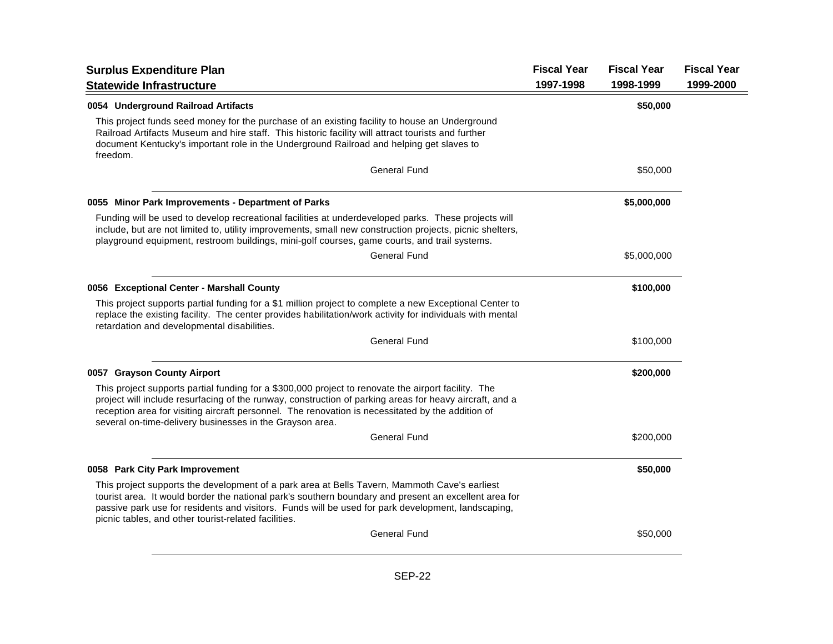|                                                                                                                                                                                                                                                                                                                                                                                 |           | <b>Fiscal Year</b> | <b>Fiscal Year</b> |
|---------------------------------------------------------------------------------------------------------------------------------------------------------------------------------------------------------------------------------------------------------------------------------------------------------------------------------------------------------------------------------|-----------|--------------------|--------------------|
| <b>Statewide Infrastructure</b>                                                                                                                                                                                                                                                                                                                                                 | 1997-1998 | 1998-1999          | 1999-2000          |
| 0054 Underground Railroad Artifacts                                                                                                                                                                                                                                                                                                                                             |           | \$50,000           |                    |
| This project funds seed money for the purchase of an existing facility to house an Underground<br>Railroad Artifacts Museum and hire staff. This historic facility will attract tourists and further<br>document Kentucky's important role in the Underground Railroad and helping get slaves to<br>freedom.                                                                    |           |                    |                    |
| <b>General Fund</b>                                                                                                                                                                                                                                                                                                                                                             |           | \$50,000           |                    |
| 0055 Minor Park Improvements - Department of Parks                                                                                                                                                                                                                                                                                                                              |           | \$5,000,000        |                    |
| Funding will be used to develop recreational facilities at underdeveloped parks. These projects will<br>include, but are not limited to, utility improvements, small new construction projects, picnic shelters,<br>playground equipment, restroom buildings, mini-golf courses, game courts, and trail systems.                                                                |           |                    |                    |
| <b>General Fund</b>                                                                                                                                                                                                                                                                                                                                                             |           | \$5,000,000        |                    |
| 0056 Exceptional Center - Marshall County                                                                                                                                                                                                                                                                                                                                       |           | \$100,000          |                    |
| This project supports partial funding for a \$1 million project to complete a new Exceptional Center to<br>replace the existing facility. The center provides habilitation/work activity for individuals with mental<br>retardation and developmental disabilities.                                                                                                             |           |                    |                    |
| <b>General Fund</b>                                                                                                                                                                                                                                                                                                                                                             |           | \$100,000          |                    |
| 0057 Grayson County Airport                                                                                                                                                                                                                                                                                                                                                     |           | \$200,000          |                    |
| This project supports partial funding for a \$300,000 project to renovate the airport facility. The<br>project will include resurfacing of the runway, construction of parking areas for heavy aircraft, and a<br>reception area for visiting aircraft personnel. The renovation is necessitated by the addition of<br>several on-time-delivery businesses in the Grayson area. |           |                    |                    |
| <b>General Fund</b>                                                                                                                                                                                                                                                                                                                                                             |           | \$200,000          |                    |
| 0058 Park City Park Improvement                                                                                                                                                                                                                                                                                                                                                 |           | \$50,000           |                    |
| This project supports the development of a park area at Bells Tavern, Mammoth Cave's earliest<br>tourist area. It would border the national park's southern boundary and present an excellent area for<br>passive park use for residents and visitors. Funds will be used for park development, landscaping,<br>picnic tables, and other tourist-related facilities.            |           |                    |                    |
| <b>General Fund</b>                                                                                                                                                                                                                                                                                                                                                             |           | \$50,000           |                    |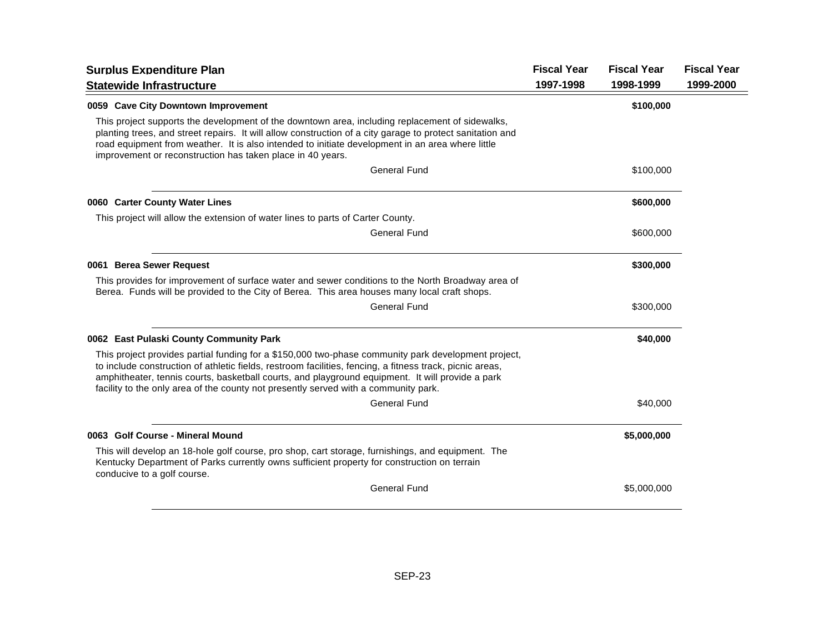| <b>Surplus Expenditure Plan</b>                                                                                                                                                                                                                                                                                                                                                                            | <b>Fiscal Year</b> | <b>Fiscal Year</b> | <b>Fiscal Year</b> |
|------------------------------------------------------------------------------------------------------------------------------------------------------------------------------------------------------------------------------------------------------------------------------------------------------------------------------------------------------------------------------------------------------------|--------------------|--------------------|--------------------|
| <b>Statewide Infrastructure</b>                                                                                                                                                                                                                                                                                                                                                                            | 1997-1998          | 1998-1999          | 1999-2000          |
| 0059 Cave City Downtown Improvement                                                                                                                                                                                                                                                                                                                                                                        |                    | \$100,000          |                    |
| This project supports the development of the downtown area, including replacement of sidewalks,<br>planting trees, and street repairs. It will allow construction of a city garage to protect sanitation and<br>road equipment from weather. It is also intended to initiate development in an area where little<br>improvement or reconstruction has taken place in 40 years.                             |                    |                    |                    |
| <b>General Fund</b>                                                                                                                                                                                                                                                                                                                                                                                        |                    | \$100,000          |                    |
| 0060 Carter County Water Lines                                                                                                                                                                                                                                                                                                                                                                             |                    | \$600,000          |                    |
| This project will allow the extension of water lines to parts of Carter County.                                                                                                                                                                                                                                                                                                                            |                    |                    |                    |
| <b>General Fund</b>                                                                                                                                                                                                                                                                                                                                                                                        |                    | \$600,000          |                    |
| 0061 Berea Sewer Request                                                                                                                                                                                                                                                                                                                                                                                   |                    | \$300,000          |                    |
| This provides for improvement of surface water and sewer conditions to the North Broadway area of<br>Berea. Funds will be provided to the City of Berea. This area houses many local craft shops.                                                                                                                                                                                                          |                    |                    |                    |
| <b>General Fund</b>                                                                                                                                                                                                                                                                                                                                                                                        |                    | \$300,000          |                    |
| 0062 East Pulaski County Community Park                                                                                                                                                                                                                                                                                                                                                                    |                    | \$40,000           |                    |
| This project provides partial funding for a \$150,000 two-phase community park development project,<br>to include construction of athletic fields, restroom facilities, fencing, a fitness track, picnic areas,<br>amphitheater, tennis courts, basketball courts, and playground equipment. It will provide a park<br>facility to the only area of the county not presently served with a community park. |                    |                    |                    |
| <b>General Fund</b>                                                                                                                                                                                                                                                                                                                                                                                        |                    | \$40,000           |                    |
| 0063 Golf Course - Mineral Mound                                                                                                                                                                                                                                                                                                                                                                           |                    | \$5,000,000        |                    |
| This will develop an 18-hole golf course, pro shop, cart storage, furnishings, and equipment. The<br>Kentucky Department of Parks currently owns sufficient property for construction on terrain<br>conducive to a golf course.                                                                                                                                                                            |                    |                    |                    |
| <b>General Fund</b>                                                                                                                                                                                                                                                                                                                                                                                        |                    | \$5,000,000        |                    |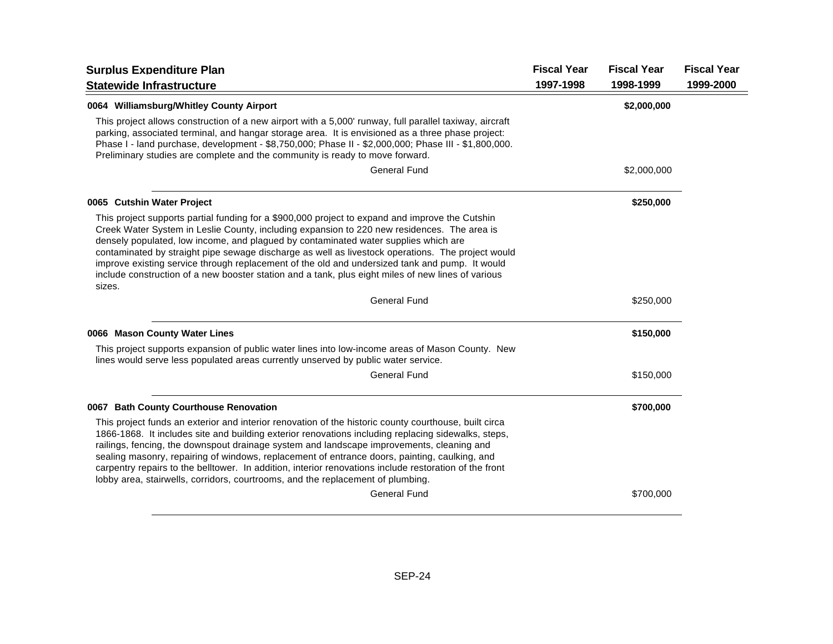| <b>Surplus Expenditure Plan</b>                                                                                                                                                                                                                                                                                                                                                                                                                                                                                                                                                                                                | <b>Fiscal Year</b> | <b>Fiscal Year</b> | <b>Fiscal Year</b> |
|--------------------------------------------------------------------------------------------------------------------------------------------------------------------------------------------------------------------------------------------------------------------------------------------------------------------------------------------------------------------------------------------------------------------------------------------------------------------------------------------------------------------------------------------------------------------------------------------------------------------------------|--------------------|--------------------|--------------------|
| <b>Statewide Infrastructure</b>                                                                                                                                                                                                                                                                                                                                                                                                                                                                                                                                                                                                | 1997-1998          | 1998-1999          | 1999-2000          |
| 0064 Williamsburg/Whitley County Airport                                                                                                                                                                                                                                                                                                                                                                                                                                                                                                                                                                                       |                    | \$2,000,000        |                    |
| This project allows construction of a new airport with a 5,000' runway, full parallel taxiway, aircraft<br>parking, associated terminal, and hangar storage area. It is envisioned as a three phase project:<br>Phase I - land purchase, development - \$8,750,000; Phase II - \$2,000,000; Phase III - \$1,800,000.<br>Preliminary studies are complete and the community is ready to move forward.                                                                                                                                                                                                                           |                    |                    |                    |
| <b>General Fund</b>                                                                                                                                                                                                                                                                                                                                                                                                                                                                                                                                                                                                            |                    | \$2,000,000        |                    |
| 0065 Cutshin Water Project                                                                                                                                                                                                                                                                                                                                                                                                                                                                                                                                                                                                     |                    | \$250,000          |                    |
| This project supports partial funding for a \$900,000 project to expand and improve the Cutshin<br>Creek Water System in Leslie County, including expansion to 220 new residences. The area is<br>densely populated, low income, and plagued by contaminated water supplies which are<br>contaminated by straight pipe sewage discharge as well as livestock operations. The project would<br>improve existing service through replacement of the old and undersized tank and pump. It would<br>include construction of a new booster station and a tank, plus eight miles of new lines of various<br>sizes.                   |                    |                    |                    |
| <b>General Fund</b>                                                                                                                                                                                                                                                                                                                                                                                                                                                                                                                                                                                                            |                    | \$250,000          |                    |
| 0066 Mason County Water Lines                                                                                                                                                                                                                                                                                                                                                                                                                                                                                                                                                                                                  |                    | \$150,000          |                    |
| This project supports expansion of public water lines into low-income areas of Mason County. New<br>lines would serve less populated areas currently unserved by public water service.                                                                                                                                                                                                                                                                                                                                                                                                                                         |                    |                    |                    |
| <b>General Fund</b>                                                                                                                                                                                                                                                                                                                                                                                                                                                                                                                                                                                                            |                    | \$150,000          |                    |
| 0067 Bath County Courthouse Renovation                                                                                                                                                                                                                                                                                                                                                                                                                                                                                                                                                                                         |                    | \$700,000          |                    |
| This project funds an exterior and interior renovation of the historic county courthouse, built circa<br>1866-1868. It includes site and building exterior renovations including replacing sidewalks, steps,<br>railings, fencing, the downspout drainage system and landscape improvements, cleaning and<br>sealing masonry, repairing of windows, replacement of entrance doors, painting, caulking, and<br>carpentry repairs to the belltower. In addition, interior renovations include restoration of the front<br>lobby area, stairwells, corridors, courtrooms, and the replacement of plumbing.<br><b>General Fund</b> |                    | \$700,000          |                    |
|                                                                                                                                                                                                                                                                                                                                                                                                                                                                                                                                                                                                                                |                    |                    |                    |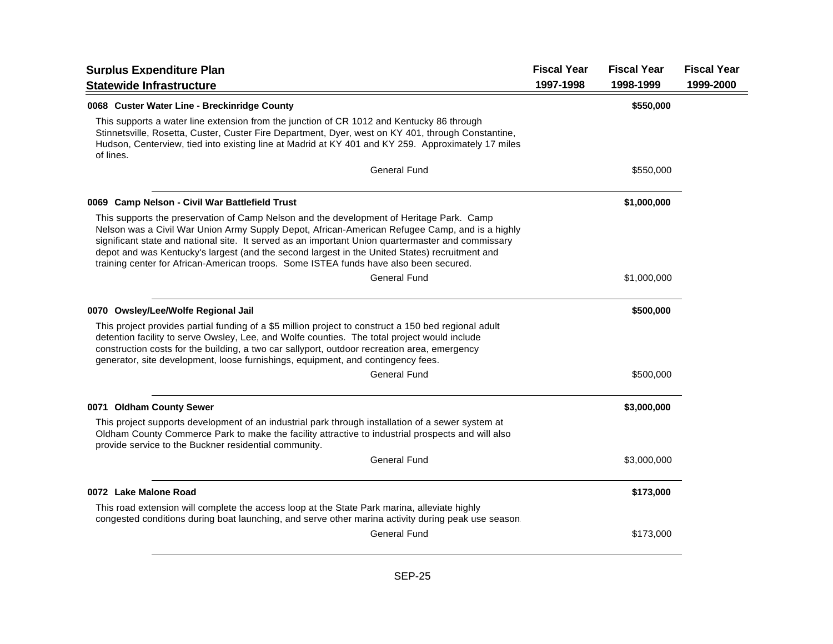| <b>Surplus Expenditure Plan</b>                                                                                                                                                                                                                                                                                                                                                                                                                                                            | <b>Fiscal Year</b> | <b>Fiscal Year</b> | <b>Fiscal Year</b> |
|--------------------------------------------------------------------------------------------------------------------------------------------------------------------------------------------------------------------------------------------------------------------------------------------------------------------------------------------------------------------------------------------------------------------------------------------------------------------------------------------|--------------------|--------------------|--------------------|
| <b>Statewide Infrastructure</b>                                                                                                                                                                                                                                                                                                                                                                                                                                                            | 1997-1998          | 1998-1999          | 1999-2000          |
| 0068 Custer Water Line - Breckinridge County                                                                                                                                                                                                                                                                                                                                                                                                                                               |                    | \$550,000          |                    |
| This supports a water line extension from the junction of CR 1012 and Kentucky 86 through<br>Stinnetsville, Rosetta, Custer, Custer Fire Department, Dyer, west on KY 401, through Constantine,<br>Hudson, Centerview, tied into existing line at Madrid at KY 401 and KY 259. Approximately 17 miles<br>of lines.                                                                                                                                                                         |                    |                    |                    |
| <b>General Fund</b>                                                                                                                                                                                                                                                                                                                                                                                                                                                                        |                    | \$550,000          |                    |
| 0069 Camp Nelson - Civil War Battlefield Trust                                                                                                                                                                                                                                                                                                                                                                                                                                             |                    | \$1,000,000        |                    |
| This supports the preservation of Camp Nelson and the development of Heritage Park. Camp<br>Nelson was a Civil War Union Army Supply Depot, African-American Refugee Camp, and is a highly<br>significant state and national site. It served as an important Union quartermaster and commissary<br>depot and was Kentucky's largest (and the second largest in the United States) recruitment and<br>training center for African-American troops. Some ISTEA funds have also been secured. |                    |                    |                    |
| General Fund                                                                                                                                                                                                                                                                                                                                                                                                                                                                               |                    | \$1,000,000        |                    |
| 0070 Owsley/Lee/Wolfe Regional Jail                                                                                                                                                                                                                                                                                                                                                                                                                                                        |                    | \$500,000          |                    |
| This project provides partial funding of a \$5 million project to construct a 150 bed regional adult<br>detention facility to serve Owsley, Lee, and Wolfe counties. The total project would include<br>construction costs for the building, a two car sallyport, outdoor recreation area, emergency<br>generator, site development, loose furnishings, equipment, and contingency fees.                                                                                                   |                    |                    |                    |
| General Fund                                                                                                                                                                                                                                                                                                                                                                                                                                                                               |                    | \$500,000          |                    |
| 0071 Oldham County Sewer                                                                                                                                                                                                                                                                                                                                                                                                                                                                   |                    | \$3,000,000        |                    |
| This project supports development of an industrial park through installation of a sewer system at<br>Oldham County Commerce Park to make the facility attractive to industrial prospects and will also<br>provide service to the Buckner residential community.                                                                                                                                                                                                                            |                    |                    |                    |
| <b>General Fund</b>                                                                                                                                                                                                                                                                                                                                                                                                                                                                        |                    | \$3,000,000        |                    |
| 0072 Lake Malone Road                                                                                                                                                                                                                                                                                                                                                                                                                                                                      |                    | \$173,000          |                    |
| This road extension will complete the access loop at the State Park marina, alleviate highly<br>congested conditions during boat launching, and serve other marina activity during peak use season.                                                                                                                                                                                                                                                                                        |                    |                    |                    |
| <b>General Fund</b>                                                                                                                                                                                                                                                                                                                                                                                                                                                                        |                    | \$173,000          |                    |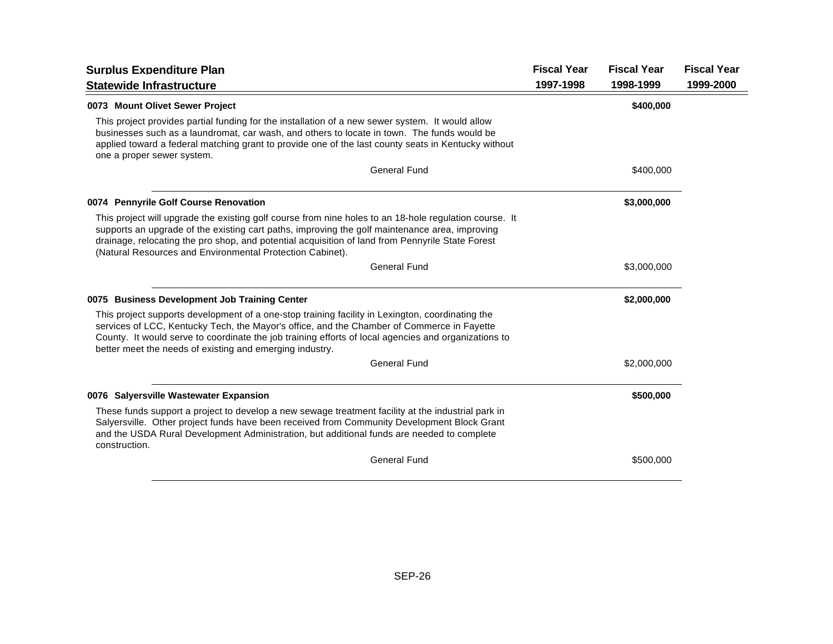| <b>Surplus Expenditure Plan</b>                                                                                                                                                                                                                                                                                                                                           | <b>Fiscal Year</b> | <b>Fiscal Year</b> | <b>Fiscal Year</b> |
|---------------------------------------------------------------------------------------------------------------------------------------------------------------------------------------------------------------------------------------------------------------------------------------------------------------------------------------------------------------------------|--------------------|--------------------|--------------------|
| <b>Statewide Infrastructure</b>                                                                                                                                                                                                                                                                                                                                           | 1997-1998          | 1998-1999          | 1999-2000          |
| 0073 Mount Olivet Sewer Project                                                                                                                                                                                                                                                                                                                                           |                    | \$400,000          |                    |
| This project provides partial funding for the installation of a new sewer system. It would allow<br>businesses such as a laundromat, car wash, and others to locate in town. The funds would be<br>applied toward a federal matching grant to provide one of the last county seats in Kentucky without<br>one a proper sewer system.                                      |                    |                    |                    |
| <b>General Fund</b>                                                                                                                                                                                                                                                                                                                                                       |                    | \$400,000          |                    |
| 0074 Pennyrile Golf Course Renovation                                                                                                                                                                                                                                                                                                                                     |                    | \$3,000,000        |                    |
| This project will upgrade the existing golf course from nine holes to an 18-hole regulation course. It<br>supports an upgrade of the existing cart paths, improving the golf maintenance area, improving<br>drainage, relocating the pro shop, and potential acquisition of land from Pennyrile State Forest<br>(Natural Resources and Environmental Protection Cabinet). |                    |                    |                    |
| <b>General Fund</b>                                                                                                                                                                                                                                                                                                                                                       |                    | \$3,000,000        |                    |
| 0075 Business Development Job Training Center                                                                                                                                                                                                                                                                                                                             |                    | \$2,000,000        |                    |
| This project supports development of a one-stop training facility in Lexington, coordinating the<br>services of LCC, Kentucky Tech, the Mayor's office, and the Chamber of Commerce in Fayette<br>County. It would serve to coordinate the job training efforts of local agencies and organizations to<br>better meet the needs of existing and emerging industry.        |                    |                    |                    |
| <b>General Fund</b>                                                                                                                                                                                                                                                                                                                                                       |                    | \$2,000,000        |                    |
| 0076 Salversville Wastewater Expansion                                                                                                                                                                                                                                                                                                                                    |                    | \$500,000          |                    |
| These funds support a project to develop a new sewage treatment facility at the industrial park in<br>Salyersville. Other project funds have been received from Community Development Block Grant<br>and the USDA Rural Development Administration, but additional funds are needed to complete<br>construction.                                                          |                    |                    |                    |
| <b>General Fund</b>                                                                                                                                                                                                                                                                                                                                                       |                    | \$500,000          |                    |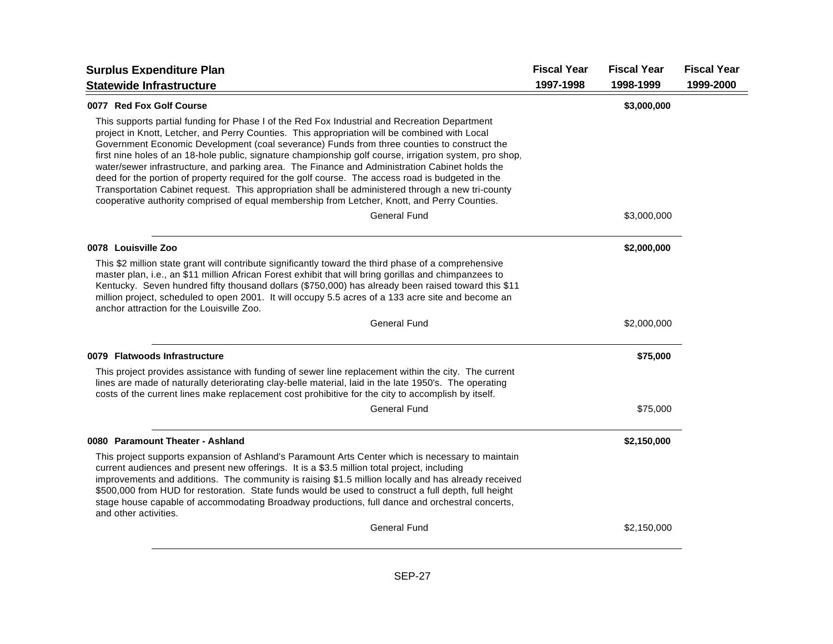| <b>Surplus Expenditure Plan</b>                                                                                                                                                                                                                                                                                                                                                                                                                                                                                                                                                                                                                                                                                                                                                                                      | <b>Fiscal Year</b> | <b>Fiscal Year</b> | <b>Fiscal Year</b> |
|----------------------------------------------------------------------------------------------------------------------------------------------------------------------------------------------------------------------------------------------------------------------------------------------------------------------------------------------------------------------------------------------------------------------------------------------------------------------------------------------------------------------------------------------------------------------------------------------------------------------------------------------------------------------------------------------------------------------------------------------------------------------------------------------------------------------|--------------------|--------------------|--------------------|
| <b>Statewide Infrastructure</b>                                                                                                                                                                                                                                                                                                                                                                                                                                                                                                                                                                                                                                                                                                                                                                                      | 1997-1998          | 1998-1999          | 1999-2000          |
| 0077 Red Fox Golf Course                                                                                                                                                                                                                                                                                                                                                                                                                                                                                                                                                                                                                                                                                                                                                                                             |                    | \$3,000,000        |                    |
| This supports partial funding for Phase I of the Red Fox Industrial and Recreation Department<br>project in Knott, Letcher, and Perry Counties. This appropriation will be combined with Local<br>Government Economic Development (coal severance) Funds from three counties to construct the<br>first nine holes of an 18-hole public, signature championship golf course, irrigation system, pro shop,<br>water/sewer infrastructure, and parking area. The Finance and Administration Cabinet holds the<br>deed for the portion of property required for the golf course. The access road is budgeted in the<br>Transportation Cabinet request. This appropriation shall be administered through a new tri-county<br>cooperative authority comprised of equal membership from Letcher, Knott, and Perry Counties. |                    |                    |                    |
| <b>General Fund</b>                                                                                                                                                                                                                                                                                                                                                                                                                                                                                                                                                                                                                                                                                                                                                                                                  |                    | \$3,000,000        |                    |
| 0078 Louisville Zoo                                                                                                                                                                                                                                                                                                                                                                                                                                                                                                                                                                                                                                                                                                                                                                                                  |                    | \$2,000,000        |                    |
| This \$2 million state grant will contribute significantly toward the third phase of a comprehensive<br>master plan, i.e., an \$11 million African Forest exhibit that will bring gorillas and chimpanzees to<br>Kentucky. Seven hundred fifty thousand dollars (\$750,000) has already been raised toward this \$11<br>million project, scheduled to open 2001. It will occupy 5.5 acres of a 133 acre site and become an<br>anchor attraction for the Louisville Zoo.                                                                                                                                                                                                                                                                                                                                              |                    |                    |                    |
| <b>General Fund</b>                                                                                                                                                                                                                                                                                                                                                                                                                                                                                                                                                                                                                                                                                                                                                                                                  |                    | \$2,000,000        |                    |
| 0079 Flatwoods Infrastructure                                                                                                                                                                                                                                                                                                                                                                                                                                                                                                                                                                                                                                                                                                                                                                                        |                    | \$75,000           |                    |
| This project provides assistance with funding of sewer line replacement within the city. The current<br>lines are made of naturally deteriorating clay-belle material, laid in the late 1950's. The operating<br>costs of the current lines make replacement cost prohibitive for the city to accomplish by itself.                                                                                                                                                                                                                                                                                                                                                                                                                                                                                                  |                    |                    |                    |
| <b>General Fund</b>                                                                                                                                                                                                                                                                                                                                                                                                                                                                                                                                                                                                                                                                                                                                                                                                  |                    | \$75,000           |                    |
| 0080 Paramount Theater - Ashland                                                                                                                                                                                                                                                                                                                                                                                                                                                                                                                                                                                                                                                                                                                                                                                     |                    | \$2,150,000        |                    |
| This project supports expansion of Ashland's Paramount Arts Center which is necessary to maintain<br>current audiences and present new offerings. It is a \$3.5 million total project, including<br>improvements and additions. The community is raising \$1.5 million locally and has already received<br>\$500,000 from HUD for restoration. State funds would be used to construct a full depth, full height<br>stage house capable of accommodating Broadway productions, full dance and orchestral concerts,<br>and other activities.                                                                                                                                                                                                                                                                           |                    |                    |                    |
| <b>General Fund</b>                                                                                                                                                                                                                                                                                                                                                                                                                                                                                                                                                                                                                                                                                                                                                                                                  |                    | \$2,150,000        |                    |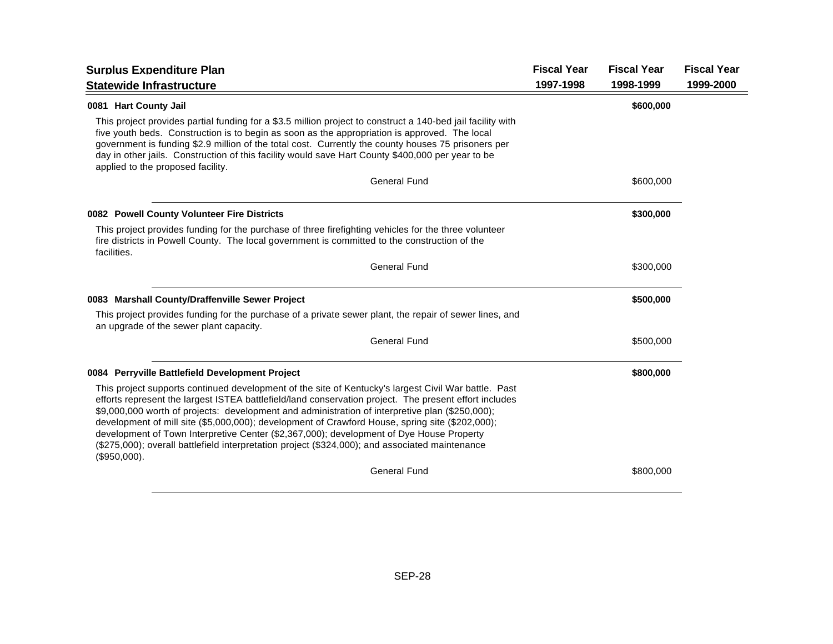| <b>Surplus Expenditure Plan</b>                                                                                                                                                                                                                                                                                                                                                                                                                                                                                                                                                                                                     | <b>Fiscal Year</b> | <b>Fiscal Year</b> | <b>Fiscal Year</b> |
|-------------------------------------------------------------------------------------------------------------------------------------------------------------------------------------------------------------------------------------------------------------------------------------------------------------------------------------------------------------------------------------------------------------------------------------------------------------------------------------------------------------------------------------------------------------------------------------------------------------------------------------|--------------------|--------------------|--------------------|
| <b>Statewide Infrastructure</b>                                                                                                                                                                                                                                                                                                                                                                                                                                                                                                                                                                                                     | 1997-1998          | 1998-1999          | 1999-2000          |
| 0081 Hart County Jail                                                                                                                                                                                                                                                                                                                                                                                                                                                                                                                                                                                                               |                    | \$600,000          |                    |
| This project provides partial funding for a \$3.5 million project to construct a 140-bed jail facility with<br>five youth beds. Construction is to begin as soon as the appropriation is approved. The local<br>government is funding \$2.9 million of the total cost. Currently the county houses 75 prisoners per<br>day in other jails. Construction of this facility would save Hart County \$400,000 per year to be<br>applied to the proposed facility.                                                                                                                                                                       |                    |                    |                    |
| <b>General Fund</b>                                                                                                                                                                                                                                                                                                                                                                                                                                                                                                                                                                                                                 |                    | \$600,000          |                    |
| 0082 Powell County Volunteer Fire Districts                                                                                                                                                                                                                                                                                                                                                                                                                                                                                                                                                                                         |                    | \$300,000          |                    |
| This project provides funding for the purchase of three firefighting vehicles for the three volunteer<br>fire districts in Powell County. The local government is committed to the construction of the<br>facilities.                                                                                                                                                                                                                                                                                                                                                                                                               |                    |                    |                    |
| <b>General Fund</b>                                                                                                                                                                                                                                                                                                                                                                                                                                                                                                                                                                                                                 |                    | \$300,000          |                    |
| 0083 Marshall County/Draffenville Sewer Project                                                                                                                                                                                                                                                                                                                                                                                                                                                                                                                                                                                     |                    | \$500,000          |                    |
| This project provides funding for the purchase of a private sewer plant, the repair of sewer lines, and<br>an upgrade of the sewer plant capacity.                                                                                                                                                                                                                                                                                                                                                                                                                                                                                  |                    |                    |                    |
| <b>General Fund</b>                                                                                                                                                                                                                                                                                                                                                                                                                                                                                                                                                                                                                 |                    | \$500,000          |                    |
| 0084 Perryville Battlefield Development Project                                                                                                                                                                                                                                                                                                                                                                                                                                                                                                                                                                                     |                    | \$800,000          |                    |
| This project supports continued development of the site of Kentucky's largest Civil War battle. Past<br>efforts represent the largest ISTEA battlefield/land conservation project. The present effort includes<br>\$9,000,000 worth of projects: development and administration of interpretive plan (\$250,000);<br>development of mill site (\$5,000,000); development of Crawford House, spring site (\$202,000);<br>development of Town Interpretive Center (\$2,367,000); development of Dye House Property<br>(\$275,000); overall battlefield interpretation project (\$324,000); and associated maintenance<br>(\$950,000). |                    |                    |                    |
| <b>General Fund</b>                                                                                                                                                                                                                                                                                                                                                                                                                                                                                                                                                                                                                 |                    | \$800,000          |                    |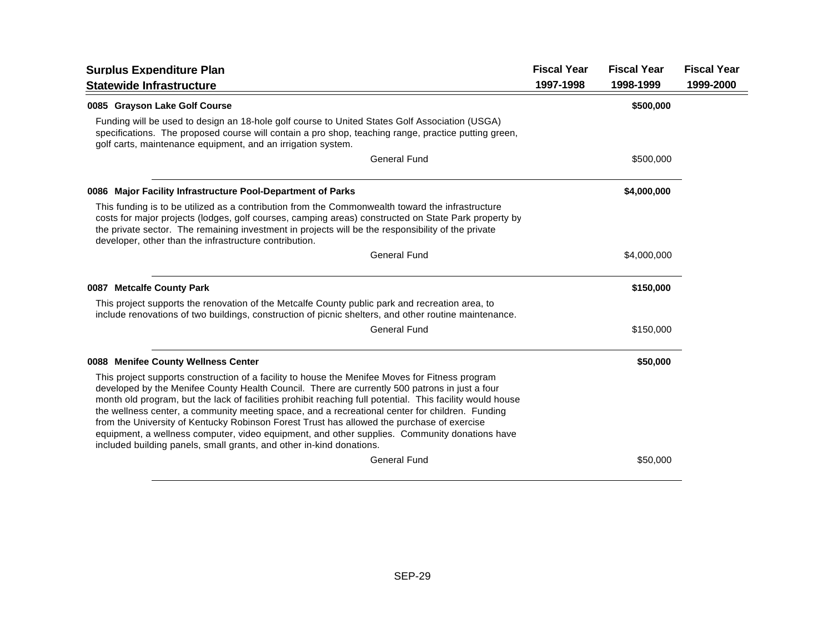| <b>Surplus Expenditure Plan</b>                                                                                                                                                                                                                                                                                                                                                                                                                                                                                                                                                                                                                                                          | <b>Fiscal Year</b> | <b>Fiscal Year</b> | <b>Fiscal Year</b> |
|------------------------------------------------------------------------------------------------------------------------------------------------------------------------------------------------------------------------------------------------------------------------------------------------------------------------------------------------------------------------------------------------------------------------------------------------------------------------------------------------------------------------------------------------------------------------------------------------------------------------------------------------------------------------------------------|--------------------|--------------------|--------------------|
| <b>Statewide Infrastructure</b>                                                                                                                                                                                                                                                                                                                                                                                                                                                                                                                                                                                                                                                          | 1997-1998          | 1998-1999          | 1999-2000          |
| 0085 Grayson Lake Golf Course                                                                                                                                                                                                                                                                                                                                                                                                                                                                                                                                                                                                                                                            |                    | \$500,000          |                    |
| Funding will be used to design an 18-hole golf course to United States Golf Association (USGA)<br>specifications. The proposed course will contain a pro shop, teaching range, practice putting green,<br>golf carts, maintenance equipment, and an irrigation system.                                                                                                                                                                                                                                                                                                                                                                                                                   |                    |                    |                    |
| <b>General Fund</b>                                                                                                                                                                                                                                                                                                                                                                                                                                                                                                                                                                                                                                                                      |                    | \$500,000          |                    |
| 0086 Major Facility Infrastructure Pool-Department of Parks                                                                                                                                                                                                                                                                                                                                                                                                                                                                                                                                                                                                                              |                    | \$4,000,000        |                    |
| This funding is to be utilized as a contribution from the Commonwealth toward the infrastructure<br>costs for major projects (lodges, golf courses, camping areas) constructed on State Park property by<br>the private sector. The remaining investment in projects will be the responsibility of the private<br>developer, other than the infrastructure contribution.                                                                                                                                                                                                                                                                                                                 |                    |                    |                    |
| <b>General Fund</b>                                                                                                                                                                                                                                                                                                                                                                                                                                                                                                                                                                                                                                                                      |                    | \$4,000,000        |                    |
| 0087 Metcalfe County Park                                                                                                                                                                                                                                                                                                                                                                                                                                                                                                                                                                                                                                                                |                    | \$150,000          |                    |
| This project supports the renovation of the Metcalfe County public park and recreation area, to<br>include renovations of two buildings, construction of picnic shelters, and other routine maintenance.                                                                                                                                                                                                                                                                                                                                                                                                                                                                                 |                    |                    |                    |
| <b>General Fund</b>                                                                                                                                                                                                                                                                                                                                                                                                                                                                                                                                                                                                                                                                      |                    | \$150,000          |                    |
| 0088 Menifee County Wellness Center                                                                                                                                                                                                                                                                                                                                                                                                                                                                                                                                                                                                                                                      |                    | \$50,000           |                    |
| This project supports construction of a facility to house the Menifee Moves for Fitness program<br>developed by the Menifee County Health Council. There are currently 500 patrons in just a four<br>month old program, but the lack of facilities prohibit reaching full potential. This facility would house<br>the wellness center, a community meeting space, and a recreational center for children. Funding<br>from the University of Kentucky Robinson Forest Trust has allowed the purchase of exercise<br>equipment, a wellness computer, video equipment, and other supplies. Community donations have<br>included building panels, small grants, and other in-kind donations. |                    |                    |                    |
| <b>General Fund</b>                                                                                                                                                                                                                                                                                                                                                                                                                                                                                                                                                                                                                                                                      |                    | \$50,000           |                    |
|                                                                                                                                                                                                                                                                                                                                                                                                                                                                                                                                                                                                                                                                                          |                    |                    |                    |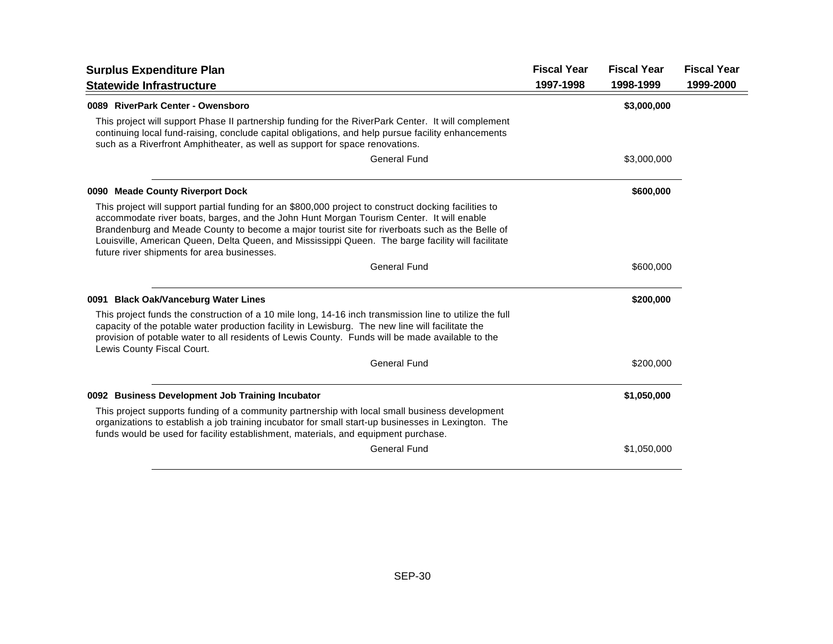| <b>Surplus Expenditure Plan</b>                                                                                                                                                                                                                                                                                                                                                                                                                           | <b>Fiscal Year</b> | <b>Fiscal Year</b> | <b>Fiscal Year</b> |
|-----------------------------------------------------------------------------------------------------------------------------------------------------------------------------------------------------------------------------------------------------------------------------------------------------------------------------------------------------------------------------------------------------------------------------------------------------------|--------------------|--------------------|--------------------|
| <b>Statewide Infrastructure</b>                                                                                                                                                                                                                                                                                                                                                                                                                           | 1997-1998          | 1998-1999          | 1999-2000          |
| 0089 RiverPark Center - Owensboro                                                                                                                                                                                                                                                                                                                                                                                                                         |                    | \$3,000,000        |                    |
| This project will support Phase II partnership funding for the RiverPark Center. It will complement<br>continuing local fund-raising, conclude capital obligations, and help pursue facility enhancements<br>such as a Riverfront Amphitheater, as well as support for space renovations.                                                                                                                                                                 |                    |                    |                    |
| <b>General Fund</b>                                                                                                                                                                                                                                                                                                                                                                                                                                       |                    | \$3,000,000        |                    |
| 0090 Meade County Riverport Dock                                                                                                                                                                                                                                                                                                                                                                                                                          |                    | \$600,000          |                    |
| This project will support partial funding for an \$800,000 project to construct docking facilities to<br>accommodate river boats, barges, and the John Hunt Morgan Tourism Center. It will enable<br>Brandenburg and Meade County to become a major tourist site for riverboats such as the Belle of<br>Louisville, American Queen, Delta Queen, and Mississippi Queen. The barge facility will facilitate<br>future river shipments for area businesses. |                    |                    |                    |
| <b>General Fund</b>                                                                                                                                                                                                                                                                                                                                                                                                                                       |                    | \$600,000          |                    |
| 0091 Black Oak/Vanceburg Water Lines                                                                                                                                                                                                                                                                                                                                                                                                                      |                    | \$200,000          |                    |
| This project funds the construction of a 10 mile long, 14-16 inch transmission line to utilize the full<br>capacity of the potable water production facility in Lewisburg. The new line will facilitate the<br>provision of potable water to all residents of Lewis County. Funds will be made available to the<br>Lewis County Fiscal Court.                                                                                                             |                    |                    |                    |
| <b>General Fund</b>                                                                                                                                                                                                                                                                                                                                                                                                                                       |                    | \$200,000          |                    |
| 0092 Business Development Job Training Incubator                                                                                                                                                                                                                                                                                                                                                                                                          |                    | \$1,050,000        |                    |
| This project supports funding of a community partnership with local small business development<br>organizations to establish a job training incubator for small start-up businesses in Lexington. The<br>funds would be used for facility establishment, materials, and equipment purchase.                                                                                                                                                               |                    |                    |                    |
| <b>General Fund</b>                                                                                                                                                                                                                                                                                                                                                                                                                                       |                    | \$1,050,000        |                    |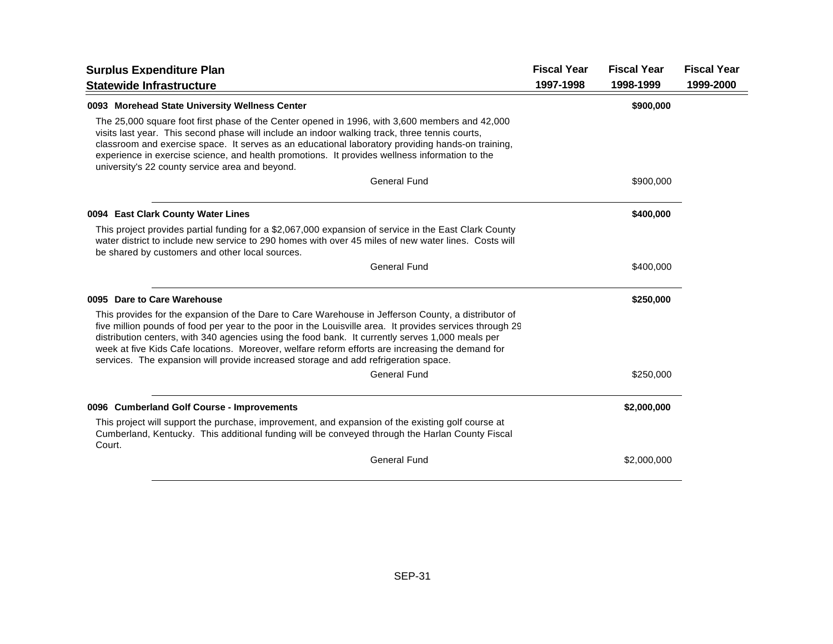| <b>Surplus Expenditure Plan</b>                                                                                                                                                                                                                                                                                                                                                                                                                                                                                | <b>Fiscal Year</b> | <b>Fiscal Year</b> | <b>Fiscal Year</b> |
|----------------------------------------------------------------------------------------------------------------------------------------------------------------------------------------------------------------------------------------------------------------------------------------------------------------------------------------------------------------------------------------------------------------------------------------------------------------------------------------------------------------|--------------------|--------------------|--------------------|
| <b>Statewide Infrastructure</b>                                                                                                                                                                                                                                                                                                                                                                                                                                                                                | 1997-1998          | 1998-1999          | 1999-2000          |
| 0093 Morehead State University Wellness Center                                                                                                                                                                                                                                                                                                                                                                                                                                                                 |                    | \$900,000          |                    |
| The 25,000 square foot first phase of the Center opened in 1996, with 3,600 members and 42,000<br>visits last year. This second phase will include an indoor walking track, three tennis courts,<br>classroom and exercise space. It serves as an educational laboratory providing hands-on training,<br>experience in exercise science, and health promotions. It provides wellness information to the<br>university's 22 county service area and beyond.                                                     |                    |                    |                    |
| <b>General Fund</b>                                                                                                                                                                                                                                                                                                                                                                                                                                                                                            |                    | \$900,000          |                    |
| 0094 East Clark County Water Lines                                                                                                                                                                                                                                                                                                                                                                                                                                                                             |                    | \$400,000          |                    |
| This project provides partial funding for a \$2,067,000 expansion of service in the East Clark County<br>water district to include new service to 290 homes with over 45 miles of new water lines. Costs will<br>be shared by customers and other local sources.                                                                                                                                                                                                                                               |                    |                    |                    |
| <b>General Fund</b>                                                                                                                                                                                                                                                                                                                                                                                                                                                                                            |                    | \$400,000          |                    |
| 0095 Dare to Care Warehouse                                                                                                                                                                                                                                                                                                                                                                                                                                                                                    |                    | \$250,000          |                    |
| This provides for the expansion of the Dare to Care Warehouse in Jefferson County, a distributor of<br>five million pounds of food per year to the poor in the Louisville area. It provides services through 29<br>distribution centers, with 340 agencies using the food bank. It currently serves 1,000 meals per<br>week at five Kids Cafe locations. Moreover, welfare reform efforts are increasing the demand for<br>services. The expansion will provide increased storage and add refrigeration space. |                    |                    |                    |
| <b>General Fund</b>                                                                                                                                                                                                                                                                                                                                                                                                                                                                                            |                    | \$250,000          |                    |
| 0096 Cumberland Golf Course - Improvements                                                                                                                                                                                                                                                                                                                                                                                                                                                                     |                    | \$2,000,000        |                    |
| This project will support the purchase, improvement, and expansion of the existing golf course at<br>Cumberland, Kentucky. This additional funding will be conveyed through the Harlan County Fiscal<br>Court.                                                                                                                                                                                                                                                                                                 |                    |                    |                    |
| <b>General Fund</b>                                                                                                                                                                                                                                                                                                                                                                                                                                                                                            |                    | \$2,000,000        |                    |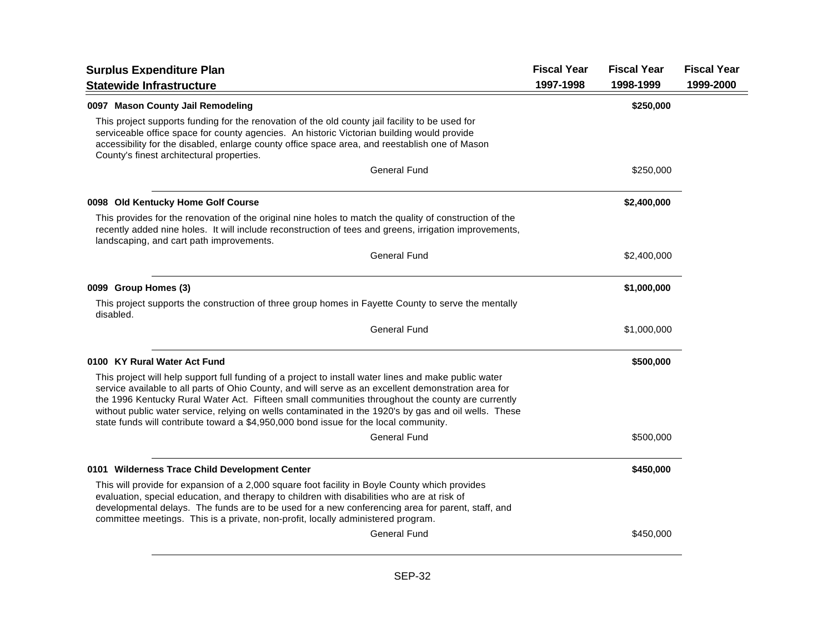| <b>Surplus Expenditure Plan</b>                                                                                                                                                                                                                                                                                                                                                                                                                                                                                    | <b>Fiscal Year</b> | <b>Fiscal Year</b> | <b>Fiscal Year</b> |
|--------------------------------------------------------------------------------------------------------------------------------------------------------------------------------------------------------------------------------------------------------------------------------------------------------------------------------------------------------------------------------------------------------------------------------------------------------------------------------------------------------------------|--------------------|--------------------|--------------------|
| <b>Statewide Infrastructure</b>                                                                                                                                                                                                                                                                                                                                                                                                                                                                                    | 1997-1998          | 1998-1999          | 1999-2000          |
| 0097 Mason County Jail Remodeling                                                                                                                                                                                                                                                                                                                                                                                                                                                                                  |                    | \$250,000          |                    |
| This project supports funding for the renovation of the old county jail facility to be used for<br>serviceable office space for county agencies. An historic Victorian building would provide<br>accessibility for the disabled, enlarge county office space area, and reestablish one of Mason<br>County's finest architectural properties.                                                                                                                                                                       |                    |                    |                    |
| <b>General Fund</b>                                                                                                                                                                                                                                                                                                                                                                                                                                                                                                |                    | \$250,000          |                    |
| 0098 Old Kentucky Home Golf Course                                                                                                                                                                                                                                                                                                                                                                                                                                                                                 |                    | \$2,400,000        |                    |
| This provides for the renovation of the original nine holes to match the quality of construction of the<br>recently added nine holes. It will include reconstruction of tees and greens, irrigation improvements,<br>landscaping, and cart path improvements.                                                                                                                                                                                                                                                      |                    |                    |                    |
| <b>General Fund</b>                                                                                                                                                                                                                                                                                                                                                                                                                                                                                                |                    | \$2,400,000        |                    |
| 0099 Group Homes (3)                                                                                                                                                                                                                                                                                                                                                                                                                                                                                               |                    | \$1,000,000        |                    |
| This project supports the construction of three group homes in Fayette County to serve the mentally<br>disabled.                                                                                                                                                                                                                                                                                                                                                                                                   |                    |                    |                    |
| <b>General Fund</b>                                                                                                                                                                                                                                                                                                                                                                                                                                                                                                |                    | \$1,000,000        |                    |
| 0100 KY Rural Water Act Fund                                                                                                                                                                                                                                                                                                                                                                                                                                                                                       |                    | \$500,000          |                    |
| This project will help support full funding of a project to install water lines and make public water<br>service available to all parts of Ohio County, and will serve as an excellent demonstration area for<br>the 1996 Kentucky Rural Water Act. Fifteen small communities throughout the county are currently<br>without public water service, relying on wells contaminated in the 1920's by gas and oil wells. These<br>state funds will contribute toward a \$4,950,000 bond issue for the local community. |                    |                    |                    |
| General Fund                                                                                                                                                                                                                                                                                                                                                                                                                                                                                                       |                    | \$500,000          |                    |
| 0101 Wilderness Trace Child Development Center                                                                                                                                                                                                                                                                                                                                                                                                                                                                     |                    | \$450,000          |                    |
| This will provide for expansion of a 2,000 square foot facility in Boyle County which provides<br>evaluation, special education, and therapy to children with disabilities who are at risk of<br>developmental delays. The funds are to be used for a new conferencing area for parent, staff, and<br>committee meetings. This is a private, non-profit, locally administered program.                                                                                                                             |                    |                    |                    |
| <b>General Fund</b>                                                                                                                                                                                                                                                                                                                                                                                                                                                                                                |                    | \$450,000          |                    |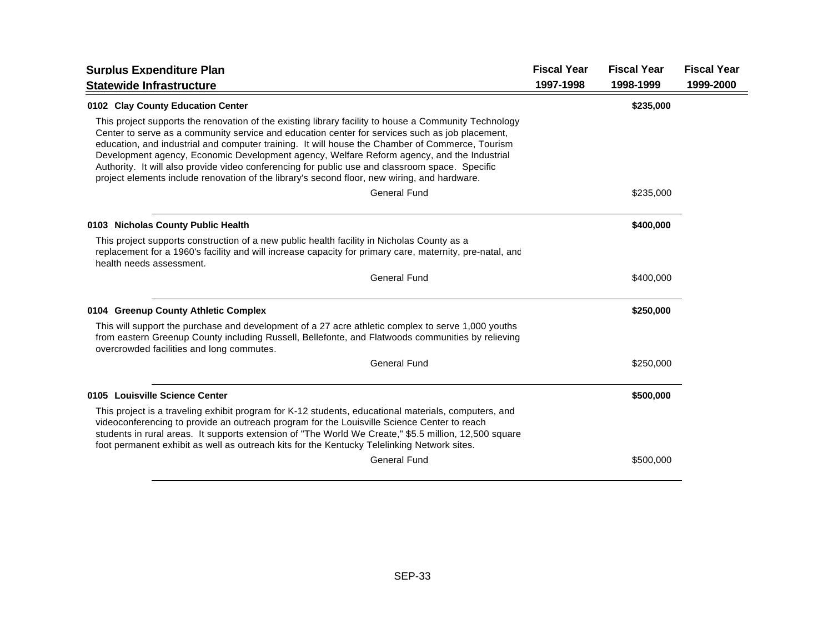| <b>Surplus Expenditure Plan</b>                                                                                                                                                                                                                                                                                                                                                                                                                                                                                                                                                                              | <b>Fiscal Year</b> | <b>Fiscal Year</b> | <b>Fiscal Year</b> |
|--------------------------------------------------------------------------------------------------------------------------------------------------------------------------------------------------------------------------------------------------------------------------------------------------------------------------------------------------------------------------------------------------------------------------------------------------------------------------------------------------------------------------------------------------------------------------------------------------------------|--------------------|--------------------|--------------------|
| <b>Statewide Infrastructure</b>                                                                                                                                                                                                                                                                                                                                                                                                                                                                                                                                                                              | 1997-1998          | 1998-1999          | 1999-2000          |
| 0102 Clay County Education Center                                                                                                                                                                                                                                                                                                                                                                                                                                                                                                                                                                            |                    | \$235,000          |                    |
| This project supports the renovation of the existing library facility to house a Community Technology<br>Center to serve as a community service and education center for services such as job placement,<br>education, and industrial and computer training. It will house the Chamber of Commerce, Tourism<br>Development agency, Economic Development agency, Welfare Reform agency, and the Industrial<br>Authority. It will also provide video conferencing for public use and classroom space. Specific<br>project elements include renovation of the library's second floor, new wiring, and hardware. |                    |                    |                    |
| <b>General Fund</b>                                                                                                                                                                                                                                                                                                                                                                                                                                                                                                                                                                                          |                    | \$235,000          |                    |
| 0103 Nicholas County Public Health                                                                                                                                                                                                                                                                                                                                                                                                                                                                                                                                                                           |                    | \$400,000          |                    |
| This project supports construction of a new public health facility in Nicholas County as a<br>replacement for a 1960's facility and will increase capacity for primary care, maternity, pre-natal, and<br>health needs assessment.                                                                                                                                                                                                                                                                                                                                                                           |                    |                    |                    |
| <b>General Fund</b>                                                                                                                                                                                                                                                                                                                                                                                                                                                                                                                                                                                          |                    | \$400,000          |                    |
| 0104 Greenup County Athletic Complex                                                                                                                                                                                                                                                                                                                                                                                                                                                                                                                                                                         |                    | \$250,000          |                    |
| This will support the purchase and development of a 27 acre athletic complex to serve 1,000 youths<br>from eastern Greenup County including Russell, Bellefonte, and Flatwoods communities by relieving<br>overcrowded facilities and long commutes.                                                                                                                                                                                                                                                                                                                                                         |                    |                    |                    |
| <b>General Fund</b>                                                                                                                                                                                                                                                                                                                                                                                                                                                                                                                                                                                          |                    | \$250,000          |                    |
| 0105 Louisville Science Center                                                                                                                                                                                                                                                                                                                                                                                                                                                                                                                                                                               |                    | \$500,000          |                    |
| This project is a traveling exhibit program for K-12 students, educational materials, computers, and<br>videoconferencing to provide an outreach program for the Louisville Science Center to reach<br>students in rural areas. It supports extension of "The World We Create," \$5.5 million, 12,500 square<br>foot permanent exhibit as well as outreach kits for the Kentucky Telelinking Network sites.                                                                                                                                                                                                  |                    |                    |                    |
| <b>General Fund</b>                                                                                                                                                                                                                                                                                                                                                                                                                                                                                                                                                                                          |                    | \$500,000          |                    |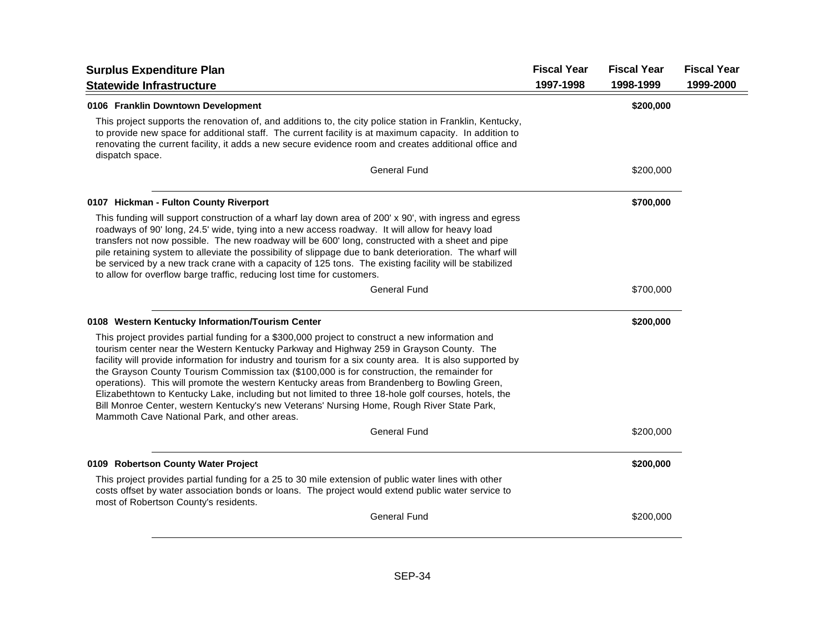| <b>Surplus Expenditure Plan</b>                                                                                                                                                                                                                                                                                                                                                                                                                                                                                                                                                                                                                                                                                                                               | <b>Fiscal Year</b> | <b>Fiscal Year</b> | <b>Fiscal Year</b> |
|---------------------------------------------------------------------------------------------------------------------------------------------------------------------------------------------------------------------------------------------------------------------------------------------------------------------------------------------------------------------------------------------------------------------------------------------------------------------------------------------------------------------------------------------------------------------------------------------------------------------------------------------------------------------------------------------------------------------------------------------------------------|--------------------|--------------------|--------------------|
| <b>Statewide Infrastructure</b>                                                                                                                                                                                                                                                                                                                                                                                                                                                                                                                                                                                                                                                                                                                               | 1997-1998          | 1998-1999          | 1999-2000          |
| 0106 Franklin Downtown Development                                                                                                                                                                                                                                                                                                                                                                                                                                                                                                                                                                                                                                                                                                                            |                    | \$200,000          |                    |
| This project supports the renovation of, and additions to, the city police station in Franklin, Kentucky,<br>to provide new space for additional staff. The current facility is at maximum capacity. In addition to<br>renovating the current facility, it adds a new secure evidence room and creates additional office and<br>dispatch space.                                                                                                                                                                                                                                                                                                                                                                                                               |                    |                    |                    |
| <b>General Fund</b>                                                                                                                                                                                                                                                                                                                                                                                                                                                                                                                                                                                                                                                                                                                                           |                    | \$200,000          |                    |
| 0107 Hickman - Fulton County Riverport                                                                                                                                                                                                                                                                                                                                                                                                                                                                                                                                                                                                                                                                                                                        |                    | \$700,000          |                    |
| This funding will support construction of a wharf lay down area of 200' x 90', with ingress and egress<br>roadways of 90' long, 24.5' wide, tying into a new access roadway. It will allow for heavy load<br>transfers not now possible. The new roadway will be 600' long, constructed with a sheet and pipe<br>pile retaining system to alleviate the possibility of slippage due to bank deterioration. The wharf will<br>be serviced by a new track crane with a capacity of 125 tons. The existing facility will be stabilized<br>to allow for overflow barge traffic, reducing lost time for customers.                                                                                                                                                 |                    |                    |                    |
| General Fund                                                                                                                                                                                                                                                                                                                                                                                                                                                                                                                                                                                                                                                                                                                                                  |                    | \$700,000          |                    |
| 0108 Western Kentucky Information/Tourism Center                                                                                                                                                                                                                                                                                                                                                                                                                                                                                                                                                                                                                                                                                                              |                    | \$200,000          |                    |
| This project provides partial funding for a \$300,000 project to construct a new information and<br>tourism center near the Western Kentucky Parkway and Highway 259 in Grayson County. The<br>facility will provide information for industry and tourism for a six county area. It is also supported by<br>the Grayson County Tourism Commission tax (\$100,000 is for construction, the remainder for<br>operations). This will promote the western Kentucky areas from Brandenberg to Bowling Green,<br>Elizabethtown to Kentucky Lake, including but not limited to three 18-hole golf courses, hotels, the<br>Bill Monroe Center, western Kentucky's new Veterans' Nursing Home, Rough River State Park,<br>Mammoth Cave National Park, and other areas. |                    |                    |                    |
| <b>General Fund</b>                                                                                                                                                                                                                                                                                                                                                                                                                                                                                                                                                                                                                                                                                                                                           |                    | \$200,000          |                    |
| 0109 Robertson County Water Project                                                                                                                                                                                                                                                                                                                                                                                                                                                                                                                                                                                                                                                                                                                           |                    | \$200,000          |                    |
| This project provides partial funding for a 25 to 30 mile extension of public water lines with other<br>costs offset by water association bonds or loans. The project would extend public water service to<br>most of Robertson County's residents.                                                                                                                                                                                                                                                                                                                                                                                                                                                                                                           |                    |                    |                    |
| <b>General Fund</b>                                                                                                                                                                                                                                                                                                                                                                                                                                                                                                                                                                                                                                                                                                                                           |                    | \$200,000          |                    |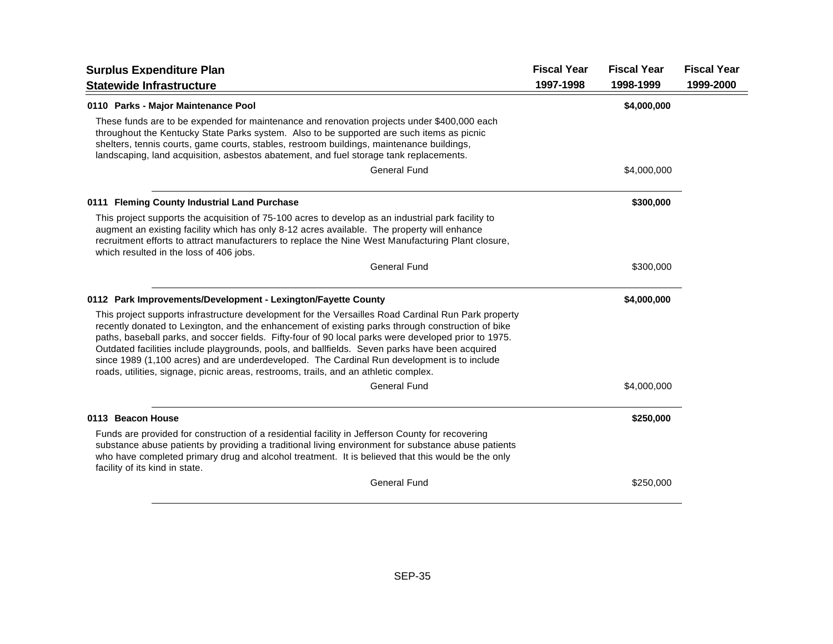| <b>Surplus Expenditure Plan</b>                                                                                                                                                                                                                                                                                                                                                                                                                                                                                                                                                                           | <b>Fiscal Year</b> | <b>Fiscal Year</b> | <b>Fiscal Year</b> |
|-----------------------------------------------------------------------------------------------------------------------------------------------------------------------------------------------------------------------------------------------------------------------------------------------------------------------------------------------------------------------------------------------------------------------------------------------------------------------------------------------------------------------------------------------------------------------------------------------------------|--------------------|--------------------|--------------------|
| <b>Statewide Infrastructure</b>                                                                                                                                                                                                                                                                                                                                                                                                                                                                                                                                                                           | 1997-1998          | 1998-1999          | 1999-2000          |
| 0110 Parks - Major Maintenance Pool                                                                                                                                                                                                                                                                                                                                                                                                                                                                                                                                                                       |                    | \$4,000,000        |                    |
| These funds are to be expended for maintenance and renovation projects under \$400,000 each<br>throughout the Kentucky State Parks system. Also to be supported are such items as picnic<br>shelters, tennis courts, game courts, stables, restroom buildings, maintenance buildings,<br>landscaping, land acquisition, asbestos abatement, and fuel storage tank replacements.                                                                                                                                                                                                                           |                    |                    |                    |
| <b>General Fund</b>                                                                                                                                                                                                                                                                                                                                                                                                                                                                                                                                                                                       |                    | \$4,000,000        |                    |
| 0111 Fleming County Industrial Land Purchase                                                                                                                                                                                                                                                                                                                                                                                                                                                                                                                                                              |                    | \$300,000          |                    |
| This project supports the acquisition of 75-100 acres to develop as an industrial park facility to<br>augment an existing facility which has only 8-12 acres available. The property will enhance<br>recruitment efforts to attract manufacturers to replace the Nine West Manufacturing Plant closure,<br>which resulted in the loss of 406 jobs.                                                                                                                                                                                                                                                        |                    |                    |                    |
| <b>General Fund</b>                                                                                                                                                                                                                                                                                                                                                                                                                                                                                                                                                                                       |                    | \$300,000          |                    |
| 0112 Park Improvements/Development - Lexington/Fayette County                                                                                                                                                                                                                                                                                                                                                                                                                                                                                                                                             |                    | \$4,000,000        |                    |
| This project supports infrastructure development for the Versailles Road Cardinal Run Park property<br>recently donated to Lexington, and the enhancement of existing parks through construction of bike<br>paths, baseball parks, and soccer fields. Fifty-four of 90 local parks were developed prior to 1975.<br>Outdated facilities include playgrounds, pools, and ballfields. Seven parks have been acquired<br>since 1989 (1,100 acres) and are underdeveloped. The Cardinal Run development is to include<br>roads, utilities, signage, picnic areas, restrooms, trails, and an athletic complex. |                    |                    |                    |
| <b>General Fund</b>                                                                                                                                                                                                                                                                                                                                                                                                                                                                                                                                                                                       |                    | \$4,000,000        |                    |
| 0113 Beacon House                                                                                                                                                                                                                                                                                                                                                                                                                                                                                                                                                                                         |                    | \$250,000          |                    |
| Funds are provided for construction of a residential facility in Jefferson County for recovering<br>substance abuse patients by providing a traditional living environment for substance abuse patients<br>who have completed primary drug and alcohol treatment. It is believed that this would be the only<br>facility of its kind in state.                                                                                                                                                                                                                                                            |                    |                    |                    |
| <b>General Fund</b>                                                                                                                                                                                                                                                                                                                                                                                                                                                                                                                                                                                       |                    | \$250,000          |                    |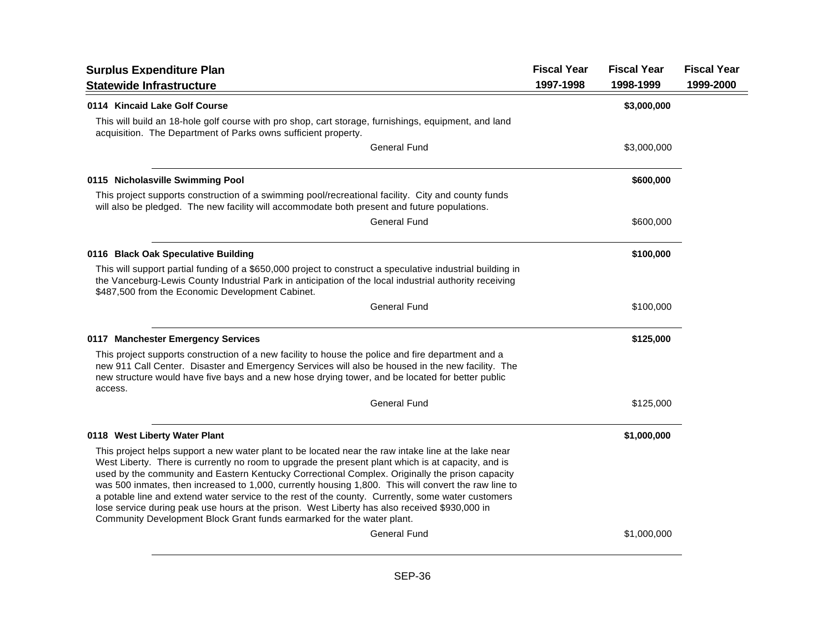| <b>Surplus Expenditure Plan</b>                                                                                                                                                                                                                                                                                                                                                                                                                                                                                                                                                                                                                                                                        | <b>Fiscal Year</b> | <b>Fiscal Year</b> | <b>Fiscal Year</b> |
|--------------------------------------------------------------------------------------------------------------------------------------------------------------------------------------------------------------------------------------------------------------------------------------------------------------------------------------------------------------------------------------------------------------------------------------------------------------------------------------------------------------------------------------------------------------------------------------------------------------------------------------------------------------------------------------------------------|--------------------|--------------------|--------------------|
| <b>Statewide Infrastructure</b>                                                                                                                                                                                                                                                                                                                                                                                                                                                                                                                                                                                                                                                                        | 1997-1998          | 1998-1999          | 1999-2000          |
| 0114 Kincaid Lake Golf Course                                                                                                                                                                                                                                                                                                                                                                                                                                                                                                                                                                                                                                                                          |                    | \$3,000,000        |                    |
| This will build an 18-hole golf course with pro shop, cart storage, furnishings, equipment, and land<br>acquisition. The Department of Parks owns sufficient property.                                                                                                                                                                                                                                                                                                                                                                                                                                                                                                                                 |                    |                    |                    |
| <b>General Fund</b>                                                                                                                                                                                                                                                                                                                                                                                                                                                                                                                                                                                                                                                                                    |                    | \$3,000,000        |                    |
| 0115 Nicholasville Swimming Pool                                                                                                                                                                                                                                                                                                                                                                                                                                                                                                                                                                                                                                                                       |                    | \$600,000          |                    |
| This project supports construction of a swimming pool/recreational facility. City and county funds<br>will also be pledged. The new facility will accommodate both present and future populations.                                                                                                                                                                                                                                                                                                                                                                                                                                                                                                     |                    |                    |                    |
| General Fund                                                                                                                                                                                                                                                                                                                                                                                                                                                                                                                                                                                                                                                                                           |                    | \$600,000          |                    |
| 0116 Black Oak Speculative Building                                                                                                                                                                                                                                                                                                                                                                                                                                                                                                                                                                                                                                                                    |                    | \$100,000          |                    |
| This will support partial funding of a \$650,000 project to construct a speculative industrial building in<br>the Vanceburg-Lewis County Industrial Park in anticipation of the local industrial authority receiving<br>\$487,500 from the Economic Development Cabinet.                                                                                                                                                                                                                                                                                                                                                                                                                               |                    |                    |                    |
| General Fund                                                                                                                                                                                                                                                                                                                                                                                                                                                                                                                                                                                                                                                                                           |                    | \$100,000          |                    |
| 0117 Manchester Emergency Services                                                                                                                                                                                                                                                                                                                                                                                                                                                                                                                                                                                                                                                                     |                    | \$125,000          |                    |
| This project supports construction of a new facility to house the police and fire department and a<br>new 911 Call Center. Disaster and Emergency Services will also be housed in the new facility. The<br>new structure would have five bays and a new hose drying tower, and be located for better public<br>access.                                                                                                                                                                                                                                                                                                                                                                                 |                    |                    |                    |
| General Fund                                                                                                                                                                                                                                                                                                                                                                                                                                                                                                                                                                                                                                                                                           |                    | \$125,000          |                    |
| 0118 West Liberty Water Plant                                                                                                                                                                                                                                                                                                                                                                                                                                                                                                                                                                                                                                                                          |                    | \$1,000,000        |                    |
| This project helps support a new water plant to be located near the raw intake line at the lake near<br>West Liberty. There is currently no room to upgrade the present plant which is at capacity, and is<br>used by the community and Eastern Kentucky Correctional Complex. Originally the prison capacity<br>was 500 inmates, then increased to 1,000, currently housing 1,800. This will convert the raw line to<br>a potable line and extend water service to the rest of the county. Currently, some water customers<br>lose service during peak use hours at the prison. West Liberty has also received \$930,000 in<br>Community Development Block Grant funds earmarked for the water plant. |                    |                    |                    |
| General Fund                                                                                                                                                                                                                                                                                                                                                                                                                                                                                                                                                                                                                                                                                           |                    | \$1,000,000        |                    |
|                                                                                                                                                                                                                                                                                                                                                                                                                                                                                                                                                                                                                                                                                                        |                    |                    |                    |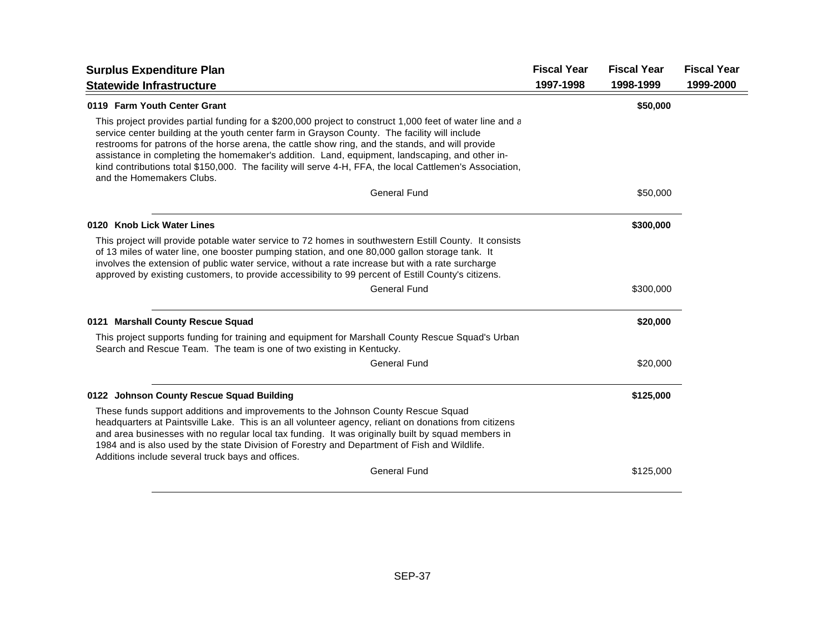| <b>Surplus Expenditure Plan</b>                                                                                                                                                                                                                                                                                                                                                                                                                                                                                                                           | <b>Fiscal Year</b> | <b>Fiscal Year</b> | <b>Fiscal Year</b> |
|-----------------------------------------------------------------------------------------------------------------------------------------------------------------------------------------------------------------------------------------------------------------------------------------------------------------------------------------------------------------------------------------------------------------------------------------------------------------------------------------------------------------------------------------------------------|--------------------|--------------------|--------------------|
| <b>Statewide Infrastructure</b>                                                                                                                                                                                                                                                                                                                                                                                                                                                                                                                           | 1997-1998          | 1998-1999          | 1999-2000          |
| 0119 Farm Youth Center Grant                                                                                                                                                                                                                                                                                                                                                                                                                                                                                                                              |                    | \$50,000           |                    |
| This project provides partial funding for a \$200,000 project to construct 1,000 feet of water line and a<br>service center building at the youth center farm in Grayson County. The facility will include<br>restrooms for patrons of the horse arena, the cattle show ring, and the stands, and will provide<br>assistance in completing the homemaker's addition. Land, equipment, landscaping, and other in-<br>kind contributions total \$150,000. The facility will serve 4-H, FFA, the local Cattlemen's Association,<br>and the Homemakers Clubs. |                    |                    |                    |
| <b>General Fund</b>                                                                                                                                                                                                                                                                                                                                                                                                                                                                                                                                       |                    | \$50,000           |                    |
| 0120 Knob Lick Water Lines                                                                                                                                                                                                                                                                                                                                                                                                                                                                                                                                |                    | \$300,000          |                    |
| This project will provide potable water service to 72 homes in southwestern Estill County. It consists<br>of 13 miles of water line, one booster pumping station, and one 80,000 gallon storage tank. It<br>involves the extension of public water service, without a rate increase but with a rate surcharge<br>approved by existing customers, to provide accessibility to 99 percent of Estill County's citizens.                                                                                                                                      |                    |                    |                    |
| <b>General Fund</b>                                                                                                                                                                                                                                                                                                                                                                                                                                                                                                                                       |                    | \$300,000          |                    |
| 0121 Marshall County Rescue Squad                                                                                                                                                                                                                                                                                                                                                                                                                                                                                                                         |                    | \$20,000           |                    |
| This project supports funding for training and equipment for Marshall County Rescue Squad's Urban<br>Search and Rescue Team. The team is one of two existing in Kentucky.                                                                                                                                                                                                                                                                                                                                                                                 |                    |                    |                    |
| <b>General Fund</b>                                                                                                                                                                                                                                                                                                                                                                                                                                                                                                                                       |                    | \$20,000           |                    |
| 0122 Johnson County Rescue Squad Building                                                                                                                                                                                                                                                                                                                                                                                                                                                                                                                 |                    | \$125,000          |                    |
| These funds support additions and improvements to the Johnson County Rescue Squad<br>headquarters at Paintsville Lake. This is an all volunteer agency, reliant on donations from citizens<br>and area businesses with no regular local tax funding. It was originally built by squad members in<br>1984 and is also used by the state Division of Forestry and Department of Fish and Wildlife.<br>Additions include several truck bays and offices.                                                                                                     |                    |                    |                    |
| <b>General Fund</b>                                                                                                                                                                                                                                                                                                                                                                                                                                                                                                                                       |                    | \$125,000          |                    |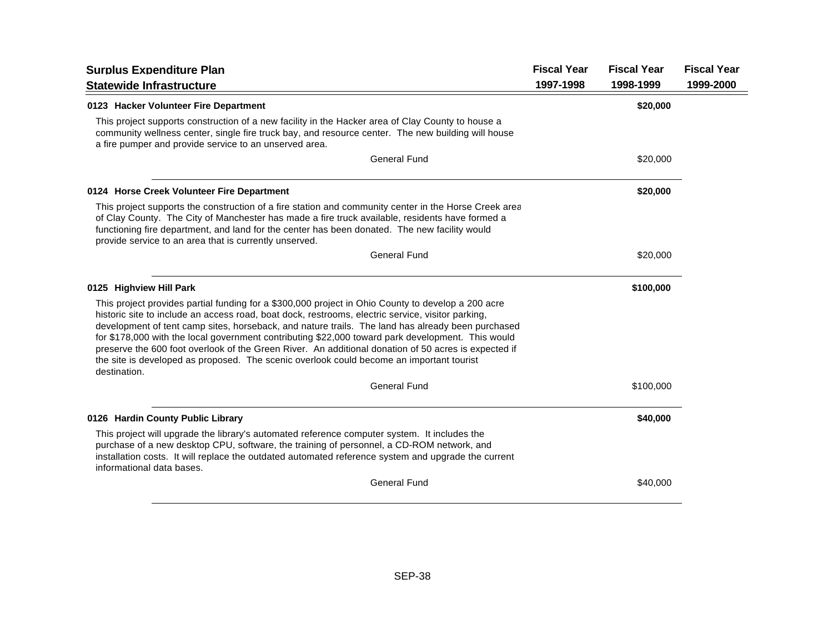| <b>Surplus Expenditure Plan</b>                                                                                                                                                                                                                                                                                                                                                                                                                                                                                                                                                                                                       | <b>Fiscal Year</b> | <b>Fiscal Year</b> | <b>Fiscal Year</b> |
|---------------------------------------------------------------------------------------------------------------------------------------------------------------------------------------------------------------------------------------------------------------------------------------------------------------------------------------------------------------------------------------------------------------------------------------------------------------------------------------------------------------------------------------------------------------------------------------------------------------------------------------|--------------------|--------------------|--------------------|
| <b>Statewide Infrastructure</b>                                                                                                                                                                                                                                                                                                                                                                                                                                                                                                                                                                                                       | 1997-1998          | 1998-1999          | 1999-2000          |
| 0123 Hacker Volunteer Fire Department                                                                                                                                                                                                                                                                                                                                                                                                                                                                                                                                                                                                 |                    | \$20,000           |                    |
| This project supports construction of a new facility in the Hacker area of Clay County to house a<br>community wellness center, single fire truck bay, and resource center. The new building will house<br>a fire pumper and provide service to an unserved area.                                                                                                                                                                                                                                                                                                                                                                     |                    |                    |                    |
| <b>General Fund</b>                                                                                                                                                                                                                                                                                                                                                                                                                                                                                                                                                                                                                   |                    | \$20,000           |                    |
| 0124 Horse Creek Volunteer Fire Department                                                                                                                                                                                                                                                                                                                                                                                                                                                                                                                                                                                            |                    | \$20,000           |                    |
| This project supports the construction of a fire station and community center in the Horse Creek area<br>of Clay County. The City of Manchester has made a fire truck available, residents have formed a<br>functioning fire department, and land for the center has been donated. The new facility would<br>provide service to an area that is currently unserved.                                                                                                                                                                                                                                                                   |                    |                    |                    |
| <b>General Fund</b>                                                                                                                                                                                                                                                                                                                                                                                                                                                                                                                                                                                                                   |                    | \$20,000           |                    |
| 0125 Highview Hill Park                                                                                                                                                                                                                                                                                                                                                                                                                                                                                                                                                                                                               |                    | \$100,000          |                    |
| This project provides partial funding for a \$300,000 project in Ohio County to develop a 200 acre<br>historic site to include an access road, boat dock, restrooms, electric service, visitor parking,<br>development of tent camp sites, horseback, and nature trails. The land has already been purchased<br>for \$178,000 with the local government contributing \$22,000 toward park development. This would<br>preserve the 600 foot overlook of the Green River. An additional donation of 50 acres is expected if<br>the site is developed as proposed. The scenic overlook could become an important tourist<br>destination. |                    |                    |                    |
| <b>General Fund</b>                                                                                                                                                                                                                                                                                                                                                                                                                                                                                                                                                                                                                   |                    | \$100,000          |                    |
| 0126 Hardin County Public Library                                                                                                                                                                                                                                                                                                                                                                                                                                                                                                                                                                                                     |                    | \$40,000           |                    |
| This project will upgrade the library's automated reference computer system. It includes the<br>purchase of a new desktop CPU, software, the training of personnel, a CD-ROM network, and<br>installation costs. It will replace the outdated automated reference system and upgrade the current<br>informational data bases.                                                                                                                                                                                                                                                                                                         |                    |                    |                    |
| <b>General Fund</b>                                                                                                                                                                                                                                                                                                                                                                                                                                                                                                                                                                                                                   |                    | \$40,000           |                    |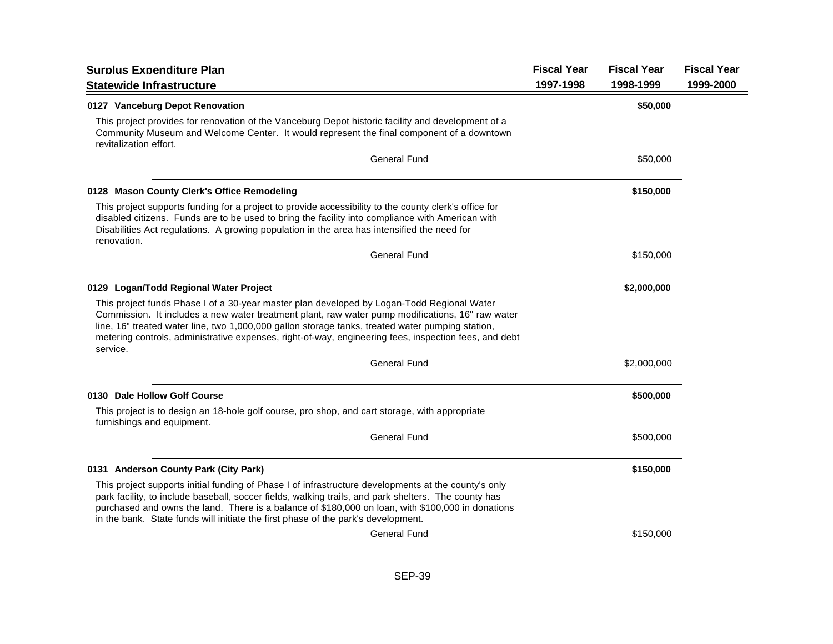| <b>Surplus Expenditure Plan</b>                                                                                                                                                                                                                                                                                                                                                                                         | <b>Fiscal Year</b> | <b>Fiscal Year</b> | <b>Fiscal Year</b> |
|-------------------------------------------------------------------------------------------------------------------------------------------------------------------------------------------------------------------------------------------------------------------------------------------------------------------------------------------------------------------------------------------------------------------------|--------------------|--------------------|--------------------|
| <b>Statewide Infrastructure</b>                                                                                                                                                                                                                                                                                                                                                                                         | 1997-1998          | 1998-1999          | 1999-2000          |
| 0127 Vanceburg Depot Renovation                                                                                                                                                                                                                                                                                                                                                                                         |                    | \$50,000           |                    |
| This project provides for renovation of the Vanceburg Depot historic facility and development of a<br>Community Museum and Welcome Center. It would represent the final component of a downtown<br>revitalization effort.                                                                                                                                                                                               |                    |                    |                    |
| General Fund                                                                                                                                                                                                                                                                                                                                                                                                            |                    | \$50,000           |                    |
| 0128 Mason County Clerk's Office Remodeling                                                                                                                                                                                                                                                                                                                                                                             |                    | \$150,000          |                    |
| This project supports funding for a project to provide accessibility to the county clerk's office for<br>disabled citizens. Funds are to be used to bring the facility into compliance with American with<br>Disabilities Act regulations. A growing population in the area has intensified the need for<br>renovation.                                                                                                 |                    |                    |                    |
| <b>General Fund</b>                                                                                                                                                                                                                                                                                                                                                                                                     |                    | \$150,000          |                    |
| 0129 Logan/Todd Regional Water Project                                                                                                                                                                                                                                                                                                                                                                                  |                    | \$2,000,000        |                    |
| This project funds Phase I of a 30-year master plan developed by Logan-Todd Regional Water<br>Commission. It includes a new water treatment plant, raw water pump modifications, 16" raw water<br>line, 16" treated water line, two 1,000,000 gallon storage tanks, treated water pumping station,<br>metering controls, administrative expenses, right-of-way, engineering fees, inspection fees, and debt<br>service. |                    |                    |                    |
| <b>General Fund</b>                                                                                                                                                                                                                                                                                                                                                                                                     |                    | \$2,000,000        |                    |
| 0130 Dale Hollow Golf Course                                                                                                                                                                                                                                                                                                                                                                                            |                    | \$500,000          |                    |
| This project is to design an 18-hole golf course, pro shop, and cart storage, with appropriate<br>furnishings and equipment.                                                                                                                                                                                                                                                                                            |                    |                    |                    |
| <b>General Fund</b>                                                                                                                                                                                                                                                                                                                                                                                                     |                    | \$500,000          |                    |
| 0131 Anderson County Park (City Park)                                                                                                                                                                                                                                                                                                                                                                                   |                    | \$150,000          |                    |
| This project supports initial funding of Phase I of infrastructure developments at the county's only<br>park facility, to include baseball, soccer fields, walking trails, and park shelters. The county has<br>purchased and owns the land. There is a balance of \$180,000 on loan, with \$100,000 in donations<br>in the bank. State funds will initiate the first phase of the park's development.                  |                    |                    |                    |
| General Fund                                                                                                                                                                                                                                                                                                                                                                                                            |                    | \$150,000          |                    |
|                                                                                                                                                                                                                                                                                                                                                                                                                         |                    |                    |                    |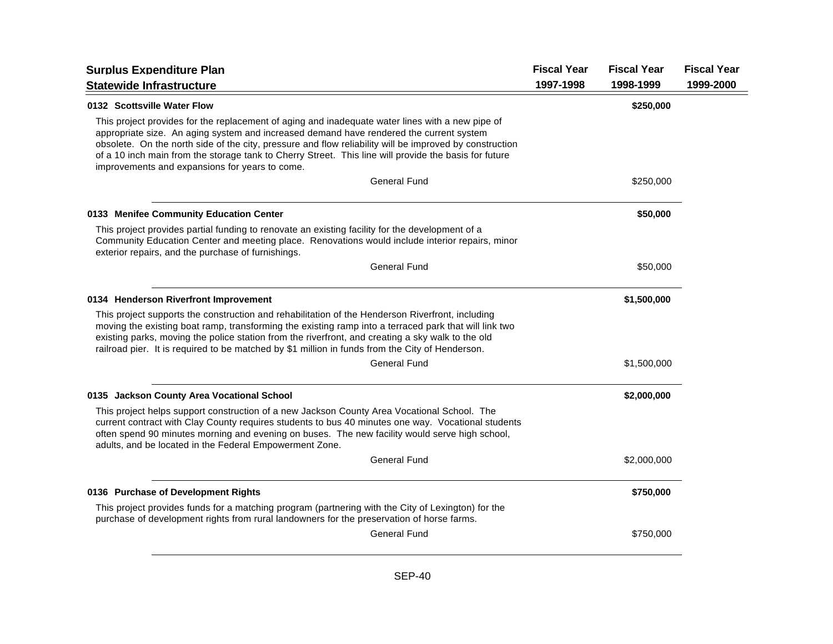| <b>Surplus Expenditure Plan</b>                                                                                                                                                                                                                                                                                                                                                                                                                                   | <b>Fiscal Year</b> | <b>Fiscal Year</b> | <b>Fiscal Year</b> |
|-------------------------------------------------------------------------------------------------------------------------------------------------------------------------------------------------------------------------------------------------------------------------------------------------------------------------------------------------------------------------------------------------------------------------------------------------------------------|--------------------|--------------------|--------------------|
| <b>Statewide Infrastructure</b>                                                                                                                                                                                                                                                                                                                                                                                                                                   | 1997-1998          | 1998-1999          | 1999-2000          |
| 0132 Scottsville Water Flow                                                                                                                                                                                                                                                                                                                                                                                                                                       |                    | \$250,000          |                    |
| This project provides for the replacement of aging and inadequate water lines with a new pipe of<br>appropriate size. An aging system and increased demand have rendered the current system<br>obsolete. On the north side of the city, pressure and flow reliability will be improved by construction<br>of a 10 inch main from the storage tank to Cherry Street. This line will provide the basis for future<br>improvements and expansions for years to come. |                    |                    |                    |
| General Fund                                                                                                                                                                                                                                                                                                                                                                                                                                                      |                    | \$250,000          |                    |
| 0133 Menifee Community Education Center                                                                                                                                                                                                                                                                                                                                                                                                                           |                    | \$50,000           |                    |
| This project provides partial funding to renovate an existing facility for the development of a<br>Community Education Center and meeting place. Renovations would include interior repairs, minor<br>exterior repairs, and the purchase of furnishings.                                                                                                                                                                                                          |                    |                    |                    |
| <b>General Fund</b>                                                                                                                                                                                                                                                                                                                                                                                                                                               |                    | \$50,000           |                    |
| 0134 Henderson Riverfront Improvement                                                                                                                                                                                                                                                                                                                                                                                                                             |                    | \$1,500,000        |                    |
| This project supports the construction and rehabilitation of the Henderson Riverfront, including<br>moving the existing boat ramp, transforming the existing ramp into a terraced park that will link two<br>existing parks, moving the police station from the riverfront, and creating a sky walk to the old<br>railroad pier. It is required to be matched by \$1 million in funds from the City of Henderson.                                                 |                    |                    |                    |
| General Fund                                                                                                                                                                                                                                                                                                                                                                                                                                                      |                    | \$1,500,000        |                    |
| 0135 Jackson County Area Vocational School                                                                                                                                                                                                                                                                                                                                                                                                                        |                    | \$2,000,000        |                    |
| This project helps support construction of a new Jackson County Area Vocational School. The<br>current contract with Clay County requires students to bus 40 minutes one way. Vocational students<br>often spend 90 minutes morning and evening on buses. The new facility would serve high school,<br>adults, and be located in the Federal Empowerment Zone.                                                                                                    |                    |                    |                    |
| <b>General Fund</b>                                                                                                                                                                                                                                                                                                                                                                                                                                               |                    | \$2,000,000        |                    |
| 0136 Purchase of Development Rights                                                                                                                                                                                                                                                                                                                                                                                                                               |                    | \$750,000          |                    |
| This project provides funds for a matching program (partnering with the City of Lexington) for the<br>purchase of development rights from rural landowners for the preservation of horse farms.                                                                                                                                                                                                                                                                   |                    |                    |                    |
| General Fund                                                                                                                                                                                                                                                                                                                                                                                                                                                      |                    | \$750,000          |                    |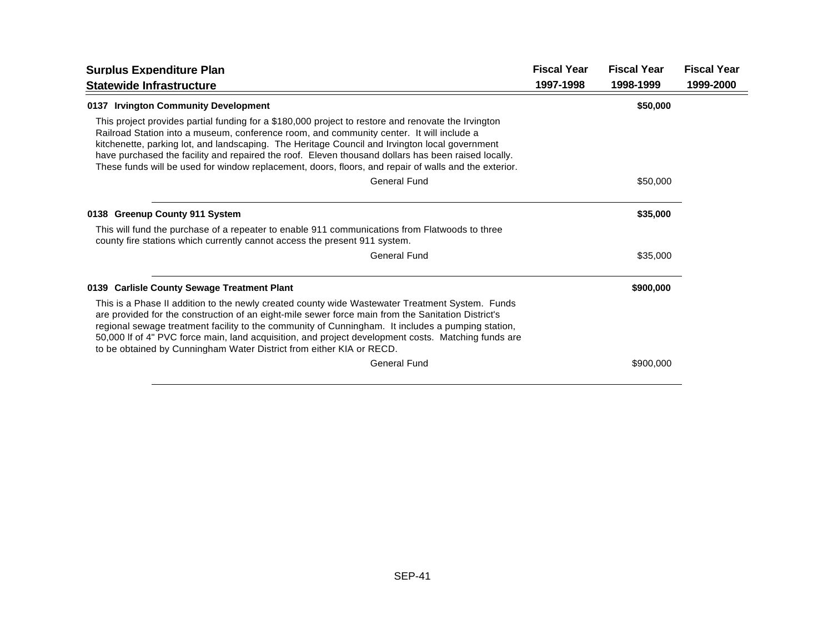| <b>Surplus Expenditure Plan</b>                                                                                                                                                                                                                                                                                                                                                                                                                                                                                   | <b>Fiscal Year</b> | <b>Fiscal Year</b> | <b>Fiscal Year</b> |
|-------------------------------------------------------------------------------------------------------------------------------------------------------------------------------------------------------------------------------------------------------------------------------------------------------------------------------------------------------------------------------------------------------------------------------------------------------------------------------------------------------------------|--------------------|--------------------|--------------------|
| <b>Statewide Infrastructure</b>                                                                                                                                                                                                                                                                                                                                                                                                                                                                                   | 1997-1998          | 1998-1999          | 1999-2000          |
| 0137 Irvington Community Development                                                                                                                                                                                                                                                                                                                                                                                                                                                                              |                    | \$50,000           |                    |
| This project provides partial funding for a \$180,000 project to restore and renovate the Irvington<br>Railroad Station into a museum, conference room, and community center. It will include a<br>kitchenette, parking lot, and landscaping. The Heritage Council and Irvington local government<br>have purchased the facility and repaired the roof. Eleven thousand dollars has been raised locally.<br>These funds will be used for window replacement, doors, floors, and repair of walls and the exterior. |                    |                    |                    |
| <b>General Fund</b>                                                                                                                                                                                                                                                                                                                                                                                                                                                                                               |                    | \$50,000           |                    |
| 0138 Greenup County 911 System                                                                                                                                                                                                                                                                                                                                                                                                                                                                                    |                    | \$35,000           |                    |
| This will fund the purchase of a repeater to enable 911 communications from Flatwoods to three<br>county fire stations which currently cannot access the present 911 system.                                                                                                                                                                                                                                                                                                                                      |                    |                    |                    |
| <b>General Fund</b>                                                                                                                                                                                                                                                                                                                                                                                                                                                                                               |                    | \$35,000           |                    |
| 0139 Carlisle County Sewage Treatment Plant                                                                                                                                                                                                                                                                                                                                                                                                                                                                       |                    | \$900,000          |                    |
| This is a Phase II addition to the newly created county wide Wastewater Treatment System. Funds<br>are provided for the construction of an eight-mile sewer force main from the Sanitation District's<br>regional sewage treatment facility to the community of Cunningham. It includes a pumping station,<br>50,000 If of 4" PVC force main, land acquisition, and project development costs. Matching funds are<br>to be obtained by Cunningham Water District from either KIA or RECD.                         |                    |                    |                    |
| <b>General Fund</b>                                                                                                                                                                                                                                                                                                                                                                                                                                                                                               |                    | \$900,000          |                    |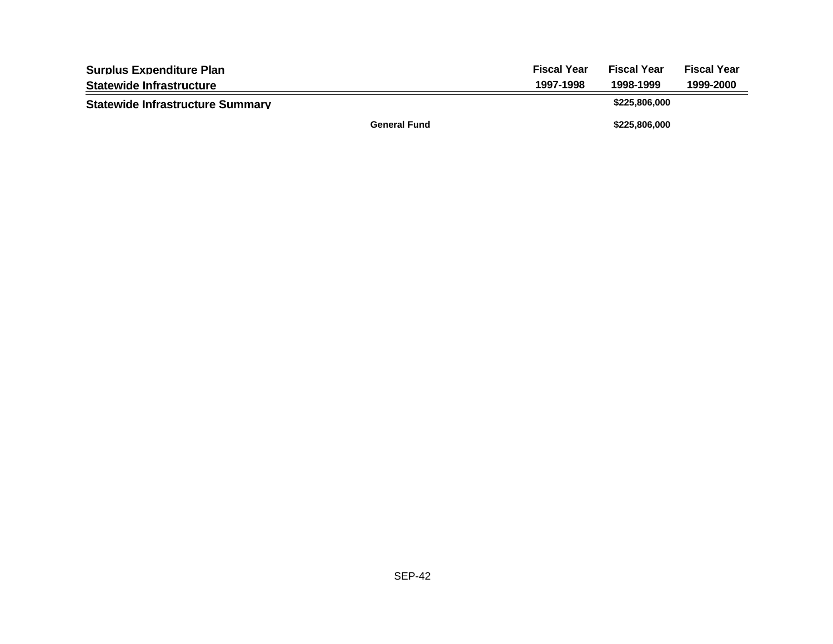| <b>Surplus Expenditure Plan</b>         |                     | <b>Fiscal Year</b> | <b>Fiscal Year</b> | <b>Fiscal Year</b> |
|-----------------------------------------|---------------------|--------------------|--------------------|--------------------|
| <b>Statewide Infrastructure</b>         |                     | 1997-1998          | 1998-1999          | 1999-2000          |
| <b>Statewide Infrastructure Summary</b> |                     |                    | \$225,806,000      |                    |
|                                         | <b>General Fund</b> |                    | \$225,806,000      |                    |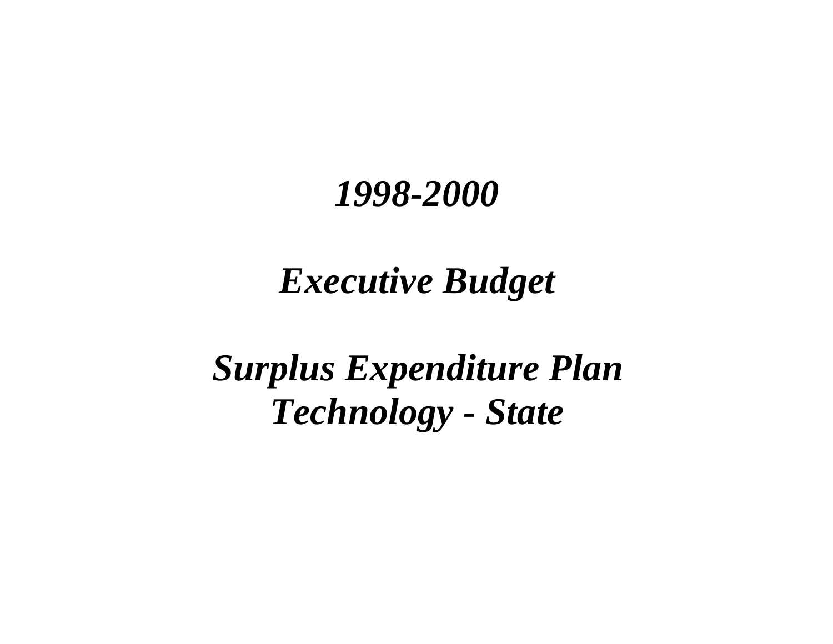## *Executive Budget*

*Surplus Expenditure Plan Technology - State*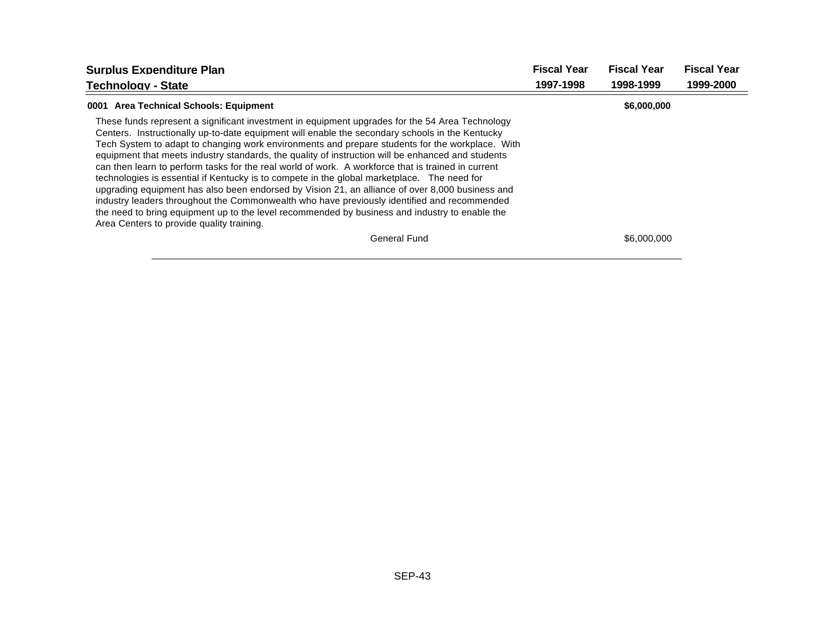| <b>Surplus Expenditure Plan</b>                                                                                                                                                                                                                                                                                                                                                                                                                                                                                                                                                                                                                                                                                                                                                                                                                                                                                                                                  | <b>Fiscal Year</b> | <b>Fiscal Year</b> | <b>Fiscal Year</b> |
|------------------------------------------------------------------------------------------------------------------------------------------------------------------------------------------------------------------------------------------------------------------------------------------------------------------------------------------------------------------------------------------------------------------------------------------------------------------------------------------------------------------------------------------------------------------------------------------------------------------------------------------------------------------------------------------------------------------------------------------------------------------------------------------------------------------------------------------------------------------------------------------------------------------------------------------------------------------|--------------------|--------------------|--------------------|
| <b>Technology - State</b>                                                                                                                                                                                                                                                                                                                                                                                                                                                                                                                                                                                                                                                                                                                                                                                                                                                                                                                                        | 1997-1998          | 1998-1999          | 1999-2000          |
| 0001 Area Technical Schools: Equipment                                                                                                                                                                                                                                                                                                                                                                                                                                                                                                                                                                                                                                                                                                                                                                                                                                                                                                                           |                    | \$6,000,000        |                    |
| These funds represent a significant investment in equipment upgrades for the 54 Area Technology<br>Centers. Instructionally up-to-date equipment will enable the secondary schools in the Kentucky<br>Tech System to adapt to changing work environments and prepare students for the workplace. With<br>equipment that meets industry standards, the quality of instruction will be enhanced and students<br>can then learn to perform tasks for the real world of work. A workforce that is trained in current<br>technologies is essential if Kentucky is to compete in the global marketplace. The need for<br>upgrading equipment has also been endorsed by Vision 21, an alliance of over 8,000 business and<br>industry leaders throughout the Commonwealth who have previously identified and recommended<br>the need to bring equipment up to the level recommended by business and industry to enable the<br>Area Centers to provide quality training. |                    |                    |                    |
| <b>General Fund</b>                                                                                                                                                                                                                                                                                                                                                                                                                                                                                                                                                                                                                                                                                                                                                                                                                                                                                                                                              |                    | \$6,000,000        |                    |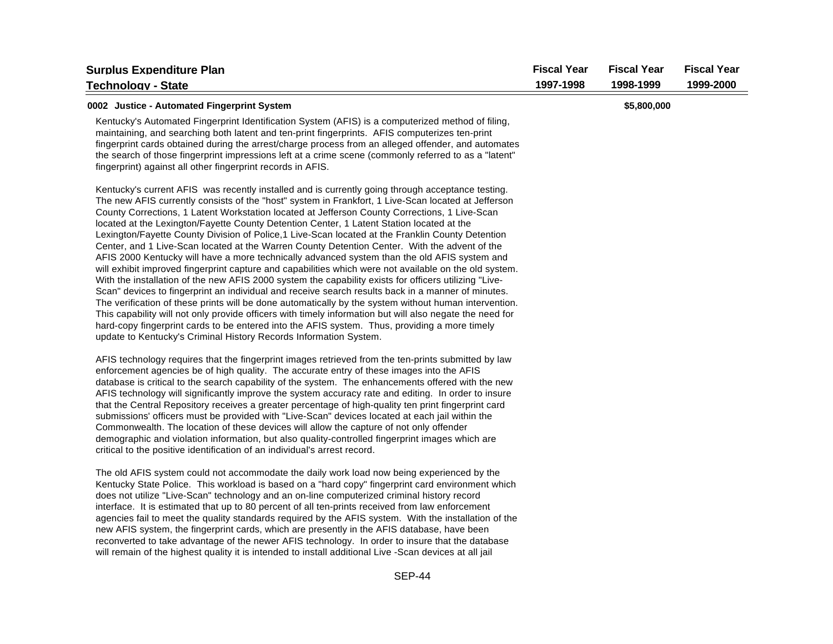| <b>Surplus Expenditure Plan</b><br><b>Technology - State</b>                                                                                                                                                                                                                                                                                                                                                                                                                                                                                                                                                                                                                                                                                                                                                                                                                                                                                                                                                                                                                                                                                                                                                                                                                                                                                                                                                                     | <b>Fiscal Year</b><br>1997-1998 | <b>Fiscal Year</b><br>1998-1999 | <b>Fiscal Year</b><br>1999-2000 |
|----------------------------------------------------------------------------------------------------------------------------------------------------------------------------------------------------------------------------------------------------------------------------------------------------------------------------------------------------------------------------------------------------------------------------------------------------------------------------------------------------------------------------------------------------------------------------------------------------------------------------------------------------------------------------------------------------------------------------------------------------------------------------------------------------------------------------------------------------------------------------------------------------------------------------------------------------------------------------------------------------------------------------------------------------------------------------------------------------------------------------------------------------------------------------------------------------------------------------------------------------------------------------------------------------------------------------------------------------------------------------------------------------------------------------------|---------------------------------|---------------------------------|---------------------------------|
| 0002 Justice - Automated Fingerprint System<br>Kentucky's Automated Fingerprint Identification System (AFIS) is a computerized method of filing,<br>maintaining, and searching both latent and ten-print fingerprints. AFIS computerizes ten-print<br>fingerprint cards obtained during the arrest/charge process from an alleged offender, and automates<br>the search of those fingerprint impressions left at a crime scene (commonly referred to as a "latent"<br>fingerprint) against all other fingerprint records in AFIS.                                                                                                                                                                                                                                                                                                                                                                                                                                                                                                                                                                                                                                                                                                                                                                                                                                                                                                |                                 | \$5,800,000                     |                                 |
| Kentucky's current AFIS was recently installed and is currently going through acceptance testing.<br>The new AFIS currently consists of the "host" system in Frankfort, 1 Live-Scan located at Jefferson<br>County Corrections, 1 Latent Workstation located at Jefferson County Corrections, 1 Live-Scan<br>located at the Lexington/Fayette County Detention Center, 1 Latent Station located at the<br>Lexington/Fayette County Division of Police, 1 Live-Scan located at the Franklin County Detention<br>Center, and 1 Live-Scan located at the Warren County Detention Center. With the advent of the<br>AFIS 2000 Kentucky will have a more technically advanced system than the old AFIS system and<br>will exhibit improved fingerprint capture and capabilities which were not available on the old system.<br>With the installation of the new AFIS 2000 system the capability exists for officers utilizing "Live-<br>Scan" devices to fingerprint an individual and receive search results back in a manner of minutes.<br>The verification of these prints will be done automatically by the system without human intervention.<br>This capability will not only provide officers with timely information but will also negate the need for<br>hard-copy fingerprint cards to be entered into the AFIS system. Thus, providing a more timely<br>update to Kentucky's Criminal History Records Information System. |                                 |                                 |                                 |
| AFIS technology requires that the fingerprint images retrieved from the ten-prints submitted by law<br>enforcement agencies be of high quality. The accurate entry of these images into the AFIS<br>database is critical to the search capability of the system. The enhancements offered with the new<br>AFIS technology will significantly improve the system accuracy rate and editing. In order to insure<br>that the Central Repository receives a greater percentage of high-quality ten print fingerprint card<br>submissions' officers must be provided with "Live-Scan" devices located at each jail within the<br>Commonwealth. The location of these devices will allow the capture of not only offender<br>demographic and violation information, but also quality-controlled fingerprint images which are<br>critical to the positive identification of an individual's arrest record.                                                                                                                                                                                                                                                                                                                                                                                                                                                                                                                              |                                 |                                 |                                 |
| The old AFIS system could not accommodate the daily work load now being experienced by the<br>Kentucky State Police. This workload is based on a "hard copy" fingerprint card environment which<br>does not utilize "Live-Scan" technology and an on-line computerized criminal history record<br>interface. It is estimated that up to 80 percent of all ten-prints received from law enforcement<br>agencies fail to meet the quality standards required by the AFIS system. With the installation of the<br>new AFIS system, the fingerprint cards, which are presently in the AFIS database, have been<br>reconverted to take advantage of the newer AFIS technology. In order to insure that the database<br>will remain of the highest quality it is intended to install additional Live -Scan devices at all jail                                                                                                                                                                                                                                                                                                                                                                                                                                                                                                                                                                                                         |                                 |                                 |                                 |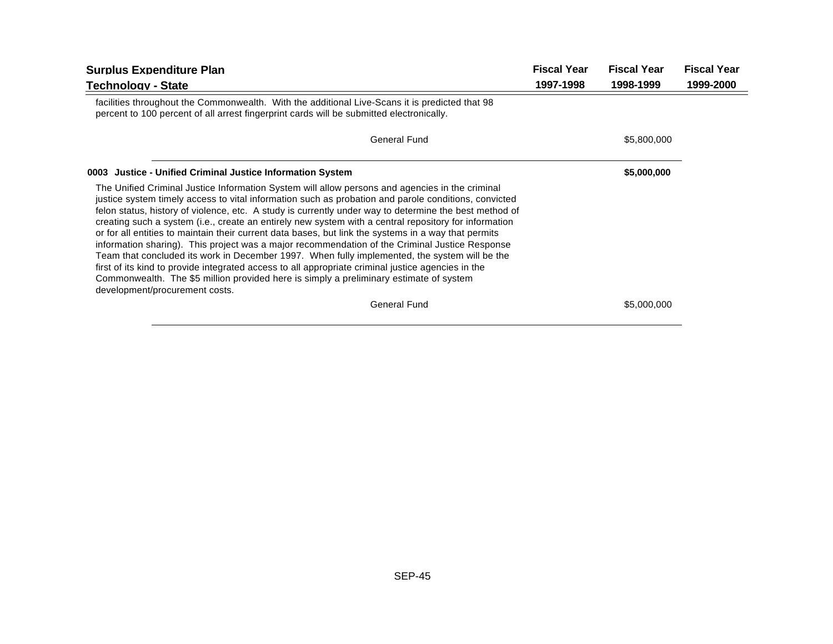| <b>Fiscal Year</b><br><b>Surplus Expenditure Plan</b>                                                                                                                                                                                                                                                                                                                                                                                                                                                                                                                                                                                                                                                                                                                                                                                                                                                                                                                   |           | <b>Fiscal Year</b> | <b>Fiscal Year</b> |
|-------------------------------------------------------------------------------------------------------------------------------------------------------------------------------------------------------------------------------------------------------------------------------------------------------------------------------------------------------------------------------------------------------------------------------------------------------------------------------------------------------------------------------------------------------------------------------------------------------------------------------------------------------------------------------------------------------------------------------------------------------------------------------------------------------------------------------------------------------------------------------------------------------------------------------------------------------------------------|-----------|--------------------|--------------------|
| <b>Technology - State</b>                                                                                                                                                                                                                                                                                                                                                                                                                                                                                                                                                                                                                                                                                                                                                                                                                                                                                                                                               | 1997-1998 | 1998-1999          | 1999-2000          |
| facilities throughout the Commonwealth. With the additional Live-Scans it is predicted that 98<br>percent to 100 percent of all arrest fingerprint cards will be submitted electronically.                                                                                                                                                                                                                                                                                                                                                                                                                                                                                                                                                                                                                                                                                                                                                                              |           |                    |                    |
| General Fund                                                                                                                                                                                                                                                                                                                                                                                                                                                                                                                                                                                                                                                                                                                                                                                                                                                                                                                                                            |           | \$5,800,000        |                    |
| 0003 Justice - Unified Criminal Justice Information System                                                                                                                                                                                                                                                                                                                                                                                                                                                                                                                                                                                                                                                                                                                                                                                                                                                                                                              |           | \$5,000,000        |                    |
| The Unified Criminal Justice Information System will allow persons and agencies in the criminal<br>justice system timely access to vital information such as probation and parole conditions, convicted<br>felon status, history of violence, etc. A study is currently under way to determine the best method of<br>creating such a system (i.e., create an entirely new system with a central repository for information<br>or for all entities to maintain their current data bases, but link the systems in a way that permits<br>information sharing). This project was a major recommendation of the Criminal Justice Response<br>Team that concluded its work in December 1997. When fully implemented, the system will be the<br>first of its kind to provide integrated access to all appropriate criminal justice agencies in the<br>Commonwealth. The \$5 million provided here is simply a preliminary estimate of system<br>development/procurement costs. |           |                    |                    |
| <b>General Fund</b>                                                                                                                                                                                                                                                                                                                                                                                                                                                                                                                                                                                                                                                                                                                                                                                                                                                                                                                                                     |           | \$5,000,000        |                    |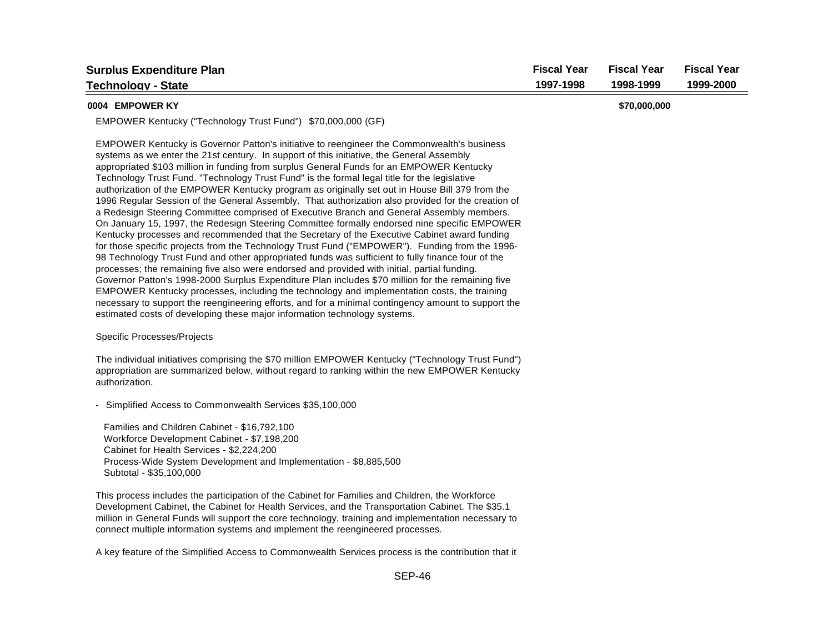| <b>Surplus Expenditure Plan</b>                                                                                                                                                                                                                                                                                                                                                                                                                                                                                                                                                                                                                                                                                                                                                                                                                                                                                                                                                                                                                                                                                                                                                                                                                                                                                                                                                                                                                                                                                                                                                         | <b>Fiscal Year</b> | <b>Fiscal Year</b> | <b>Fiscal Year</b> |
|-----------------------------------------------------------------------------------------------------------------------------------------------------------------------------------------------------------------------------------------------------------------------------------------------------------------------------------------------------------------------------------------------------------------------------------------------------------------------------------------------------------------------------------------------------------------------------------------------------------------------------------------------------------------------------------------------------------------------------------------------------------------------------------------------------------------------------------------------------------------------------------------------------------------------------------------------------------------------------------------------------------------------------------------------------------------------------------------------------------------------------------------------------------------------------------------------------------------------------------------------------------------------------------------------------------------------------------------------------------------------------------------------------------------------------------------------------------------------------------------------------------------------------------------------------------------------------------------|--------------------|--------------------|--------------------|
| <b>Technoloav - State</b>                                                                                                                                                                                                                                                                                                                                                                                                                                                                                                                                                                                                                                                                                                                                                                                                                                                                                                                                                                                                                                                                                                                                                                                                                                                                                                                                                                                                                                                                                                                                                               | 1997-1998          | 1998-1999          | 1999-2000          |
| 0004 EMPOWER KY                                                                                                                                                                                                                                                                                                                                                                                                                                                                                                                                                                                                                                                                                                                                                                                                                                                                                                                                                                                                                                                                                                                                                                                                                                                                                                                                                                                                                                                                                                                                                                         |                    | \$70,000,000       |                    |
| EMPOWER Kentucky ("Technology Trust Fund") \$70,000,000 (GF)                                                                                                                                                                                                                                                                                                                                                                                                                                                                                                                                                                                                                                                                                                                                                                                                                                                                                                                                                                                                                                                                                                                                                                                                                                                                                                                                                                                                                                                                                                                            |                    |                    |                    |
| EMPOWER Kentucky is Governor Patton's initiative to reengineer the Commonwealth's business<br>systems as we enter the 21st century. In support of this initiative, the General Assembly<br>appropriated \$103 million in funding from surplus General Funds for an EMPOWER Kentucky<br>Technology Trust Fund. "Technology Trust Fund" is the formal legal title for the legislative<br>authorization of the EMPOWER Kentucky program as originally set out in House Bill 379 from the<br>1996 Regular Session of the General Assembly. That authorization also provided for the creation of<br>a Redesign Steering Committee comprised of Executive Branch and General Assembly members.<br>On January 15, 1997, the Redesign Steering Committee formally endorsed nine specific EMPOWER<br>Kentucky processes and recommended that the Secretary of the Executive Cabinet award funding<br>for those specific projects from the Technology Trust Fund ("EMPOWER"). Funding from the 1996-<br>98 Technology Trust Fund and other appropriated funds was sufficient to fully finance four of the<br>processes; the remaining five also were endorsed and provided with initial, partial funding.<br>Governor Patton's 1998-2000 Surplus Expenditure Plan includes \$70 million for the remaining five<br>EMPOWER Kentucky processes, including the technology and implementation costs, the training<br>necessary to support the reengineering efforts, and for a minimal contingency amount to support the<br>estimated costs of developing these major information technology systems. |                    |                    |                    |
| Specific Processes/Projects                                                                                                                                                                                                                                                                                                                                                                                                                                                                                                                                                                                                                                                                                                                                                                                                                                                                                                                                                                                                                                                                                                                                                                                                                                                                                                                                                                                                                                                                                                                                                             |                    |                    |                    |
| The individual initiatives comprising the \$70 million EMPOWER Kentucky ("Technology Trust Fund")<br>appropriation are summarized below, without regard to ranking within the new EMPOWER Kentucky<br>authorization.                                                                                                                                                                                                                                                                                                                                                                                                                                                                                                                                                                                                                                                                                                                                                                                                                                                                                                                                                                                                                                                                                                                                                                                                                                                                                                                                                                    |                    |                    |                    |
| - Simplified Access to Commonwealth Services \$35,100,000                                                                                                                                                                                                                                                                                                                                                                                                                                                                                                                                                                                                                                                                                                                                                                                                                                                                                                                                                                                                                                                                                                                                                                                                                                                                                                                                                                                                                                                                                                                               |                    |                    |                    |
| Families and Children Cabinet - \$16,792,100<br>Workforce Development Cabinet - \$7,198,200<br>Cabinet for Health Services - \$2,224,200<br>Process-Wide System Development and Implementation - \$8,885,500<br>Subtotal - \$35,100,000                                                                                                                                                                                                                                                                                                                                                                                                                                                                                                                                                                                                                                                                                                                                                                                                                                                                                                                                                                                                                                                                                                                                                                                                                                                                                                                                                 |                    |                    |                    |
| This process includes the participation of the Cabinet for Families and Children, the Workforce<br>Development Cabinet, the Cabinet for Health Services, and the Transportation Cabinet. The \$35.1<br>million in General Funds will support the core technology, training and implementation necessary to                                                                                                                                                                                                                                                                                                                                                                                                                                                                                                                                                                                                                                                                                                                                                                                                                                                                                                                                                                                                                                                                                                                                                                                                                                                                              |                    |                    |                    |

A key feature of the Simplified Access to Commonwealth Services process is the contribution that it

connect multiple information systems and implement the reengineered processes.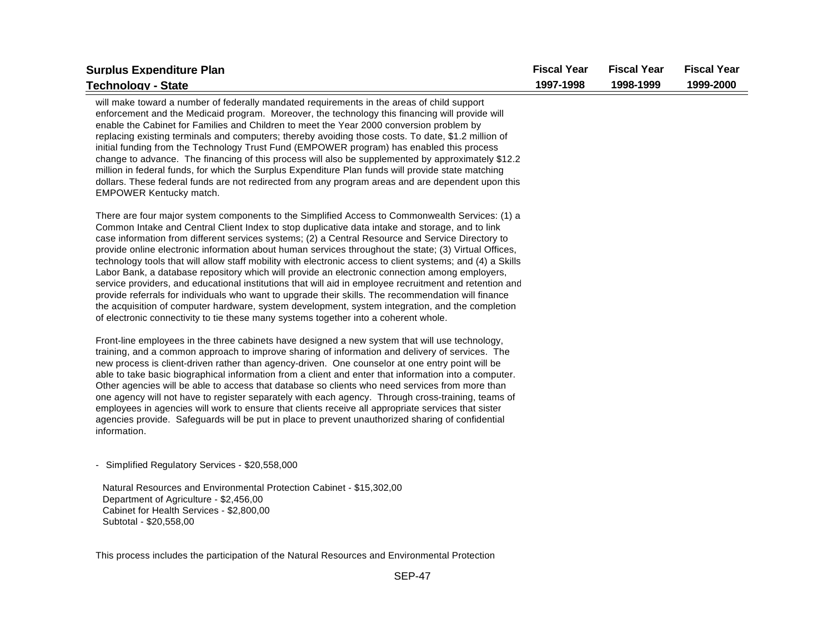| <b>Surplus Expenditure Plan</b>                                                                                                                                                                                                                                                                                                                                                                                                                                                                                                                                                                                                                                                                                                                                                                                                                                                                                                                                                                                                                | <b>Fiscal Year</b> | <b>Fiscal Year</b> | <b>Fiscal Year</b> |
|------------------------------------------------------------------------------------------------------------------------------------------------------------------------------------------------------------------------------------------------------------------------------------------------------------------------------------------------------------------------------------------------------------------------------------------------------------------------------------------------------------------------------------------------------------------------------------------------------------------------------------------------------------------------------------------------------------------------------------------------------------------------------------------------------------------------------------------------------------------------------------------------------------------------------------------------------------------------------------------------------------------------------------------------|--------------------|--------------------|--------------------|
| <b>Technology - State</b>                                                                                                                                                                                                                                                                                                                                                                                                                                                                                                                                                                                                                                                                                                                                                                                                                                                                                                                                                                                                                      | 1997-1998          | 1998-1999          | 1999-2000          |
| will make toward a number of federally mandated requirements in the areas of child support<br>enforcement and the Medicaid program. Moreover, the technology this financing will provide will<br>enable the Cabinet for Families and Children to meet the Year 2000 conversion problem by<br>replacing existing terminals and computers; thereby avoiding those costs. To date, \$1.2 million of<br>initial funding from the Technology Trust Fund (EMPOWER program) has enabled this process<br>change to advance. The financing of this process will also be supplemented by approximately \$12.2<br>million in federal funds, for which the Surplus Expenditure Plan funds will provide state matching<br>dollars. These federal funds are not redirected from any program areas and are dependent upon this<br>EMPOWER Kentucky match.                                                                                                                                                                                                     |                    |                    |                    |
| There are four major system components to the Simplified Access to Commonwealth Services: (1) a<br>Common Intake and Central Client Index to stop duplicative data intake and storage, and to link<br>case information from different services systems; (2) a Central Resource and Service Directory to<br>provide online electronic information about human services throughout the state; (3) Virtual Offices,<br>technology tools that will allow staff mobility with electronic access to client systems; and (4) a Skills<br>Labor Bank, a database repository which will provide an electronic connection among employers,<br>service providers, and educational institutions that will aid in employee recruitment and retention and<br>provide referrals for individuals who want to upgrade their skills. The recommendation will finance<br>the acquisition of computer hardware, system development, system integration, and the completion<br>of electronic connectivity to tie these many systems together into a coherent whole. |                    |                    |                    |
| Front-line employees in the three cabinets have designed a new system that will use technology,<br>training, and a common approach to improve sharing of information and delivery of services. The<br>new process is client-driven rather than agency-driven. One counselor at one entry point will be<br>able to take basic biographical information from a client and enter that information into a computer.<br>Other agencies will be able to access that database so clients who need services from more than<br>one agency will not have to register separately with each agency. Through cross-training, teams of<br>employees in agencies will work to ensure that clients receive all appropriate services that sister<br>agencies provide. Safeguards will be put in place to prevent unauthorized sharing of confidential<br>information.                                                                                                                                                                                           |                    |                    |                    |
| - Simplified Regulatory Services - \$20,558,000                                                                                                                                                                                                                                                                                                                                                                                                                                                                                                                                                                                                                                                                                                                                                                                                                                                                                                                                                                                                |                    |                    |                    |
| Natural Resources and Environmental Protection Cabinet - \$15,302,00<br>Department of Agriculture - \$2,456,00<br>Cabinet for Health Services - \$2,800,00<br>Subtotal - \$20,558,00                                                                                                                                                                                                                                                                                                                                                                                                                                                                                                                                                                                                                                                                                                                                                                                                                                                           |                    |                    |                    |

This process includes the participation of the Natural Resources and Environmental Protection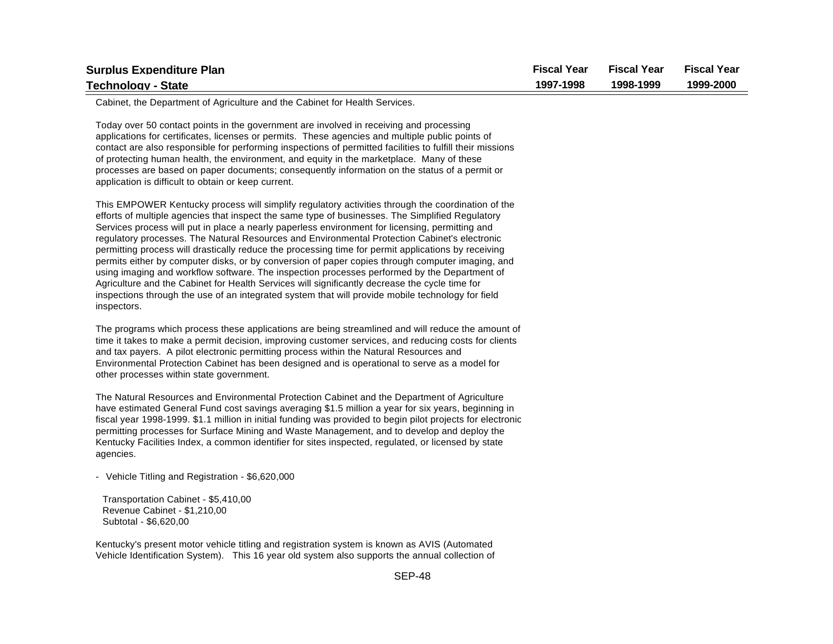| <b>Surplus Expenditure Plan</b> | <b>Fiscal Year</b> | <b>Fiscal Year</b> | <b>Fiscal Year</b> |
|---------------------------------|--------------------|--------------------|--------------------|
| <b>Technology - State</b>       | 1997-1998          | 1998-1999          | 1999-2000          |

Cabinet, the Department of Agriculture and the Cabinet for Health Services.

Today over 50 contact points in the government are involved in receiving and processing applications for certificates, licenses or permits. These agencies and multiple public points of contact are also responsible for performing inspections of permitted facilities to fulfill their missions of protecting human health, the environment, and equity in the marketplace. Many of these processes are based on paper documents; consequently information on the status of a permit or application is difficult to obtain or keep current.

This EMPOWER Kentucky process will simplify regulatory activities through the coordination of the efforts of multiple agencies that inspect the same type of businesses. The Simplified Regulatory Services process will put in place a nearly paperless environment for licensing, permitting and regulatory processes. The Natural Resources and Environmental Protection Cabinet's electronic permitting process will drastically reduce the processing time for permit applications by receiving permits either by computer disks, or by conversion of paper copies through computer imaging, and using imaging and workflow software. The inspection processes performed by the Department of Agriculture and the Cabinet for Health Services will significantly decrease the cycle time for inspections through the use of an integrated system that will provide mobile technology for field inspectors.

The programs which process these applications are being streamlined and will reduce the amount of time it takes to make a permit decision, improving customer services, and reducing costs for clients and tax payers. A pilot electronic permitting process within the Natural Resources and Environmental Protection Cabinet has been designed and is operational to serve as a model for other processes within state government.

The Natural Resources and Environmental Protection Cabinet and the Department of Agriculture have estimated General Fund cost savings averaging \$1.5 million a year for six years, beginning in fiscal year 1998-1999. \$1.1 million in initial funding was provided to begin pilot projects for electronic permitting processes for Surface Mining and Waste Management, and to develop and deploy the Kentucky Facilities Index, a common identifier for sites inspected, regulated, or licensed by state agencies.

- Vehicle Titling and Registration - \$6,620,000

 Transportation Cabinet - \$5,410,00 Revenue Cabinet - \$1,210,00 Subtotal - \$6,620,00

Kentucky's present motor vehicle titling and registration system is known as AVIS (Automated Vehicle Identification System). This 16 year old system also supports the annual collection of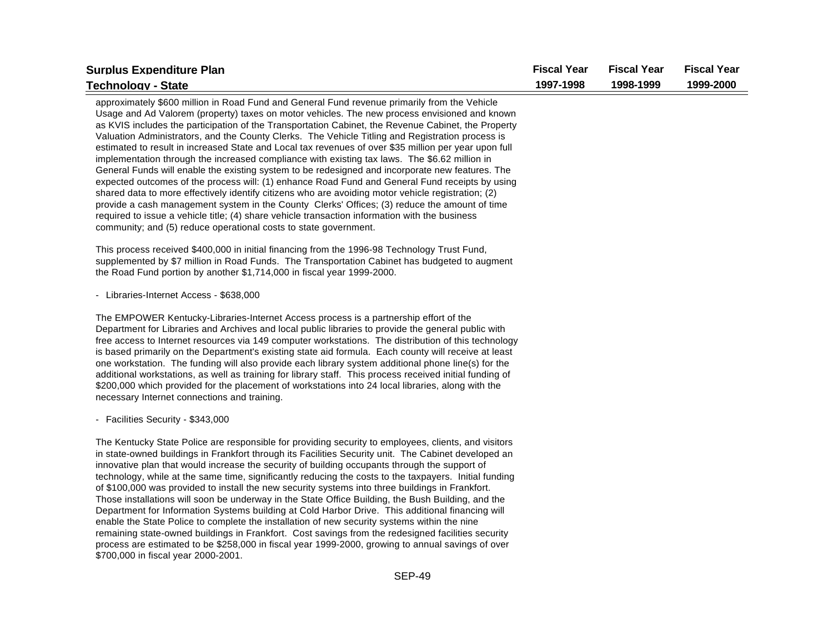| <b>Surplus Expenditure Plan</b>                                                                                                                                                                                                                                                                                                                                                                                                                                                                                                                                                                                                                                                                                                                                                                                                                                                                                                                                                                                                                                                                                                                                                                        | <b>Fiscal Year</b> | <b>Fiscal Year</b> | <b>Fiscal Year</b> |
|--------------------------------------------------------------------------------------------------------------------------------------------------------------------------------------------------------------------------------------------------------------------------------------------------------------------------------------------------------------------------------------------------------------------------------------------------------------------------------------------------------------------------------------------------------------------------------------------------------------------------------------------------------------------------------------------------------------------------------------------------------------------------------------------------------------------------------------------------------------------------------------------------------------------------------------------------------------------------------------------------------------------------------------------------------------------------------------------------------------------------------------------------------------------------------------------------------|--------------------|--------------------|--------------------|
| <b>Technology - State</b>                                                                                                                                                                                                                                                                                                                                                                                                                                                                                                                                                                                                                                                                                                                                                                                                                                                                                                                                                                                                                                                                                                                                                                              | 1997-1998          | 1998-1999          | 1999-2000          |
| approximately \$600 million in Road Fund and General Fund revenue primarily from the Vehicle<br>Usage and Ad Valorem (property) taxes on motor vehicles. The new process envisioned and known<br>as KVIS includes the participation of the Transportation Cabinet, the Revenue Cabinet, the Property<br>Valuation Administrators, and the County Clerks. The Vehicle Titling and Registration process is<br>estimated to result in increased State and Local tax revenues of over \$35 million per year upon full<br>implementation through the increased compliance with existing tax laws. The \$6.62 million in<br>General Funds will enable the existing system to be redesigned and incorporate new features. The<br>expected outcomes of the process will: (1) enhance Road Fund and General Fund receipts by using<br>shared data to more effectively identify citizens who are avoiding motor vehicle registration; (2)<br>provide a cash management system in the County Clerks' Offices; (3) reduce the amount of time<br>required to issue a vehicle title; (4) share vehicle transaction information with the business<br>community; and (5) reduce operational costs to state government. |                    |                    |                    |
| This process received \$400,000 in initial financing from the 1996-98 Technology Trust Fund,<br>supplemented by \$7 million in Road Funds. The Transportation Cabinet has budgeted to augment<br>the Road Fund portion by another \$1,714,000 in fiscal year 1999-2000.                                                                                                                                                                                                                                                                                                                                                                                                                                                                                                                                                                                                                                                                                                                                                                                                                                                                                                                                |                    |                    |                    |
| - Libraries-Internet Access - \$638,000                                                                                                                                                                                                                                                                                                                                                                                                                                                                                                                                                                                                                                                                                                                                                                                                                                                                                                                                                                                                                                                                                                                                                                |                    |                    |                    |
| The EMPOWER Kentucky-Libraries-Internet Access process is a partnership effort of the<br>Department for Libraries and Archives and local public libraries to provide the general public with<br>free access to Internet resources via 149 computer workstations. The distribution of this technology<br>is based primarily on the Department's existing state aid formula. Each county will receive at least<br>one workstation. The funding will also provide each library system additional phone line(s) for the<br>additional workstations, as well as training for library staff. This process received initial funding of<br>\$200,000 which provided for the placement of workstations into 24 local libraries, along with the<br>necessary Internet connections and training.                                                                                                                                                                                                                                                                                                                                                                                                                  |                    |                    |                    |
| - Facilities Security - \$343,000                                                                                                                                                                                                                                                                                                                                                                                                                                                                                                                                                                                                                                                                                                                                                                                                                                                                                                                                                                                                                                                                                                                                                                      |                    |                    |                    |
| The Kentucky State Police are responsible for providing security to employees, clients, and visitors<br>in state-owned buildings in Frankfort through its Facilities Security unit. The Cabinet developed an<br>innovative plan that would increase the security of building occupants through the support of<br>technology, while at the same time, significantly reducing the costs to the taxpayers. Initial funding<br>of \$100,000 was provided to install the new security systems into three buildings in Frankfort.<br>Those installations will soon be underway in the State Office Building, the Bush Building, and the<br>Department for Information Systems building at Cold Harbor Drive. This additional financing will<br>enable the State Police to complete the installation of new security systems within the nine<br>remaining state-owned buildings in Frankfort. Cost savings from the redesigned facilities security                                                                                                                                                                                                                                                            |                    |                    |                    |

process are estimated to be \$258,000 in fiscal year 1999-2000, growing to annual savings of over \$700,000 in fiscal year 2000-2001.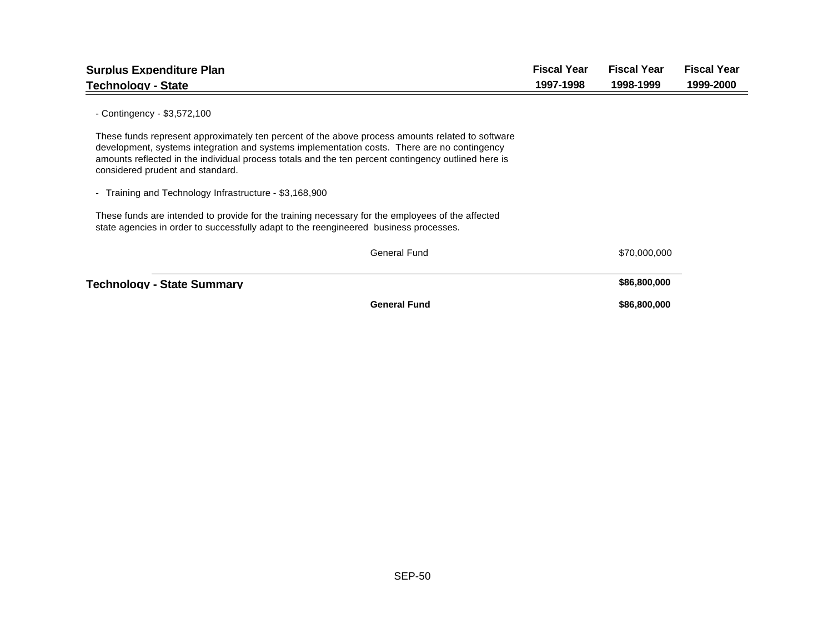| <b>Surplus Expenditure Plan</b>                                                                                                                                                                                                                                                                                                            | <b>Fiscal Year</b> | <b>Fiscal Year</b> | <b>Fiscal Year</b> |
|--------------------------------------------------------------------------------------------------------------------------------------------------------------------------------------------------------------------------------------------------------------------------------------------------------------------------------------------|--------------------|--------------------|--------------------|
| <b>Technology - State</b>                                                                                                                                                                                                                                                                                                                  | 1997-1998          | 1998-1999          | 1999-2000          |
| - Contingency - $$3,572,100$                                                                                                                                                                                                                                                                                                               |                    |                    |                    |
| These funds represent approximately ten percent of the above process amounts related to software<br>development, systems integration and systems implementation costs. There are no contingency<br>amounts reflected in the individual process totals and the ten percent contingency outlined here is<br>considered prudent and standard. |                    |                    |                    |
| - Training and Technology Infrastructure - \$3,168,900                                                                                                                                                                                                                                                                                     |                    |                    |                    |
| These funds are intended to provide for the training necessary for the employees of the affected<br>state agencies in order to successfully adapt to the reengineered business processes.                                                                                                                                                  |                    |                    |                    |
| <b>General Fund</b>                                                                                                                                                                                                                                                                                                                        |                    | \$70,000,000       |                    |
| Technology - State Summary                                                                                                                                                                                                                                                                                                                 |                    | \$86,800,000       |                    |
| <b>General Fund</b>                                                                                                                                                                                                                                                                                                                        |                    | \$86,800,000       |                    |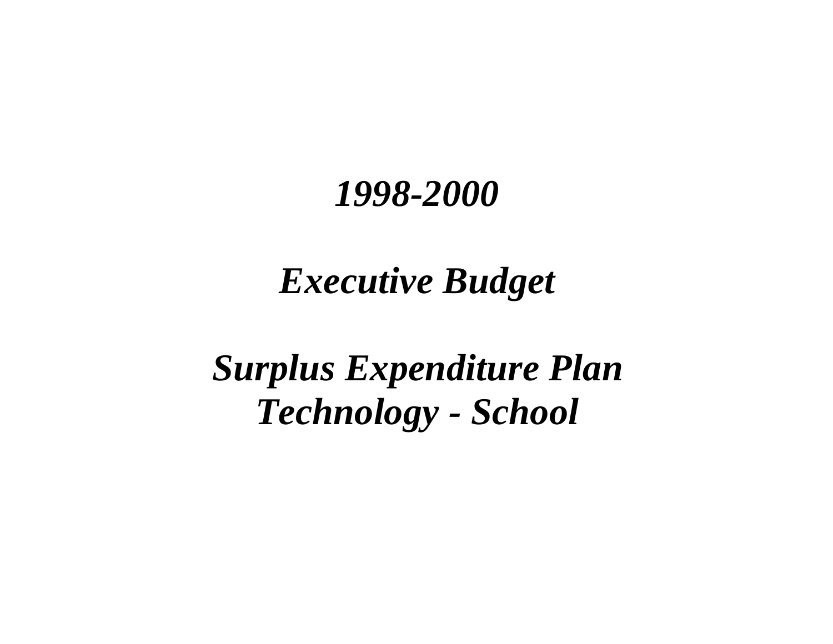## *Executive Budget*

# *Surplus Expenditure Plan Technology - School*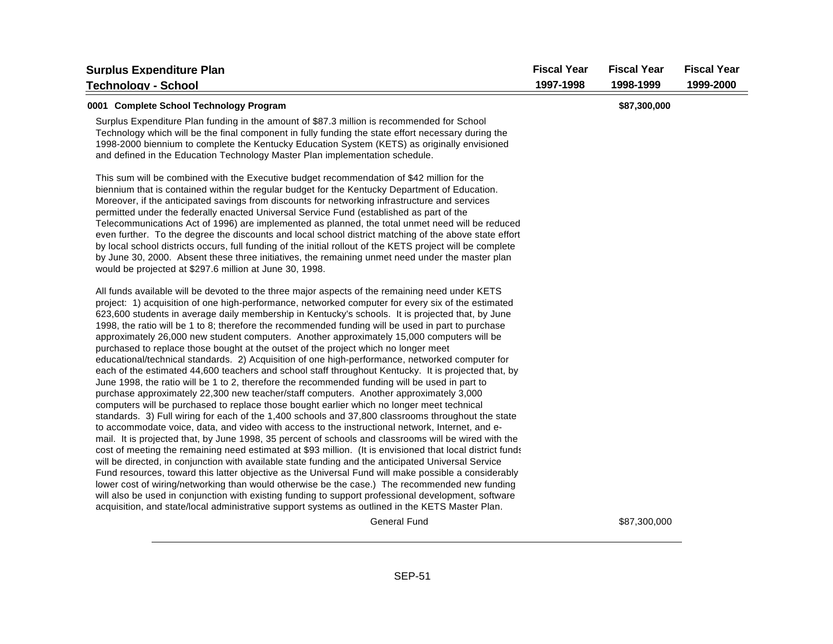| <b>Surplus Expenditure Plan</b>                                                                                                                                                                                                                                                                                                                                                                                                                                                                                                                                                                                                                                                                                                                                                                                                                                                                                                                                                                                                                                                                                                                                                                                                                                                                                                                                                                                                                                                                                                                                                                                                                                                                                                                                                                                                                                                                                                                                                                                                                                         | <b>Fiscal Year</b> | <b>Fiscal Year</b> | <b>Fiscal Year</b> |
|-------------------------------------------------------------------------------------------------------------------------------------------------------------------------------------------------------------------------------------------------------------------------------------------------------------------------------------------------------------------------------------------------------------------------------------------------------------------------------------------------------------------------------------------------------------------------------------------------------------------------------------------------------------------------------------------------------------------------------------------------------------------------------------------------------------------------------------------------------------------------------------------------------------------------------------------------------------------------------------------------------------------------------------------------------------------------------------------------------------------------------------------------------------------------------------------------------------------------------------------------------------------------------------------------------------------------------------------------------------------------------------------------------------------------------------------------------------------------------------------------------------------------------------------------------------------------------------------------------------------------------------------------------------------------------------------------------------------------------------------------------------------------------------------------------------------------------------------------------------------------------------------------------------------------------------------------------------------------------------------------------------------------------------------------------------------------|--------------------|--------------------|--------------------|
| Technoloav - School                                                                                                                                                                                                                                                                                                                                                                                                                                                                                                                                                                                                                                                                                                                                                                                                                                                                                                                                                                                                                                                                                                                                                                                                                                                                                                                                                                                                                                                                                                                                                                                                                                                                                                                                                                                                                                                                                                                                                                                                                                                     | 1997-1998          | 1998-1999          | 1999-2000          |
| 0001 Complete School Technology Program                                                                                                                                                                                                                                                                                                                                                                                                                                                                                                                                                                                                                                                                                                                                                                                                                                                                                                                                                                                                                                                                                                                                                                                                                                                                                                                                                                                                                                                                                                                                                                                                                                                                                                                                                                                                                                                                                                                                                                                                                                 |                    | \$87,300,000       |                    |
| Surplus Expenditure Plan funding in the amount of \$87.3 million is recommended for School<br>Technology which will be the final component in fully funding the state effort necessary during the<br>1998-2000 biennium to complete the Kentucky Education System (KETS) as originally envisioned<br>and defined in the Education Technology Master Plan implementation schedule.                                                                                                                                                                                                                                                                                                                                                                                                                                                                                                                                                                                                                                                                                                                                                                                                                                                                                                                                                                                                                                                                                                                                                                                                                                                                                                                                                                                                                                                                                                                                                                                                                                                                                       |                    |                    |                    |
| This sum will be combined with the Executive budget recommendation of \$42 million for the<br>biennium that is contained within the regular budget for the Kentucky Department of Education.<br>Moreover, if the anticipated savings from discounts for networking infrastructure and services<br>permitted under the federally enacted Universal Service Fund (established as part of the<br>Telecommunications Act of 1996) are implemented as planned, the total unmet need will be reduced<br>even further. To the degree the discounts and local school district matching of the above state effort<br>by local school districts occurs, full funding of the initial rollout of the KETS project will be complete<br>by June 30, 2000. Absent these three initiatives, the remaining unmet need under the master plan<br>would be projected at \$297.6 million at June 30, 1998.                                                                                                                                                                                                                                                                                                                                                                                                                                                                                                                                                                                                                                                                                                                                                                                                                                                                                                                                                                                                                                                                                                                                                                                   |                    |                    |                    |
| All funds available will be devoted to the three major aspects of the remaining need under KETS<br>project: 1) acquisition of one high-performance, networked computer for every six of the estimated<br>623,600 students in average daily membership in Kentucky's schools. It is projected that, by June<br>1998, the ratio will be 1 to 8; therefore the recommended funding will be used in part to purchase<br>approximately 26,000 new student computers. Another approximately 15,000 computers will be<br>purchased to replace those bought at the outset of the project which no longer meet<br>educational/technical standards. 2) Acquisition of one high-performance, networked computer for<br>each of the estimated 44,600 teachers and school staff throughout Kentucky. It is projected that, by<br>June 1998, the ratio will be 1 to 2, therefore the recommended funding will be used in part to<br>purchase approximately 22,300 new teacher/staff computers. Another approximately 3,000<br>computers will be purchased to replace those bought earlier which no longer meet technical<br>standards. 3) Full wiring for each of the 1,400 schools and 37,800 classrooms throughout the state<br>to accommodate voice, data, and video with access to the instructional network, Internet, and e-<br>mail. It is projected that, by June 1998, 35 percent of schools and classrooms will be wired with the<br>cost of meeting the remaining need estimated at \$93 million. (It is envisioned that local district funds<br>will be directed, in conjunction with available state funding and the anticipated Universal Service<br>Fund resources, toward this latter objective as the Universal Fund will make possible a considerably<br>lower cost of wiring/networking than would otherwise be the case.) The recommended new funding<br>will also be used in conjunction with existing funding to support professional development, software<br>acquisition, and state/local administrative support systems as outlined in the KETS Master Plan. |                    |                    |                    |
| <b>General Fund</b>                                                                                                                                                                                                                                                                                                                                                                                                                                                                                                                                                                                                                                                                                                                                                                                                                                                                                                                                                                                                                                                                                                                                                                                                                                                                                                                                                                                                                                                                                                                                                                                                                                                                                                                                                                                                                                                                                                                                                                                                                                                     |                    | \$87,300,000       |                    |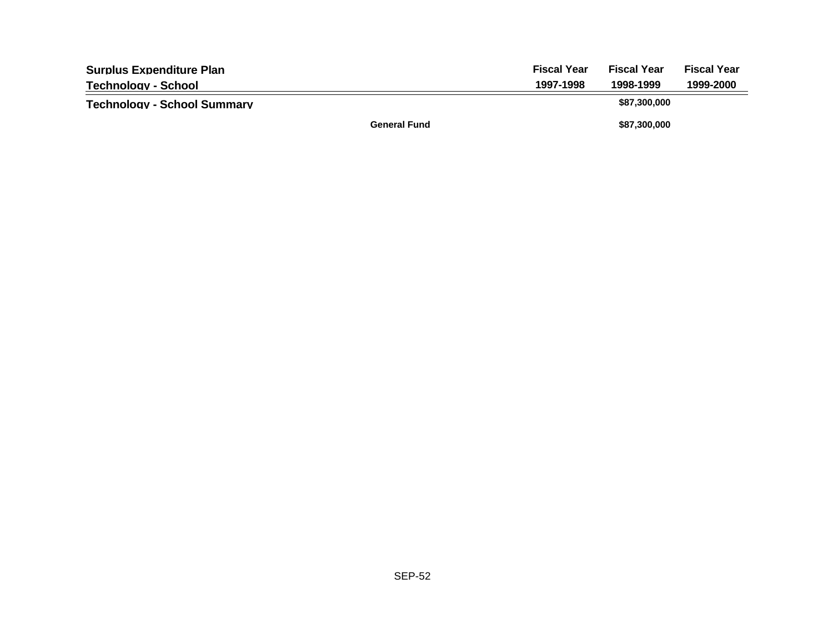| <b>Surplus Expenditure Plan</b>    |                     | <b>Fiscal Year</b> | <b>Fiscal Year</b> | <b>Fiscal Year</b> |
|------------------------------------|---------------------|--------------------|--------------------|--------------------|
| Technology - School                |                     | 1997-1998          | 1998-1999          | 1999-2000          |
| <b>Technology - School Summary</b> |                     |                    | \$87,300,000       |                    |
|                                    | <b>General Fund</b> |                    | \$87,300,000       |                    |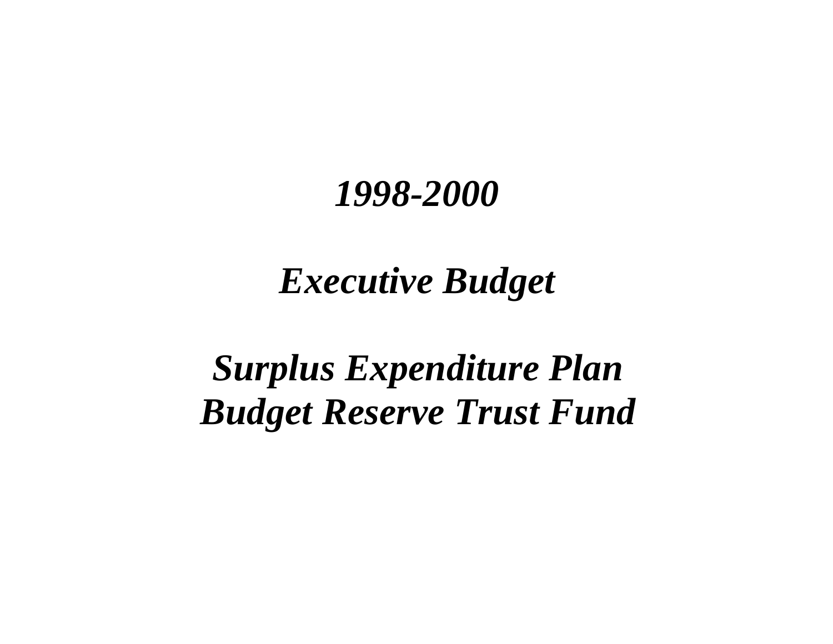# *Executive Budget*

# *Surplus Expenditure Plan Budget Reserve Trust Fund*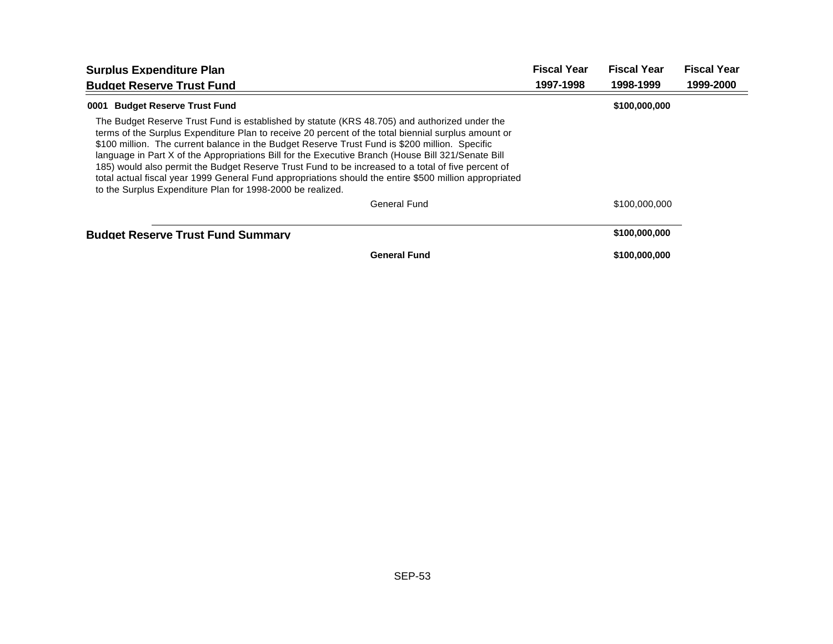| <b>Surplus Expenditure Plan</b>                                                                                                                                                                                                                                                                                                                                                                                                                                                                                                                                                                                                                                                            | <b>Fiscal Year</b> | <b>Fiscal Year</b> | <b>Fiscal Year</b> |
|--------------------------------------------------------------------------------------------------------------------------------------------------------------------------------------------------------------------------------------------------------------------------------------------------------------------------------------------------------------------------------------------------------------------------------------------------------------------------------------------------------------------------------------------------------------------------------------------------------------------------------------------------------------------------------------------|--------------------|--------------------|--------------------|
| <b>Budget Reserve Trust Fund</b>                                                                                                                                                                                                                                                                                                                                                                                                                                                                                                                                                                                                                                                           | 1997-1998          | 1998-1999          | 1999-2000          |
| 0001 Budget Reserve Trust Fund                                                                                                                                                                                                                                                                                                                                                                                                                                                                                                                                                                                                                                                             |                    | \$100,000,000      |                    |
| The Budget Reserve Trust Fund is established by statute (KRS 48.705) and authorized under the<br>terms of the Surplus Expenditure Plan to receive 20 percent of the total biennial surplus amount or<br>\$100 million. The current balance in the Budget Reserve Trust Fund is \$200 million. Specific<br>language in Part X of the Appropriations Bill for the Executive Branch (House Bill 321/Senate Bill<br>185) would also permit the Budget Reserve Trust Fund to be increased to a total of five percent of<br>total actual fiscal year 1999 General Fund appropriations should the entire \$500 million appropriated<br>to the Surplus Expenditure Plan for 1998-2000 be realized. |                    |                    |                    |
| General Fund                                                                                                                                                                                                                                                                                                                                                                                                                                                                                                                                                                                                                                                                               |                    | \$100,000,000      |                    |
| <b>Budget Reserve Trust Fund Summary</b>                                                                                                                                                                                                                                                                                                                                                                                                                                                                                                                                                                                                                                                   |                    | \$100,000,000      |                    |
| <b>General Fund</b>                                                                                                                                                                                                                                                                                                                                                                                                                                                                                                                                                                                                                                                                        |                    | \$100,000,000      |                    |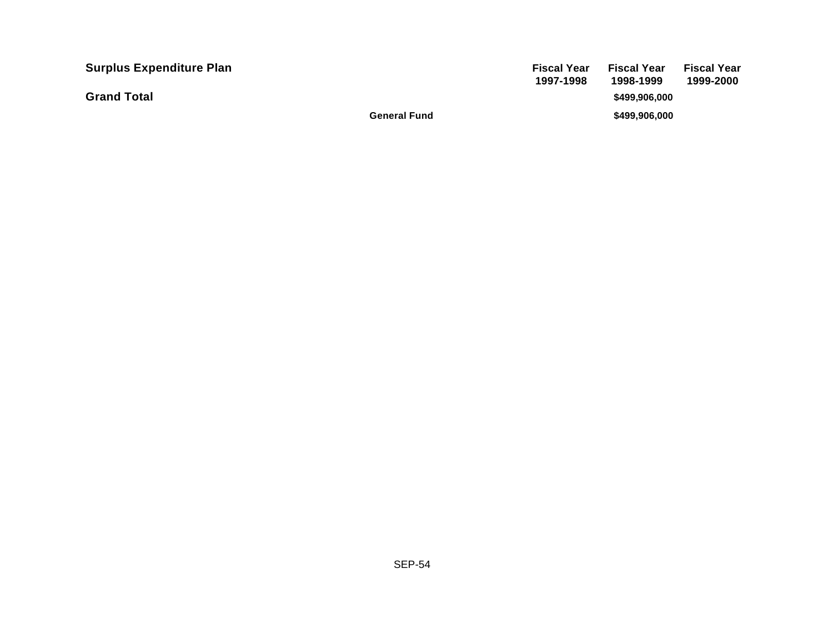| <b>Surplus Expenditure Plan</b> |                     | <b>Fiscal Year</b><br>1997-1998 | <b>Fiscal Year</b><br>1998-1999 | <b>Fiscal Year</b><br>1999-2000 |
|---------------------------------|---------------------|---------------------------------|---------------------------------|---------------------------------|
| <b>Grand Total</b>              |                     |                                 | \$499.906.000                   |                                 |
|                                 | <b>General Fund</b> |                                 | \$499,906,000                   |                                 |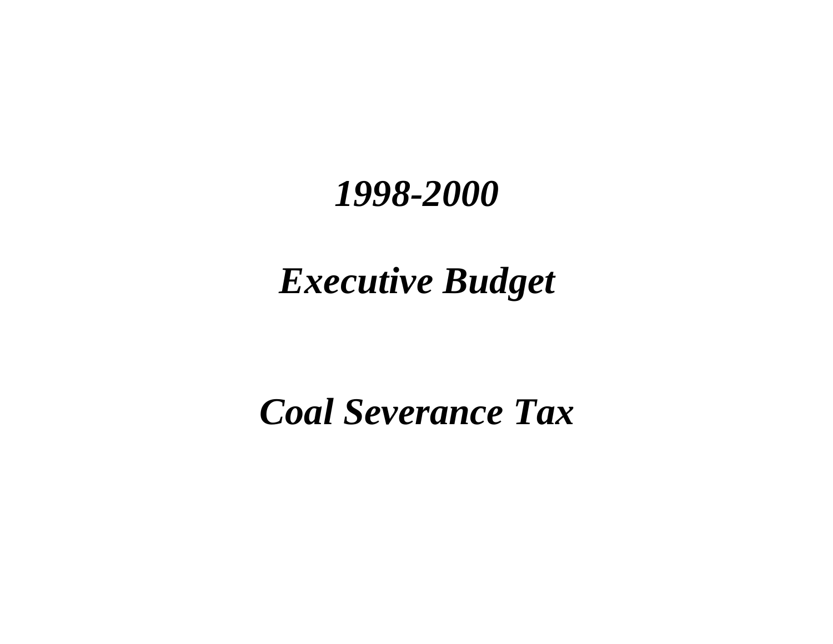# *Executive Budget*

# *Coal Severance Tax*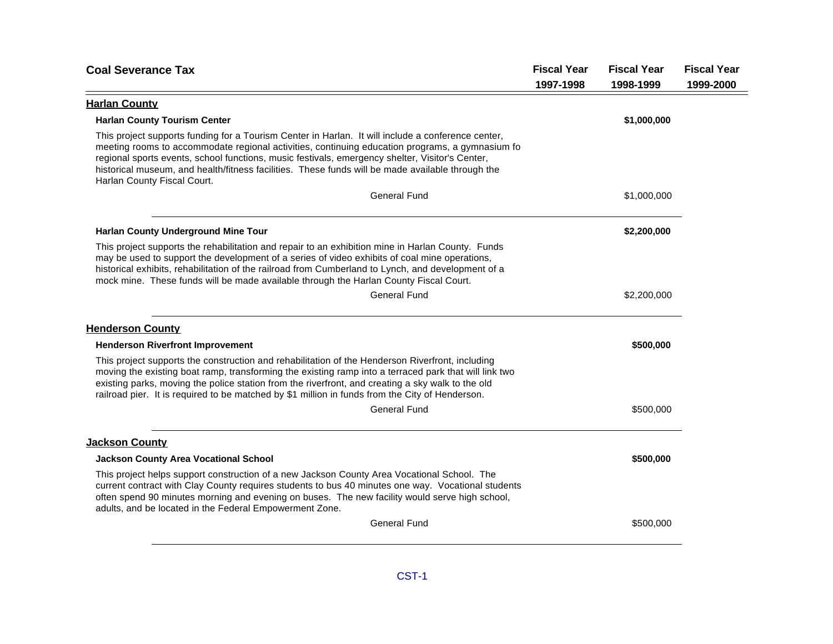| <b>Coal Severance Tax</b>                                                                                                                                                                                                                                                                                                                                                                                                                   | <b>Fiscal Year</b><br>1997-1998 | <b>Fiscal Year</b><br>1998-1999 | <b>Fiscal Year</b><br>1999-2000 |
|---------------------------------------------------------------------------------------------------------------------------------------------------------------------------------------------------------------------------------------------------------------------------------------------------------------------------------------------------------------------------------------------------------------------------------------------|---------------------------------|---------------------------------|---------------------------------|
| <b>Harlan County</b>                                                                                                                                                                                                                                                                                                                                                                                                                        |                                 |                                 |                                 |
| <b>Harlan County Tourism Center</b>                                                                                                                                                                                                                                                                                                                                                                                                         |                                 | \$1,000,000                     |                                 |
| This project supports funding for a Tourism Center in Harlan. It will include a conference center,<br>meeting rooms to accommodate regional activities, continuing education programs, a gymnasium fo<br>regional sports events, school functions, music festivals, emergency shelter, Visitor's Center,<br>historical museum, and health/fitness facilities. These funds will be made available through the<br>Harlan County Fiscal Court. |                                 |                                 |                                 |
| <b>General Fund</b>                                                                                                                                                                                                                                                                                                                                                                                                                         |                                 | \$1,000,000                     |                                 |
| <b>Harlan County Underground Mine Tour</b>                                                                                                                                                                                                                                                                                                                                                                                                  |                                 | \$2,200,000                     |                                 |
| This project supports the rehabilitation and repair to an exhibition mine in Harlan County. Funds<br>may be used to support the development of a series of video exhibits of coal mine operations,<br>historical exhibits, rehabilitation of the railroad from Cumberland to Lynch, and development of a<br>mock mine. These funds will be made available through the Harlan County Fiscal Court.                                           |                                 |                                 |                                 |
| <b>General Fund</b>                                                                                                                                                                                                                                                                                                                                                                                                                         |                                 | \$2,200,000                     |                                 |
| <b>Henderson County</b>                                                                                                                                                                                                                                                                                                                                                                                                                     |                                 |                                 |                                 |
| <b>Henderson Riverfront Improvement</b>                                                                                                                                                                                                                                                                                                                                                                                                     |                                 | \$500,000                       |                                 |
| This project supports the construction and rehabilitation of the Henderson Riverfront, including<br>moving the existing boat ramp, transforming the existing ramp into a terraced park that will link two<br>existing parks, moving the police station from the riverfront, and creating a sky walk to the old<br>railroad pier. It is required to be matched by \$1 million in funds from the City of Henderson.                           |                                 |                                 |                                 |
| <b>General Fund</b>                                                                                                                                                                                                                                                                                                                                                                                                                         |                                 | \$500,000                       |                                 |
| <b>Jackson County</b>                                                                                                                                                                                                                                                                                                                                                                                                                       |                                 |                                 |                                 |
| <b>Jackson County Area Vocational School</b>                                                                                                                                                                                                                                                                                                                                                                                                |                                 | \$500,000                       |                                 |
| This project helps support construction of a new Jackson County Area Vocational School. The<br>current contract with Clay County requires students to bus 40 minutes one way. Vocational students<br>often spend 90 minutes morning and evening on buses. The new facility would serve high school,<br>adults, and be located in the Federal Empowerment Zone.                                                                              |                                 |                                 |                                 |
| <b>General Fund</b>                                                                                                                                                                                                                                                                                                                                                                                                                         |                                 | \$500,000                       |                                 |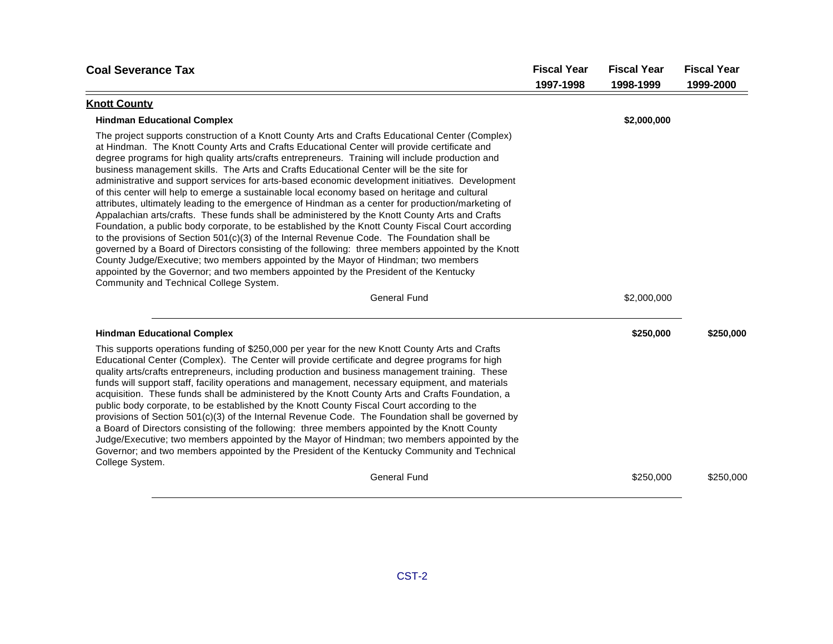| <b>Coal Severance Tax</b>                                                                                                                                                                                                                                                                                                                                                                                                                                                                                                                                                                                                                                                                                                                                                                                                                                                                                                                                                                                                                                                                                                                                                                                                                                                                                                                           | <b>Fiscal Year</b> | <b>Fiscal Year</b> | <b>Fiscal Year</b> |
|-----------------------------------------------------------------------------------------------------------------------------------------------------------------------------------------------------------------------------------------------------------------------------------------------------------------------------------------------------------------------------------------------------------------------------------------------------------------------------------------------------------------------------------------------------------------------------------------------------------------------------------------------------------------------------------------------------------------------------------------------------------------------------------------------------------------------------------------------------------------------------------------------------------------------------------------------------------------------------------------------------------------------------------------------------------------------------------------------------------------------------------------------------------------------------------------------------------------------------------------------------------------------------------------------------------------------------------------------------|--------------------|--------------------|--------------------|
|                                                                                                                                                                                                                                                                                                                                                                                                                                                                                                                                                                                                                                                                                                                                                                                                                                                                                                                                                                                                                                                                                                                                                                                                                                                                                                                                                     | 1997-1998          | 1998-1999          | 1999-2000          |
| <b>Knott County</b>                                                                                                                                                                                                                                                                                                                                                                                                                                                                                                                                                                                                                                                                                                                                                                                                                                                                                                                                                                                                                                                                                                                                                                                                                                                                                                                                 |                    |                    |                    |
| <b>Hindman Educational Complex</b>                                                                                                                                                                                                                                                                                                                                                                                                                                                                                                                                                                                                                                                                                                                                                                                                                                                                                                                                                                                                                                                                                                                                                                                                                                                                                                                  |                    | \$2,000,000        |                    |
| The project supports construction of a Knott County Arts and Crafts Educational Center (Complex)<br>at Hindman. The Knott County Arts and Crafts Educational Center will provide certificate and<br>degree programs for high quality arts/crafts entrepreneurs. Training will include production and<br>business management skills. The Arts and Crafts Educational Center will be the site for<br>administrative and support services for arts-based economic development initiatives. Development<br>of this center will help to emerge a sustainable local economy based on heritage and cultural<br>attributes, ultimately leading to the emergence of Hindman as a center for production/marketing of<br>Appalachian arts/crafts. These funds shall be administered by the Knott County Arts and Crafts<br>Foundation, a public body corporate, to be established by the Knott County Fiscal Court according<br>to the provisions of Section $501(c)(3)$ of the Internal Revenue Code. The Foundation shall be<br>governed by a Board of Directors consisting of the following: three members appointed by the Knott<br>County Judge/Executive; two members appointed by the Mayor of Hindman; two members<br>appointed by the Governor; and two members appointed by the President of the Kentucky<br>Community and Technical College System. |                    |                    |                    |
| <b>General Fund</b>                                                                                                                                                                                                                                                                                                                                                                                                                                                                                                                                                                                                                                                                                                                                                                                                                                                                                                                                                                                                                                                                                                                                                                                                                                                                                                                                 |                    | \$2,000,000        |                    |
| <b>Hindman Educational Complex</b>                                                                                                                                                                                                                                                                                                                                                                                                                                                                                                                                                                                                                                                                                                                                                                                                                                                                                                                                                                                                                                                                                                                                                                                                                                                                                                                  |                    | \$250,000          | \$250,000          |
| This supports operations funding of \$250,000 per year for the new Knott County Arts and Crafts<br>Educational Center (Complex). The Center will provide certificate and degree programs for high<br>quality arts/crafts entrepreneurs, including production and business management training. These<br>funds will support staff, facility operations and management, necessary equipment, and materials<br>acquisition. These funds shall be administered by the Knott County Arts and Crafts Foundation, a<br>public body corporate, to be established by the Knott County Fiscal Court according to the<br>provisions of Section 501(c)(3) of the Internal Revenue Code. The Foundation shall be governed by<br>a Board of Directors consisting of the following: three members appointed by the Knott County<br>Judge/Executive; two members appointed by the Mayor of Hindman; two members appointed by the<br>Governor; and two members appointed by the President of the Kentucky Community and Technical<br>College System.                                                                                                                                                                                                                                                                                                                 |                    |                    |                    |
| <b>General Fund</b>                                                                                                                                                                                                                                                                                                                                                                                                                                                                                                                                                                                                                                                                                                                                                                                                                                                                                                                                                                                                                                                                                                                                                                                                                                                                                                                                 |                    | \$250,000          | \$250,000          |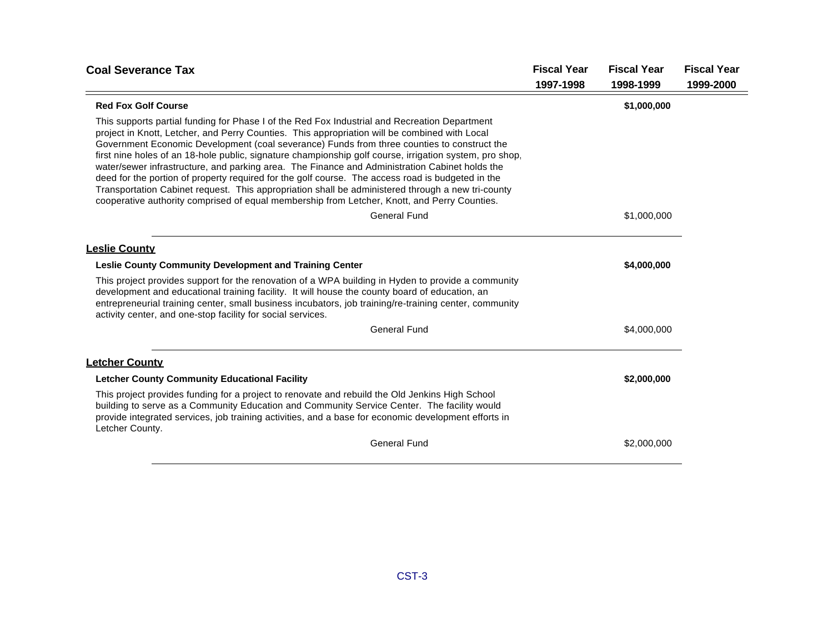| <b>Coal Severance Tax</b>                                                                                                                                                                                                                                                                                                                                                                                                                                                                                                                                                                                                                                                                                                                                                                                            | <b>Fiscal Year</b> | <b>Fiscal Year</b> | <b>Fiscal Year</b> |
|----------------------------------------------------------------------------------------------------------------------------------------------------------------------------------------------------------------------------------------------------------------------------------------------------------------------------------------------------------------------------------------------------------------------------------------------------------------------------------------------------------------------------------------------------------------------------------------------------------------------------------------------------------------------------------------------------------------------------------------------------------------------------------------------------------------------|--------------------|--------------------|--------------------|
|                                                                                                                                                                                                                                                                                                                                                                                                                                                                                                                                                                                                                                                                                                                                                                                                                      | 1997-1998          | 1998-1999          | 1999-2000          |
| <b>Red Fox Golf Course</b>                                                                                                                                                                                                                                                                                                                                                                                                                                                                                                                                                                                                                                                                                                                                                                                           |                    | \$1,000,000        |                    |
| This supports partial funding for Phase I of the Red Fox Industrial and Recreation Department<br>project in Knott, Letcher, and Perry Counties. This appropriation will be combined with Local<br>Government Economic Development (coal severance) Funds from three counties to construct the<br>first nine holes of an 18-hole public, signature championship golf course, irrigation system, pro shop,<br>water/sewer infrastructure, and parking area. The Finance and Administration Cabinet holds the<br>deed for the portion of property required for the golf course. The access road is budgeted in the<br>Transportation Cabinet request. This appropriation shall be administered through a new tri-county<br>cooperative authority comprised of equal membership from Letcher, Knott, and Perry Counties. |                    |                    |                    |
| <b>General Fund</b>                                                                                                                                                                                                                                                                                                                                                                                                                                                                                                                                                                                                                                                                                                                                                                                                  |                    | \$1,000,000        |                    |
| <b>Leslie County</b><br><b>Leslie County Community Development and Training Center</b>                                                                                                                                                                                                                                                                                                                                                                                                                                                                                                                                                                                                                                                                                                                               |                    | \$4,000,000        |                    |
| This project provides support for the renovation of a WPA building in Hyden to provide a community<br>development and educational training facility. It will house the county board of education, an<br>entrepreneurial training center, small business incubators, job training/re-training center, community<br>activity center, and one-stop facility for social services.                                                                                                                                                                                                                                                                                                                                                                                                                                        |                    |                    |                    |
| <b>General Fund</b>                                                                                                                                                                                                                                                                                                                                                                                                                                                                                                                                                                                                                                                                                                                                                                                                  |                    | \$4,000,000        |                    |
| <b>Letcher County</b>                                                                                                                                                                                                                                                                                                                                                                                                                                                                                                                                                                                                                                                                                                                                                                                                |                    |                    |                    |
| <b>Letcher County Community Educational Facility</b>                                                                                                                                                                                                                                                                                                                                                                                                                                                                                                                                                                                                                                                                                                                                                                 |                    | \$2,000,000        |                    |
| This project provides funding for a project to renovate and rebuild the Old Jenkins High School<br>building to serve as a Community Education and Community Service Center. The facility would<br>provide integrated services, job training activities, and a base for economic development efforts in<br>Letcher County.                                                                                                                                                                                                                                                                                                                                                                                                                                                                                            |                    |                    |                    |
| <b>General Fund</b>                                                                                                                                                                                                                                                                                                                                                                                                                                                                                                                                                                                                                                                                                                                                                                                                  |                    | \$2,000,000        |                    |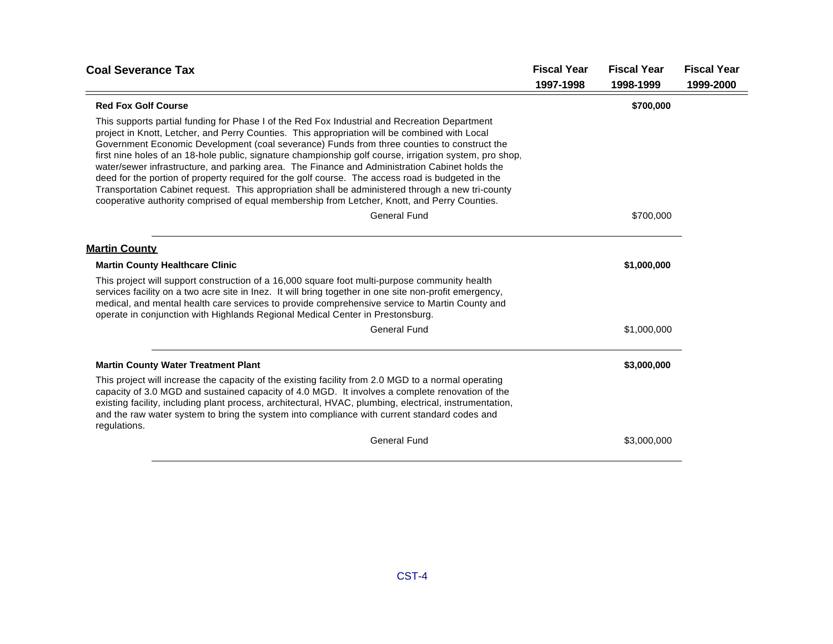| <b>Fiscal Year</b> | <b>Fiscal Year</b>                                                                                      | <b>Fiscal Year</b> |
|--------------------|---------------------------------------------------------------------------------------------------------|--------------------|
| 1997-1998          | 1998-1999                                                                                               | 1999-2000          |
|                    | \$700,000                                                                                               |                    |
|                    |                                                                                                         |                    |
|                    | \$700,000                                                                                               |                    |
|                    |                                                                                                         |                    |
|                    | \$1,000,000                                                                                             |                    |
|                    |                                                                                                         |                    |
|                    | \$1,000,000                                                                                             |                    |
|                    | \$3,000,000                                                                                             |                    |
|                    |                                                                                                         |                    |
|                    | \$3,000,000                                                                                             |                    |
|                    | first nine holes of an 18-hole public, signature championship golf course, irrigation system, pro shop, |                    |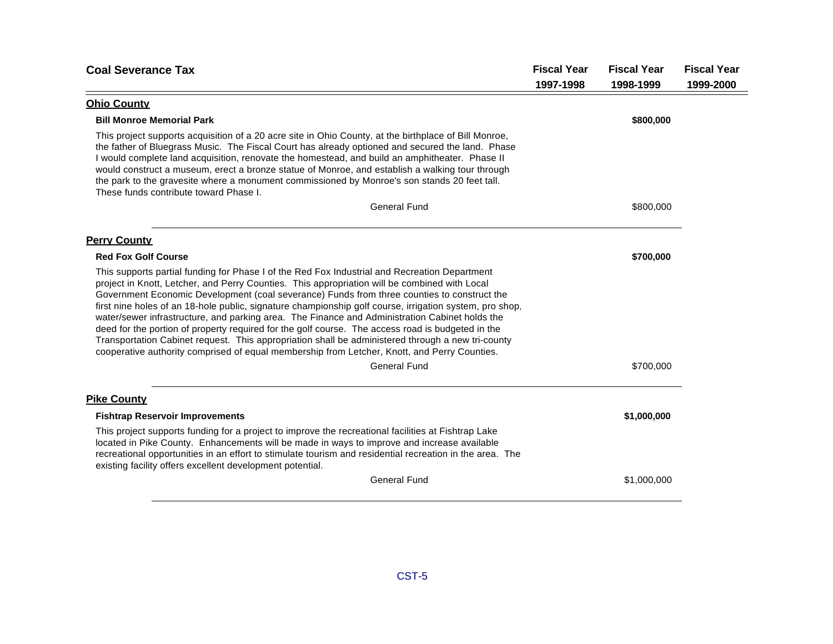|           |                                                                                                                                                                                                                                                                                                                         | <b>Fiscal Year</b> |
|-----------|-------------------------------------------------------------------------------------------------------------------------------------------------------------------------------------------------------------------------------------------------------------------------------------------------------------------------|--------------------|
| 1997-1998 | 1998-1999                                                                                                                                                                                                                                                                                                               | 1999-2000          |
|           |                                                                                                                                                                                                                                                                                                                         |                    |
|           | \$800,000                                                                                                                                                                                                                                                                                                               |                    |
|           |                                                                                                                                                                                                                                                                                                                         |                    |
|           | \$800,000                                                                                                                                                                                                                                                                                                               |                    |
|           |                                                                                                                                                                                                                                                                                                                         |                    |
|           | \$700,000                                                                                                                                                                                                                                                                                                               |                    |
|           |                                                                                                                                                                                                                                                                                                                         |                    |
|           | \$700,000                                                                                                                                                                                                                                                                                                               |                    |
|           |                                                                                                                                                                                                                                                                                                                         |                    |
|           | \$1,000,000                                                                                                                                                                                                                                                                                                             |                    |
|           |                                                                                                                                                                                                                                                                                                                         |                    |
|           | \$1,000,000                                                                                                                                                                                                                                                                                                             |                    |
|           | the father of Bluegrass Music. The Fiscal Court has already optioned and secured the land. Phase<br>first nine holes of an 18-hole public, signature championship golf course, irrigation system, pro shop,<br>recreational opportunities in an effort to stimulate tourism and residential recreation in the area. The |                    |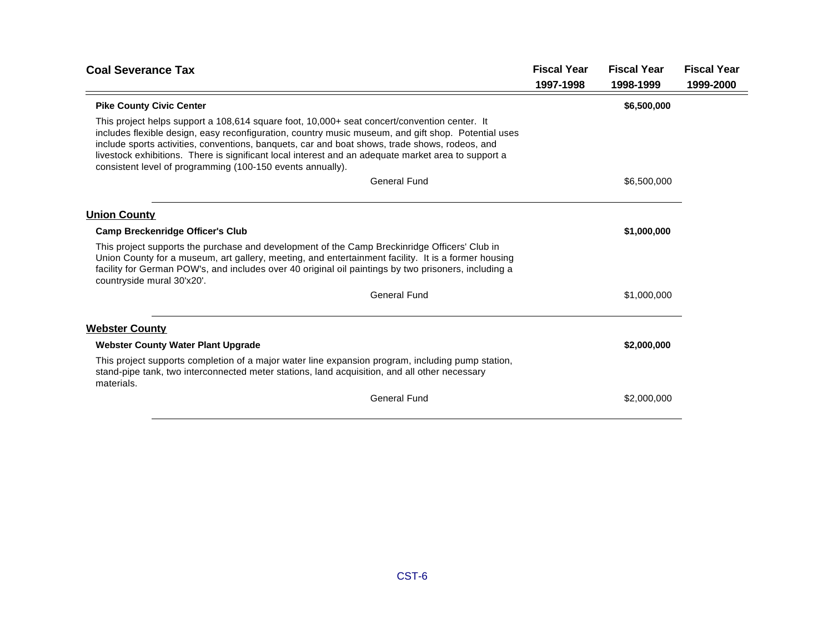| <b>Coal Severance Tax</b>                                                                                                                                                                                                                                                                                                                                                                                                                                                  | <b>Fiscal Year</b> | <b>Fiscal Year</b> | <b>Fiscal Year</b> |
|----------------------------------------------------------------------------------------------------------------------------------------------------------------------------------------------------------------------------------------------------------------------------------------------------------------------------------------------------------------------------------------------------------------------------------------------------------------------------|--------------------|--------------------|--------------------|
|                                                                                                                                                                                                                                                                                                                                                                                                                                                                            | 1997-1998          | 1998-1999          | 1999-2000          |
| <b>Pike County Civic Center</b>                                                                                                                                                                                                                                                                                                                                                                                                                                            |                    | \$6,500,000        |                    |
| This project helps support a 108,614 square foot, 10,000+ seat concert/convention center. It<br>includes flexible design, easy reconfiguration, country music museum, and gift shop. Potential uses<br>include sports activities, conventions, banquets, car and boat shows, trade shows, rodeos, and<br>livestock exhibitions. There is significant local interest and an adequate market area to support a<br>consistent level of programming (100-150 events annually). |                    |                    |                    |
| <b>General Fund</b>                                                                                                                                                                                                                                                                                                                                                                                                                                                        |                    | \$6,500,000        |                    |
| <b>Union County</b>                                                                                                                                                                                                                                                                                                                                                                                                                                                        |                    |                    |                    |
| <b>Camp Breckenridge Officer's Club</b>                                                                                                                                                                                                                                                                                                                                                                                                                                    |                    | \$1,000,000        |                    |
| This project supports the purchase and development of the Camp Breckinridge Officers' Club in<br>Union County for a museum, art gallery, meeting, and entertainment facility. It is a former housing<br>facility for German POW's, and includes over 40 original oil paintings by two prisoners, including a<br>countryside mural 30'x20'.                                                                                                                                 |                    |                    |                    |
| <b>General Fund</b>                                                                                                                                                                                                                                                                                                                                                                                                                                                        |                    | \$1,000,000        |                    |
| <b>Webster County</b>                                                                                                                                                                                                                                                                                                                                                                                                                                                      |                    |                    |                    |
| <b>Webster County Water Plant Upgrade</b>                                                                                                                                                                                                                                                                                                                                                                                                                                  |                    | \$2,000,000        |                    |
| This project supports completion of a major water line expansion program, including pump station,<br>stand-pipe tank, two interconnected meter stations, land acquisition, and all other necessary<br>materials.                                                                                                                                                                                                                                                           |                    |                    |                    |
| <b>General Fund</b>                                                                                                                                                                                                                                                                                                                                                                                                                                                        |                    | \$2,000,000        |                    |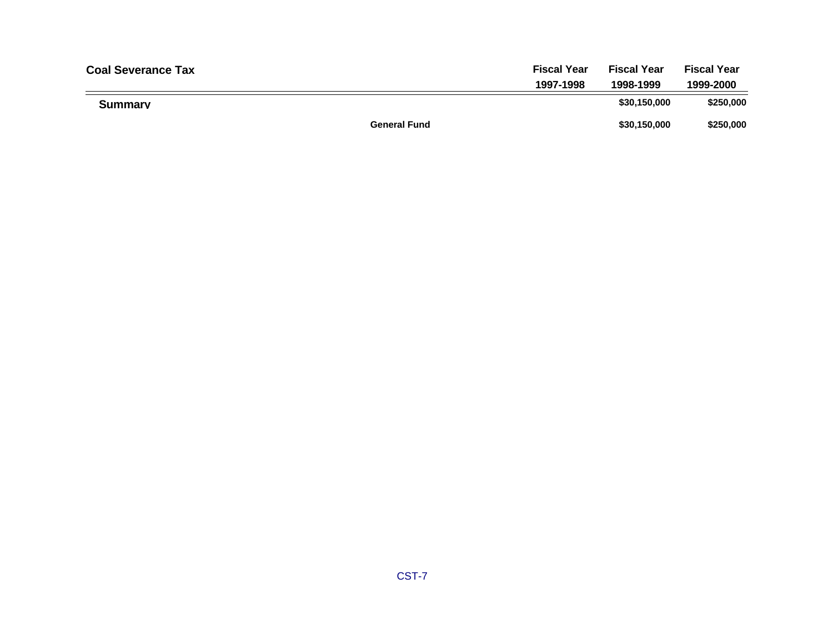| <b>Coal Severance Tax</b> |                     | <b>Fiscal Year</b> | <b>Fiscal Year</b> | <b>Fiscal Year</b> |
|---------------------------|---------------------|--------------------|--------------------|--------------------|
|                           |                     | 1997-1998          | 1998-1999          | 1999-2000          |
| <b>Summary</b>            |                     |                    | \$30,150,000       | \$250,000          |
|                           | <b>General Fund</b> |                    | \$30,150,000       | \$250,000          |